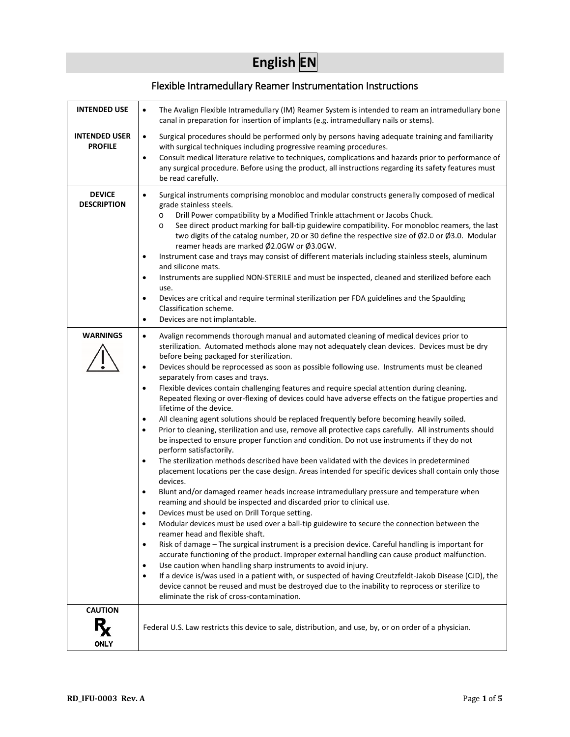# **English EN**

# Flexible Intramedullary Reamer Instrumentation Instructions

| <b>INTENDED USE</b>                    | The Avalign Flexible Intramedullary (IM) Reamer System is intended to ream an intramedullary bone<br>٠<br>canal in preparation for insertion of implants (e.g. intramedullary nails or stems).                                                                                                                                                                                                                                                                                                                                                                                                                                                                                                                                                                                                                                                                                                                                                                                                                                                                                                                                                                                                                                                                                                                                                                                                                                                                                                                                                                                                                                                                                                                                                                                                                                                                                                                                                                                                                                                                                                                                                                                                      |
|----------------------------------------|-----------------------------------------------------------------------------------------------------------------------------------------------------------------------------------------------------------------------------------------------------------------------------------------------------------------------------------------------------------------------------------------------------------------------------------------------------------------------------------------------------------------------------------------------------------------------------------------------------------------------------------------------------------------------------------------------------------------------------------------------------------------------------------------------------------------------------------------------------------------------------------------------------------------------------------------------------------------------------------------------------------------------------------------------------------------------------------------------------------------------------------------------------------------------------------------------------------------------------------------------------------------------------------------------------------------------------------------------------------------------------------------------------------------------------------------------------------------------------------------------------------------------------------------------------------------------------------------------------------------------------------------------------------------------------------------------------------------------------------------------------------------------------------------------------------------------------------------------------------------------------------------------------------------------------------------------------------------------------------------------------------------------------------------------------------------------------------------------------------------------------------------------------------------------------------------------------|
| <b>INTENDED USER</b><br><b>PROFILE</b> | Surgical procedures should be performed only by persons having adequate training and familiarity<br>$\bullet$<br>with surgical techniques including progressive reaming procedures.<br>Consult medical literature relative to techniques, complications and hazards prior to performance of<br>$\bullet$<br>any surgical procedure. Before using the product, all instructions regarding its safety features must<br>be read carefully.                                                                                                                                                                                                                                                                                                                                                                                                                                                                                                                                                                                                                                                                                                                                                                                                                                                                                                                                                                                                                                                                                                                                                                                                                                                                                                                                                                                                                                                                                                                                                                                                                                                                                                                                                             |
| <b>DEVICE</b><br><b>DESCRIPTION</b>    | Surgical instruments comprising monobloc and modular constructs generally composed of medical<br>$\bullet$<br>grade stainless steels.<br>Drill Power compatibility by a Modified Trinkle attachment or Jacobs Chuck.<br>$\circ$<br>See direct product marking for ball-tip guidewire compatibility. For monobloc reamers, the last<br>$\circ$<br>two digits of the catalog number, 20 or 30 define the respective size of Ø2.0 or Ø3.0. Modular<br>reamer heads are marked Ø2.0GW or Ø3.0GW.<br>Instrument case and trays may consist of different materials including stainless steels, aluminum<br>٠<br>and silicone mats.<br>Instruments are supplied NON-STERILE and must be inspected, cleaned and sterilized before each<br>$\bullet$<br>use.<br>Devices are critical and require terminal sterilization per FDA guidelines and the Spaulding<br>$\bullet$<br>Classification scheme.<br>Devices are not implantable.<br>$\bullet$                                                                                                                                                                                                                                                                                                                                                                                                                                                                                                                                                                                                                                                                                                                                                                                                                                                                                                                                                                                                                                                                                                                                                                                                                                                             |
| <b>WARNINGS</b>                        | Avalign recommends thorough manual and automated cleaning of medical devices prior to<br>$\bullet$<br>sterilization. Automated methods alone may not adequately clean devices. Devices must be dry<br>before being packaged for sterilization.<br>Devices should be reprocessed as soon as possible following use. Instruments must be cleaned<br>$\bullet$<br>separately from cases and trays.<br>Flexible devices contain challenging features and require special attention during cleaning.<br>$\bullet$<br>Repeated flexing or over-flexing of devices could have adverse effects on the fatigue properties and<br>lifetime of the device.<br>All cleaning agent solutions should be replaced frequently before becoming heavily soiled.<br>$\bullet$<br>Prior to cleaning, sterilization and use, remove all protective caps carefully. All instruments should<br>$\bullet$<br>be inspected to ensure proper function and condition. Do not use instruments if they do not<br>perform satisfactorily.<br>The sterilization methods described have been validated with the devices in predetermined<br>$\bullet$<br>placement locations per the case design. Areas intended for specific devices shall contain only those<br>devices.<br>Blunt and/or damaged reamer heads increase intramedullary pressure and temperature when<br>$\bullet$<br>reaming and should be inspected and discarded prior to clinical use.<br>Devices must be used on Drill Torque setting.<br>Modular devices must be used over a ball-tip guidewire to secure the connection between the<br>$\bullet$<br>reamer head and flexible shaft.<br>Risk of damage - The surgical instrument is a precision device. Careful handling is important for<br>$\bullet$<br>accurate functioning of the product. Improper external handling can cause product malfunction.<br>Use caution when handling sharp instruments to avoid injury.<br>$\bullet$<br>If a device is/was used in a patient with, or suspected of having Creutzfeldt-Jakob Disease (CJD), the<br>$\bullet$<br>device cannot be reused and must be destroyed due to the inability to reprocess or sterilize to<br>eliminate the risk of cross-contamination. |
| <b>CAUTION</b><br>R<br>ONLY            | Federal U.S. Law restricts this device to sale, distribution, and use, by, or on order of a physician.                                                                                                                                                                                                                                                                                                                                                                                                                                                                                                                                                                                                                                                                                                                                                                                                                                                                                                                                                                                                                                                                                                                                                                                                                                                                                                                                                                                                                                                                                                                                                                                                                                                                                                                                                                                                                                                                                                                                                                                                                                                                                              |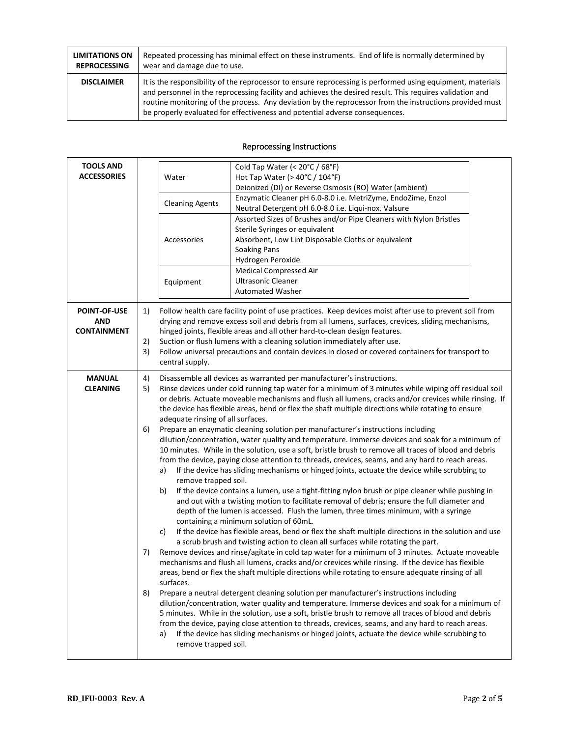| <b>LIMITATIONS ON</b> | Repeated processing has minimal effect on these instruments. End of life is normally determined by                                                                                                                                                                                                                                                                                                               |
|-----------------------|------------------------------------------------------------------------------------------------------------------------------------------------------------------------------------------------------------------------------------------------------------------------------------------------------------------------------------------------------------------------------------------------------------------|
| <b>REPROCESSING</b>   | wear and damage due to use.                                                                                                                                                                                                                                                                                                                                                                                      |
| <b>DISCLAIMER</b>     | It is the responsibility of the reprocessor to ensure reprocessing is performed using equipment, materials<br>and personnel in the reprocessing facility and achieves the desired result. This requires validation and<br>routine monitoring of the process. Any deviation by the reprocessor from the instructions provided must<br>be properly evaluated for effectiveness and potential adverse consequences. |

## Reprocessing Instructions

| <b>TOOLS AND</b><br><b>ACCESSORIES</b>           |                            | Water<br><b>Cleaning Agents</b><br>Accessories<br>Equipment                                                                                                                                                                                                                                                                                                                                                                                                                                                                                                                                                                                                                                                                                                                                                                                                                                                                                                                                                                                                                                                                                                                                                                                                                                                                                                                                                                                                                                                                                                                                                                                                                                                                                                                                                                                                                                                                                                                                                                                                                                                                                                                                                                                                                                                                                                                              | Cold Tap Water (< 20°C / 68°F)<br>Hot Tap Water (> 40°C / 104°F)<br>Deionized (DI) or Reverse Osmosis (RO) Water (ambient)<br>Enzymatic Cleaner pH 6.0-8.0 i.e. MetriZyme, EndoZime, Enzol<br>Neutral Detergent pH 6.0-8.0 i.e. Liqui-nox, Valsure<br>Assorted Sizes of Brushes and/or Pipe Cleaners with Nylon Bristles<br>Sterile Syringes or equivalent<br>Absorbent, Low Lint Disposable Cloths or equivalent<br><b>Soaking Pans</b><br>Hydrogen Peroxide<br><b>Medical Compressed Air</b><br><b>Ultrasonic Cleaner</b><br><b>Automated Washer</b> |
|--------------------------------------------------|----------------------------|------------------------------------------------------------------------------------------------------------------------------------------------------------------------------------------------------------------------------------------------------------------------------------------------------------------------------------------------------------------------------------------------------------------------------------------------------------------------------------------------------------------------------------------------------------------------------------------------------------------------------------------------------------------------------------------------------------------------------------------------------------------------------------------------------------------------------------------------------------------------------------------------------------------------------------------------------------------------------------------------------------------------------------------------------------------------------------------------------------------------------------------------------------------------------------------------------------------------------------------------------------------------------------------------------------------------------------------------------------------------------------------------------------------------------------------------------------------------------------------------------------------------------------------------------------------------------------------------------------------------------------------------------------------------------------------------------------------------------------------------------------------------------------------------------------------------------------------------------------------------------------------------------------------------------------------------------------------------------------------------------------------------------------------------------------------------------------------------------------------------------------------------------------------------------------------------------------------------------------------------------------------------------------------------------------------------------------------------------------------------------------------|--------------------------------------------------------------------------------------------------------------------------------------------------------------------------------------------------------------------------------------------------------------------------------------------------------------------------------------------------------------------------------------------------------------------------------------------------------------------------------------------------------------------------------------------------------|
| <b>POINT-OF-USE</b><br>AND<br><b>CONTAINMENT</b> | 1)<br>2)<br>3)             | central supply.                                                                                                                                                                                                                                                                                                                                                                                                                                                                                                                                                                                                                                                                                                                                                                                                                                                                                                                                                                                                                                                                                                                                                                                                                                                                                                                                                                                                                                                                                                                                                                                                                                                                                                                                                                                                                                                                                                                                                                                                                                                                                                                                                                                                                                                                                                                                                                          | Follow health care facility point of use practices. Keep devices moist after use to prevent soil from<br>drying and remove excess soil and debris from all lumens, surfaces, crevices, sliding mechanisms,<br>hinged joints, flexible areas and all other hard-to-clean design features.<br>Suction or flush lumens with a cleaning solution immediately after use.<br>Follow universal precautions and contain devices in closed or covered containers for transport to                                                                               |
| <b>MANUAL</b><br><b>CLEANING</b>                 | 4)<br>5)<br>6)<br>7)<br>8) | Disassemble all devices as warranted per manufacturer's instructions.<br>Rinse devices under cold running tap water for a minimum of 3 minutes while wiping off residual soil<br>or debris. Actuate moveable mechanisms and flush all lumens, cracks and/or crevices while rinsing. If<br>the device has flexible areas, bend or flex the shaft multiple directions while rotating to ensure<br>adequate rinsing of all surfaces.<br>Prepare an enzymatic cleaning solution per manufacturer's instructions including<br>dilution/concentration, water quality and temperature. Immerse devices and soak for a minimum of<br>10 minutes. While in the solution, use a soft, bristle brush to remove all traces of blood and debris<br>from the device, paying close attention to threads, crevices, seams, and any hard to reach areas.<br>If the device has sliding mechanisms or hinged joints, actuate the device while scrubbing to<br>a)<br>remove trapped soil.<br>If the device contains a lumen, use a tight-fitting nylon brush or pipe cleaner while pushing in<br>b)<br>and out with a twisting motion to facilitate removal of debris; ensure the full diameter and<br>depth of the lumen is accessed. Flush the lumen, three times minimum, with a syringe<br>containing a minimum solution of 60mL.<br>If the device has flexible areas, bend or flex the shaft multiple directions in the solution and use<br>c)<br>a scrub brush and twisting action to clean all surfaces while rotating the part.<br>Remove devices and rinse/agitate in cold tap water for a minimum of 3 minutes. Actuate moveable<br>mechanisms and flush all lumens, cracks and/or crevices while rinsing. If the device has flexible<br>areas, bend or flex the shaft multiple directions while rotating to ensure adequate rinsing of all<br>surfaces.<br>Prepare a neutral detergent cleaning solution per manufacturer's instructions including<br>dilution/concentration, water quality and temperature. Immerse devices and soak for a minimum of<br>5 minutes. While in the solution, use a soft, bristle brush to remove all traces of blood and debris<br>from the device, paying close attention to threads, crevices, seams, and any hard to reach areas.<br>If the device has sliding mechanisms or hinged joints, actuate the device while scrubbing to<br>a)<br>remove trapped soil. |                                                                                                                                                                                                                                                                                                                                                                                                                                                                                                                                                        |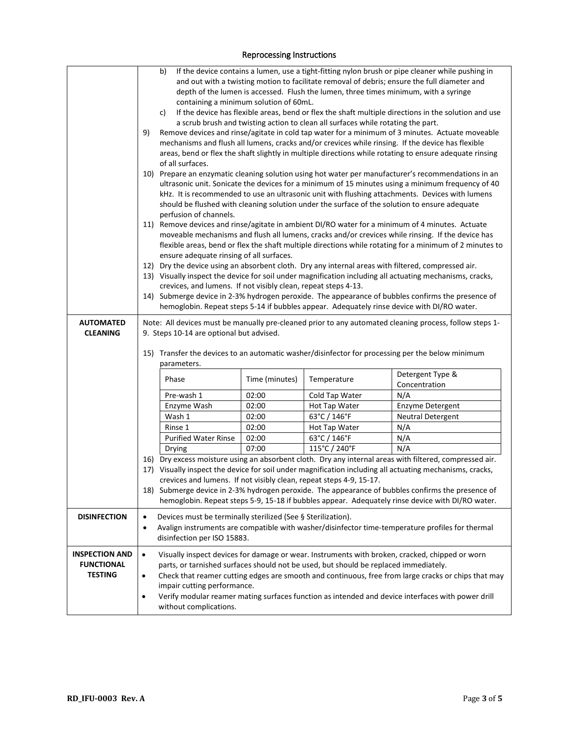#### and out with a twisting motion to facilitate removal of debris; ensure the full diameter and depth of the lumen is accessed. Flush the lumen, three times minimum, with a syringe containing a minimum solution of 60mL. c) If the device has flexible areas, bend or flex the shaft multiple directions in the solution and use a scrub brush and twisting action to clean all surfaces while rotating the part. 9) Remove devices and rinse/agitate in cold tap water for a minimum of 3 minutes. Actuate moveable mechanisms and flush all lumens, cracks and/or crevices while rinsing. If the device has flexible areas, bend or flex the shaft slightly in multiple directions while rotating to ensure adequate rinsing of all surfaces. 10) Prepare an enzymatic cleaning solution using hot water per manufacturer's recommendations in an ultrasonic unit. Sonicate the devices for a minimum of 15 minutes using a minimum frequency of 40 kHz. It is recommended to use an ultrasonic unit with flushing attachments. Devices with lumens should be flushed with cleaning solution under the surface of the solution to ensure adequate perfusion of channels. 11) Remove devices and rinse/agitate in ambient DI/RO water for a minimum of 4 minutes. Actuate moveable mechanisms and flush all lumens, cracks and/or crevices while rinsing. If the device has flexible areas, bend or flex the shaft multiple directions while rotating for a minimum of 2 minutes to ensure adequate rinsing of all surfaces. 12) Dry the device using an absorbent cloth. Dry any internal areas with filtered, compressed air. 13) Visually inspect the device for soil under magnification including all actuating mechanisms, cracks, crevices, and lumens. If not visibly clean, repeat steps 4-13. 14) Submerge device in 2-3% hydrogen peroxide. The appearance of bubbles confirms the presence of hemoglobin. Repeat steps 5-14 if bubbles appear. Adequately rinse device with DI/RO water. **AUTOMATED CLEANING** Note: All devices must be manually pre-cleaned prior to any automated cleaning process, follow steps 1- 9. Steps 10-14 are optional but advised. 15) Transfer the devices to an automatic washer/disinfector for processing per the below minimum parameters. Phase Time (minutes) Temperature Detergent Type & Concentration Pre-wash 1 02:00 | Cold Tap Water | N/A Enzyme Wash 02:00 Hot Tap Water Enzyme Detergent Wash 1 02:00 63°C / 146°F Neutral Detergent Rinse 1 | 02:00 | Hot Tap Water | N/A Purified Water Rinse | 02:00 | 63°C / 146°F | N/A Drying | 07:00 | 115°C / 240°F | N/A 16) Dry excess moisture using an absorbent cloth. Dry any internal areas with filtered, compressed air. 17) Visually inspect the device for soil under magnification including all actuating mechanisms, cracks, crevices and lumens. If not visibly clean, repeat steps 4-9, 15-17. 18) Submerge device in 2-3% hydrogen peroxide. The appearance of bubbles confirms the presence of hemoglobin. Repeat steps 5-9, 15-18 if bubbles appear. Adequately rinse device with DI/RO water. **DISINFECTION**  $\bullet$  Devices must be terminally sterilized (See § Sterilization). • Avalign instruments are compatible with washer/disinfector time-temperature profiles for thermal disinfection per ISO 15883. **INSPECTION AND FUNCTIONAL TESTING** • Visually inspect devices for damage or wear. Instruments with broken, cracked, chipped or worn parts, or tarnished surfaces should not be used, but should be replaced immediately. • Check that reamer cutting edges are smooth and continuous, free from large cracks or chips that may impair cutting performance. • Verify modular reamer mating surfaces function as intended and device interfaces with power drill without complications.

### Reprocessing Instructions

b) If the device contains a lumen, use a tight-fitting nylon brush or pipe cleaner while pushing in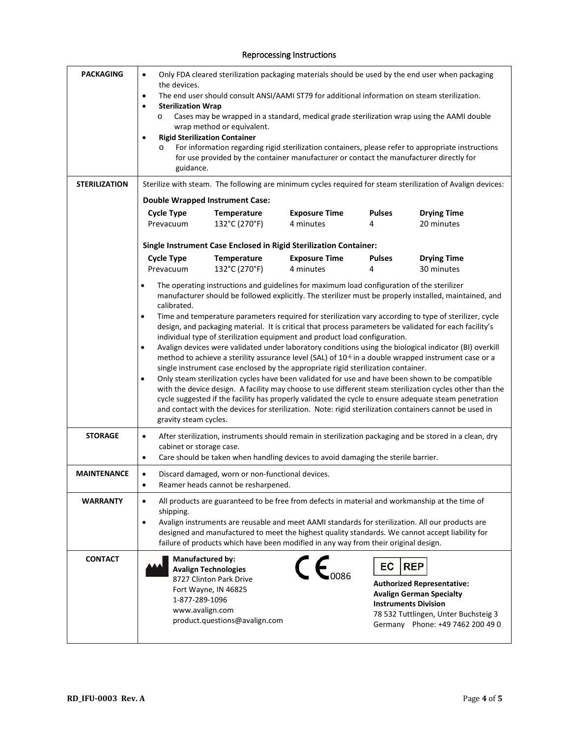### Reprocessing Instructions

| <b>PACKAGING</b><br><b>STERILIZATION</b> | Only FDA cleared sterilization packaging materials should be used by the end user when packaging<br>$\bullet$<br>the devices.<br>The end user should consult ANSI/AAMI ST79 for additional information on steam sterilization.<br>$\bullet$<br><b>Sterilization Wrap</b><br>$\bullet$<br>Cases may be wrapped in a standard, medical grade sterilization wrap using the AAMI double<br>O<br>wrap method or equivalent.<br><b>Rigid Sterilization Container</b><br>$\bullet$<br>For information regarding rigid sterilization containers, please refer to appropriate instructions<br>$\circ$<br>for use provided by the container manufacturer or contact the manufacturer directly for<br>guidance.<br>Sterilize with steam. The following are minimum cycles required for steam sterilization of Avalign devices: |                                                                                                                 |                                                                                                                                                                                                                                                               |                    |                                                                                                                                                                                                                                                                                                                                                                                                                                                                                                                                                                                                                                                                                                                                                                                                                                                                                                                                                                                               |
|------------------------------------------|---------------------------------------------------------------------------------------------------------------------------------------------------------------------------------------------------------------------------------------------------------------------------------------------------------------------------------------------------------------------------------------------------------------------------------------------------------------------------------------------------------------------------------------------------------------------------------------------------------------------------------------------------------------------------------------------------------------------------------------------------------------------------------------------------------------------|-----------------------------------------------------------------------------------------------------------------|---------------------------------------------------------------------------------------------------------------------------------------------------------------------------------------------------------------------------------------------------------------|--------------------|-----------------------------------------------------------------------------------------------------------------------------------------------------------------------------------------------------------------------------------------------------------------------------------------------------------------------------------------------------------------------------------------------------------------------------------------------------------------------------------------------------------------------------------------------------------------------------------------------------------------------------------------------------------------------------------------------------------------------------------------------------------------------------------------------------------------------------------------------------------------------------------------------------------------------------------------------------------------------------------------------|
|                                          |                                                                                                                                                                                                                                                                                                                                                                                                                                                                                                                                                                                                                                                                                                                                                                                                                     | <b>Double Wrapped Instrument Case:</b>                                                                          |                                                                                                                                                                                                                                                               | <b>Pulses</b>      |                                                                                                                                                                                                                                                                                                                                                                                                                                                                                                                                                                                                                                                                                                                                                                                                                                                                                                                                                                                               |
|                                          | <b>Cycle Type</b><br>Prevacuum                                                                                                                                                                                                                                                                                                                                                                                                                                                                                                                                                                                                                                                                                                                                                                                      | Temperature<br>132°C (270°F)                                                                                    | <b>Exposure Time</b><br>4 minutes                                                                                                                                                                                                                             | 4                  | <b>Drying Time</b><br>20 minutes                                                                                                                                                                                                                                                                                                                                                                                                                                                                                                                                                                                                                                                                                                                                                                                                                                                                                                                                                              |
|                                          |                                                                                                                                                                                                                                                                                                                                                                                                                                                                                                                                                                                                                                                                                                                                                                                                                     |                                                                                                                 | Single Instrument Case Enclosed in Rigid Sterilization Container:                                                                                                                                                                                             |                    |                                                                                                                                                                                                                                                                                                                                                                                                                                                                                                                                                                                                                                                                                                                                                                                                                                                                                                                                                                                               |
|                                          | <b>Cycle Type</b><br>Prevacuum                                                                                                                                                                                                                                                                                                                                                                                                                                                                                                                                                                                                                                                                                                                                                                                      | Temperature<br>132°C (270°F)                                                                                    | <b>Exposure Time</b><br>4 minutes                                                                                                                                                                                                                             | <b>Pulses</b><br>4 | <b>Drying Time</b><br>30 minutes                                                                                                                                                                                                                                                                                                                                                                                                                                                                                                                                                                                                                                                                                                                                                                                                                                                                                                                                                              |
|                                          | $\bullet$<br>calibrated.<br>$\bullet$<br>$\bullet$<br>$\bullet$<br>gravity steam cycles.                                                                                                                                                                                                                                                                                                                                                                                                                                                                                                                                                                                                                                                                                                                            |                                                                                                                 | The operating instructions and guidelines for maximum load configuration of the sterilizer<br>individual type of sterilization equipment and product load configuration.<br>single instrument case enclosed by the appropriate rigid sterilization container. |                    | manufacturer should be followed explicitly. The sterilizer must be properly installed, maintained, and<br>Time and temperature parameters required for sterilization vary according to type of sterilizer, cycle<br>design, and packaging material. It is critical that process parameters be validated for each facility's<br>Avalign devices were validated under laboratory conditions using the biological indicator (BI) overkill<br>method to achieve a sterility assurance level (SAL) of 10 <sup>-6</sup> in a double wrapped instrument case or a<br>Only steam sterilization cycles have been validated for use and have been shown to be compatible<br>with the device design. A facility may choose to use different steam sterilization cycles other than the<br>cycle suggested if the facility has properly validated the cycle to ensure adequate steam penetration<br>and contact with the devices for sterilization. Note: rigid sterilization containers cannot be used in |
| <b>STORAGE</b>                           | $\bullet$<br>cabinet or storage case.<br>$\bullet$                                                                                                                                                                                                                                                                                                                                                                                                                                                                                                                                                                                                                                                                                                                                                                  |                                                                                                                 | Care should be taken when handling devices to avoid damaging the sterile barrier.                                                                                                                                                                             |                    | After sterilization, instruments should remain in sterilization packaging and be stored in a clean, dry                                                                                                                                                                                                                                                                                                                                                                                                                                                                                                                                                                                                                                                                                                                                                                                                                                                                                       |
| <b>MAINTENANCE</b>                       | $\bullet$                                                                                                                                                                                                                                                                                                                                                                                                                                                                                                                                                                                                                                                                                                                                                                                                           | Discard damaged, worn or non-functional devices.<br>Reamer heads cannot be resharpened.                         |                                                                                                                                                                                                                                                               |                    |                                                                                                                                                                                                                                                                                                                                                                                                                                                                                                                                                                                                                                                                                                                                                                                                                                                                                                                                                                                               |
| <b>WARRANTY</b>                          | $\bullet$<br>shipping.<br>$\bullet$                                                                                                                                                                                                                                                                                                                                                                                                                                                                                                                                                                                                                                                                                                                                                                                 |                                                                                                                 | failure of products which have been modified in any way from their original design.                                                                                                                                                                           |                    | All products are guaranteed to be free from defects in material and workmanship at the time of<br>Avalign instruments are reusable and meet AAMI standards for sterilization. All our products are<br>designed and manufactured to meet the highest quality standards. We cannot accept liability for                                                                                                                                                                                                                                                                                                                                                                                                                                                                                                                                                                                                                                                                                         |
| <b>CONTACT</b>                           | <b>Manufactured by:</b><br>1-877-289-1096<br>www.avalign.com                                                                                                                                                                                                                                                                                                                                                                                                                                                                                                                                                                                                                                                                                                                                                        | <b>Avalign Technologies</b><br>8727 Clinton Park Drive<br>Fort Wayne, IN 46825<br>product.questions@avalign.com | $\mathsf{CE}_{\text{oose}}$                                                                                                                                                                                                                                   | EC                 | <b>REP</b><br><b>Authorized Representative:</b><br><b>Avalign German Specialty</b><br><b>Instruments Division</b><br>78 532 Tuttlingen, Unter Buchsteig 3<br>Germany Phone: +49 7462 200 49 0                                                                                                                                                                                                                                                                                                                                                                                                                                                                                                                                                                                                                                                                                                                                                                                                 |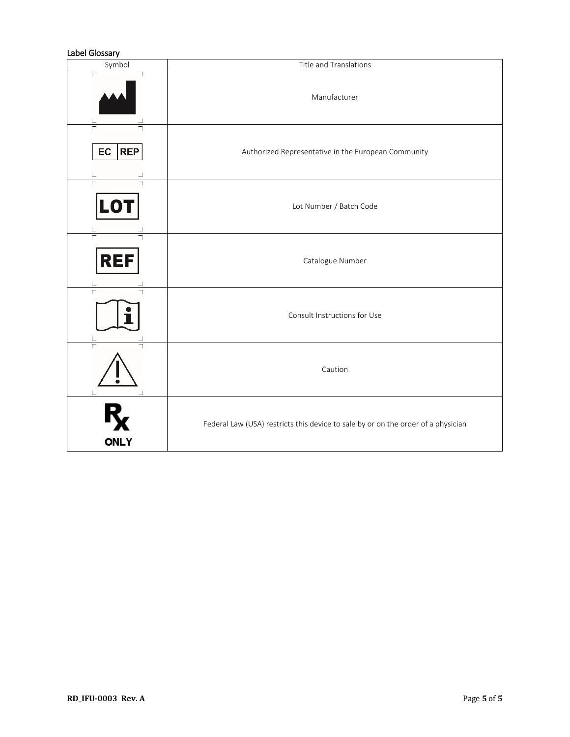### Label Glossary

| Symbol           | Title and Translations                                                            |
|------------------|-----------------------------------------------------------------------------------|
| $\Gamma$         | Manufacturer                                                                      |
| EC<br><b>REP</b> | Authorized Representative in the European Community                               |
| <b>LOT</b>       | Lot Number / Batch Code                                                           |
| <b>REF</b>       | Catalogue Number                                                                  |
| $\Gamma$         | Consult Instructions for Use                                                      |
| Г<br>L           | Caution                                                                           |
| <b>ONLY</b>      | Federal Law (USA) restricts this device to sale by or on the order of a physician |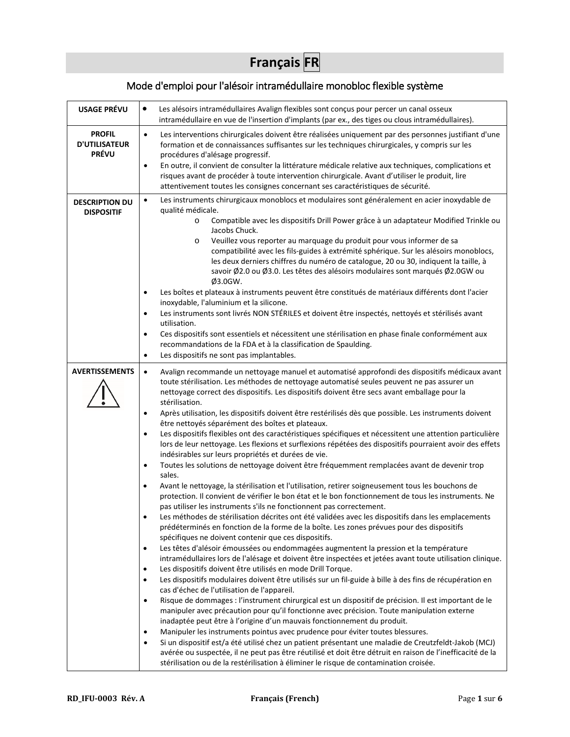# **Français FR**

# Mode d'emploi pour l'alésoir intramédullaire monobloc flexible système

| <b>USAGE PRÉVU</b>                                    | Les alésoirs intramédullaires Avalign flexibles sont conçus pour percer un canal osseux<br>٠                                                                                                                                                           |
|-------------------------------------------------------|--------------------------------------------------------------------------------------------------------------------------------------------------------------------------------------------------------------------------------------------------------|
|                                                       | intramédullaire en vue de l'insertion d'implants (par ex., des tiges ou clous intramédullaires).                                                                                                                                                       |
| <b>PROFIL</b><br><b>D'UTILISATEUR</b><br><b>PRÉVU</b> | Les interventions chirurgicales doivent être réalisées uniquement par des personnes justifiant d'une<br>$\bullet$<br>formation et de connaissances suffisantes sur les techniques chirurgicales, y compris sur les<br>procédures d'alésage progressif. |
|                                                       |                                                                                                                                                                                                                                                        |
|                                                       | En outre, il convient de consulter la littérature médicale relative aux techniques, complications et<br>$\bullet$                                                                                                                                      |
|                                                       | risques avant de procéder à toute intervention chirurgicale. Avant d'utiliser le produit, lire                                                                                                                                                         |
|                                                       | attentivement toutes les consignes concernant ses caractéristiques de sécurité.                                                                                                                                                                        |
| <b>DESCRIPTION DU</b>                                 | Les instruments chirurgicaux monoblocs et modulaires sont généralement en acier inoxydable de<br>$\bullet$                                                                                                                                             |
| <b>DISPOSITIF</b>                                     | qualité médicale.                                                                                                                                                                                                                                      |
|                                                       | Compatible avec les dispositifs Drill Power grâce à un adaptateur Modified Trinkle ou<br>$\circ$<br>Jacobs Chuck.                                                                                                                                      |
|                                                       | Veuillez vous reporter au marquage du produit pour vous informer de sa<br>$\circ$                                                                                                                                                                      |
|                                                       | compatibilité avec les fils-guides à extrémité sphérique. Sur les alésoirs monoblocs,                                                                                                                                                                  |
|                                                       | les deux derniers chiffres du numéro de catalogue, 20 ou 30, indiquent la taille, à                                                                                                                                                                    |
|                                                       | savoir Ø2.0 ou Ø3.0. Les têtes des alésoirs modulaires sont marqués Ø2.0GW ou                                                                                                                                                                          |
|                                                       | $Ø3.0$ GW.                                                                                                                                                                                                                                             |
|                                                       | Les boîtes et plateaux à instruments peuvent être constitués de matériaux différents dont l'acier<br>$\bullet$                                                                                                                                         |
|                                                       | inoxydable, l'aluminium et la silicone.                                                                                                                                                                                                                |
|                                                       | Les instruments sont livrés NON STÉRILES et doivent être inspectés, nettoyés et stérilisés avant<br>$\bullet$                                                                                                                                          |
|                                                       | utilisation.                                                                                                                                                                                                                                           |
|                                                       | Ces dispositifs sont essentiels et nécessitent une stérilisation en phase finale conformément aux<br>$\bullet$                                                                                                                                         |
|                                                       | recommandations de la FDA et à la classification de Spaulding.                                                                                                                                                                                         |
|                                                       | Les dispositifs ne sont pas implantables.<br>$\bullet$                                                                                                                                                                                                 |
| <b>AVERTISSEMENTS</b>                                 | Avalign recommande un nettoyage manuel et automatisé approfondi des dispositifs médicaux avant<br>$\bullet$                                                                                                                                            |
|                                                       | toute stérilisation. Les méthodes de nettoyage automatisé seules peuvent ne pas assurer un                                                                                                                                                             |
|                                                       | nettoyage correct des dispositifs. Les dispositifs doivent être secs avant emballage pour la                                                                                                                                                           |
|                                                       | stérilisation.                                                                                                                                                                                                                                         |
|                                                       | Après utilisation, les dispositifs doivent être restérilisés dès que possible. Les instruments doivent<br>$\bullet$                                                                                                                                    |
|                                                       | être nettoyés séparément des boîtes et plateaux.                                                                                                                                                                                                       |
|                                                       | Les dispositifs flexibles ont des caractéristiques spécifiques et nécessitent une attention particulière<br>$\bullet$                                                                                                                                  |
|                                                       | lors de leur nettoyage. Les flexions et surflexions répétées des dispositifs pourraient avoir des effets                                                                                                                                               |
|                                                       | indésirables sur leurs propriétés et durées de vie.                                                                                                                                                                                                    |
|                                                       | Toutes les solutions de nettoyage doivent être fréquemment remplacées avant de devenir trop<br>$\bullet$<br>sales.                                                                                                                                     |
|                                                       | Avant le nettoyage, la stérilisation et l'utilisation, retirer soigneusement tous les bouchons de<br>$\bullet$                                                                                                                                         |
|                                                       | protection. Il convient de vérifier le bon état et le bon fonctionnement de tous les instruments. Ne                                                                                                                                                   |
|                                                       | pas utiliser les instruments s'ils ne fonctionnent pas correctement.                                                                                                                                                                                   |
|                                                       | Les méthodes de stérilisation décrites ont été validées avec les dispositifs dans les emplacements                                                                                                                                                     |
|                                                       | prédéterminés en fonction de la forme de la boîte. Les zones prévues pour des dispositifs                                                                                                                                                              |
|                                                       | spécifiques ne doivent contenir que ces dispositifs.                                                                                                                                                                                                   |
|                                                       | Les têtes d'alésoir émoussées ou endommagées augmentent la pression et la température<br>$\bullet$                                                                                                                                                     |
|                                                       | intramédullaires lors de l'alésage et doivent être inspectées et jetées avant toute utilisation clinique.                                                                                                                                              |
|                                                       |                                                                                                                                                                                                                                                        |
|                                                       | Les dispositifs doivent être utilisés en mode Drill Torque.<br>$\bullet$                                                                                                                                                                               |
|                                                       | Les dispositifs modulaires doivent être utilisés sur un fil-guide à bille à des fins de récupération en<br>$\bullet$<br>cas d'échec de l'utilisation de l'appareil.                                                                                    |
|                                                       | Risque de dommages : l'instrument chirurgical est un dispositif de précision. Il est important de le<br>$\bullet$                                                                                                                                      |
|                                                       | manipuler avec précaution pour qu'il fonctionne avec précision. Toute manipulation externe                                                                                                                                                             |
|                                                       | inadaptée peut être à l'origine d'un mauvais fonctionnement du produit.                                                                                                                                                                                |
|                                                       | Manipuler les instruments pointus avec prudence pour éviter toutes blessures.<br>$\bullet$                                                                                                                                                             |
|                                                       | Si un dispositif est/a été utilisé chez un patient présentant une maladie de Creutzfeldt-Jakob (MCJ)<br>$\bullet$                                                                                                                                      |
|                                                       | avérée ou suspectée, il ne peut pas être réutilisé et doit être détruit en raison de l'inefficacité de la                                                                                                                                              |
|                                                       |                                                                                                                                                                                                                                                        |
|                                                       | stérilisation ou de la restérilisation à éliminer le risque de contamination croisée.                                                                                                                                                                  |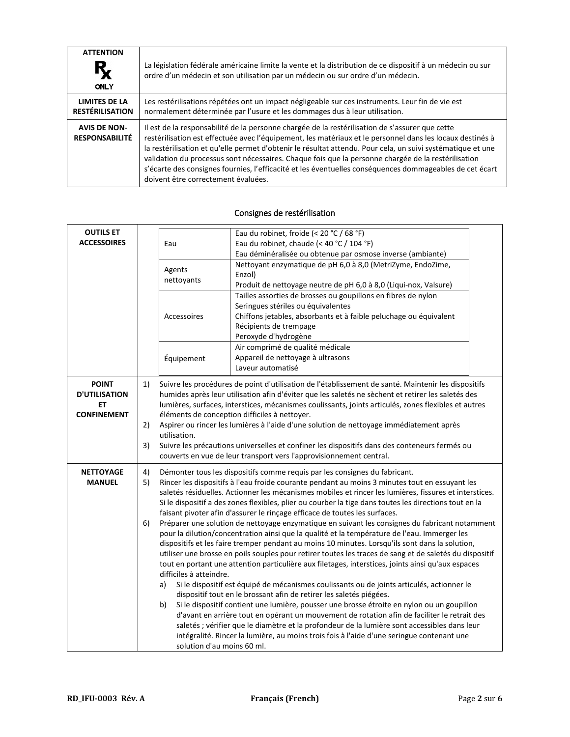| <b>ATTENTION</b>                             | La législation fédérale américaine limite la vente et la distribution de ce dispositif à un médecin ou sur                                                                                                                                                                                                                                                                                                                                                                                                                                                                           |
|----------------------------------------------|--------------------------------------------------------------------------------------------------------------------------------------------------------------------------------------------------------------------------------------------------------------------------------------------------------------------------------------------------------------------------------------------------------------------------------------------------------------------------------------------------------------------------------------------------------------------------------------|
| <b>ONLY</b>                                  | ordre d'un médecin et son utilisation par un médecin ou sur ordre d'un médecin.                                                                                                                                                                                                                                                                                                                                                                                                                                                                                                      |
| LIMITES DE LA                                | Les restérilisations répétées ont un impact négligeable sur ces instruments. Leur fin de vie est                                                                                                                                                                                                                                                                                                                                                                                                                                                                                     |
| <b>RESTÉRILISATION</b>                       | normalement déterminée par l'usure et les dommages dus à leur utilisation.                                                                                                                                                                                                                                                                                                                                                                                                                                                                                                           |
| <b>AVIS DE NON-</b><br><b>RESPONSABILITÉ</b> | Il est de la responsabilité de la personne chargée de la restérilisation de s'assurer que cette<br>restérilisation est effectuée avec l'équipement, les matériaux et le personnel dans les locaux destinés à<br>la restérilisation et qu'elle permet d'obtenir le résultat attendu. Pour cela, un suivi systématique et une<br>validation du processus sont nécessaires. Chaque fois que la personne chargée de la restérilisation<br>s'écarte des consignes fournies, l'efficacité et les éventuelles conséquences dommageables de cet écart<br>doivent être correctement évaluées. |

#### **OUTILS ET ACCESSOIRES** | Eau Eau du robinet, froide (< 20 °C / 68 °F) Eau du robinet, chaude (< 40 °C / 104 °F) Eau déminéralisée ou obtenue par osmose inverse (ambiante) Agents nettoyants Nettoyant enzymatique de pH 6,0 à 8,0 (MetriZyme, EndoZime, Enzol) Produit de nettoyage neutre de pH 6,0 à 8,0 (Liqui-nox, Valsure) Accessoires Tailles assorties de brosses ou goupillons en fibres de nylon Seringues stériles ou équivalentes Chiffons jetables, absorbants et à faible peluchage ou équivalent Récipients de trempage Peroxyde d'hydrogène Équipement Air comprimé de qualité médicale Appareil de nettoyage à ultrasons Laveur automatisé **POINT D'UTILISATION ET CONFINEMENT** 1) Suivre les procédures de point d'utilisation de l'établissement de santé. Maintenir les dispositifs humides après leur utilisation afin d'éviter que les saletés ne sèchent et retirer les saletés des lumières, surfaces, interstices, mécanismes coulissants, joints articulés, zones flexibles et autres éléments de conception difficiles à nettoyer. 2) Aspirer ou rincer les lumières à l'aide d'une solution de nettoyage immédiatement après utilisation. 3) Suivre les précautions universelles et confiner les dispositifs dans des conteneurs fermés ou couverts en vue de leur transport vers l'approvisionnement central. **NETTOYAGE MANUEL** 4) Démonter tous les dispositifs comme requis par les consignes du fabricant. 5) Rincer les dispositifs à l'eau froide courante pendant au moins 3 minutes tout en essuyant les saletés résiduelles. Actionner les mécanismes mobiles et rincer les lumières, fissures et interstices. Si le dispositif a des zones flexibles, plier ou courber la tige dans toutes les directions tout en la faisant pivoter afin d'assurer le rinçage efficace de toutes les surfaces. 6) Préparer une solution de nettoyage enzymatique en suivant les consignes du fabricant notamment pour la dilution/concentration ainsi que la qualité et la température de l'eau. Immerger les dispositifs et les faire tremper pendant au moins 10 minutes. Lorsqu'ils sont dans la solution, utiliser une brosse en poils souples pour retirer toutes les traces de sang et de saletés du dispositif tout en portant une attention particulière aux filetages, interstices, joints ainsi qu'aux espaces difficiles à atteindre. a) Si le dispositif est équipé de mécanismes coulissants ou de joints articulés, actionner le dispositif tout en le brossant afin de retirer les saletés piégées. b) Si le dispositif contient une lumière, pousser une brosse étroite en nylon ou un goupillon d'avant en arrière tout en opérant un mouvement de rotation afin de faciliter le retrait des saletés ; vérifier que le diamètre et la profondeur de la lumière sont accessibles dans leur intégralité. Rincer la lumière, au moins trois fois à l'aide d'une seringue contenant une solution d'au moins 60 ml.

#### Consignes de restérilisation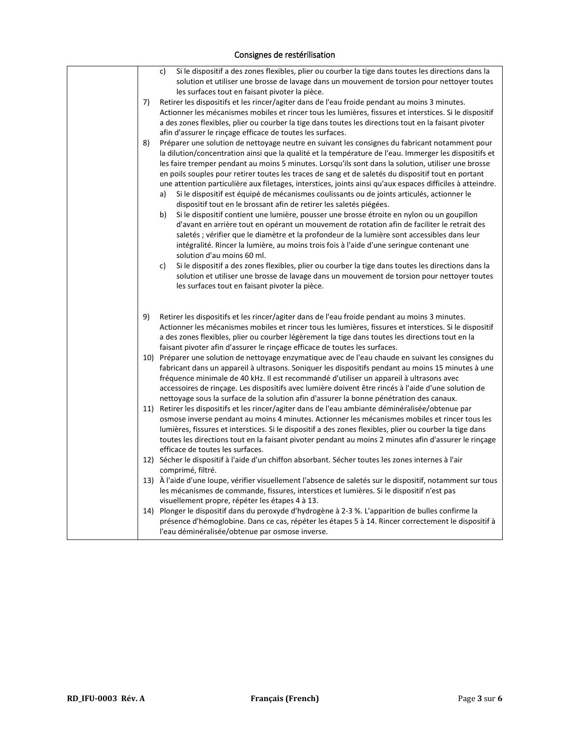## Consignes de restérilisation

|    | Si le dispositif a des zones flexibles, plier ou courber la tige dans toutes les directions dans la<br>C)                                                               |
|----|-------------------------------------------------------------------------------------------------------------------------------------------------------------------------|
|    | solution et utiliser une brosse de lavage dans un mouvement de torsion pour nettoyer toutes                                                                             |
|    | les surfaces tout en faisant pivoter la pièce.                                                                                                                          |
| 7) | Retirer les dispositifs et les rincer/agiter dans de l'eau froide pendant au moins 3 minutes.                                                                           |
|    | Actionner les mécanismes mobiles et rincer tous les lumières, fissures et interstices. Si le dispositif                                                                 |
|    | a des zones flexibles, plier ou courber la tige dans toutes les directions tout en la faisant pivoter                                                                   |
|    | afin d'assurer le rinçage efficace de toutes les surfaces.                                                                                                              |
| 8) | Préparer une solution de nettoyage neutre en suivant les consignes du fabricant notamment pour                                                                          |
|    | la dilution/concentration ainsi que la qualité et la température de l'eau. Immerger les dispositifs et                                                                  |
|    | les faire tremper pendant au moins 5 minutes. Lorsqu'ils sont dans la solution, utiliser une brosse                                                                     |
|    | en poils souples pour retirer toutes les traces de sang et de saletés du dispositif tout en portant                                                                     |
|    | une attention particulière aux filetages, interstices, joints ainsi qu'aux espaces difficiles à atteindre.                                                              |
|    | Si le dispositif est équipé de mécanismes coulissants ou de joints articulés, actionner le<br>a)<br>dispositif tout en le brossant afin de retirer les saletés piégées. |
|    | Si le dispositif contient une lumière, pousser une brosse étroite en nylon ou un goupillon<br>b)                                                                        |
|    | d'avant en arrière tout en opérant un mouvement de rotation afin de faciliter le retrait des                                                                            |
|    | saletés; vérifier que le diamètre et la profondeur de la lumière sont accessibles dans leur                                                                             |
|    | intégralité. Rincer la lumière, au moins trois fois à l'aide d'une seringue contenant une                                                                               |
|    | solution d'au moins 60 ml.                                                                                                                                              |
|    | Si le dispositif a des zones flexibles, plier ou courber la tige dans toutes les directions dans la<br>c)                                                               |
|    | solution et utiliser une brosse de lavage dans un mouvement de torsion pour nettoyer toutes                                                                             |
|    | les surfaces tout en faisant pivoter la pièce.                                                                                                                          |
|    |                                                                                                                                                                         |
|    |                                                                                                                                                                         |
| 9) | Retirer les dispositifs et les rincer/agiter dans de l'eau froide pendant au moins 3 minutes.                                                                           |
|    | Actionner les mécanismes mobiles et rincer tous les lumières, fissures et interstices. Si le dispositif                                                                 |
|    | a des zones flexibles, plier ou courber légèrement la tige dans toutes les directions tout en la                                                                        |
|    | faisant pivoter afin d'assurer le rinçage efficace de toutes les surfaces.                                                                                              |
|    | 10) Préparer une solution de nettoyage enzymatique avec de l'eau chaude en suivant les consignes du                                                                     |
|    | fabricant dans un appareil à ultrasons. Soniquer les dispositifs pendant au moins 15 minutes à une                                                                      |
|    | fréquence minimale de 40 kHz. Il est recommandé d'utiliser un appareil à ultrasons avec                                                                                 |
|    | accessoires de rinçage. Les dispositifs avec lumière doivent être rincés à l'aide d'une solution de                                                                     |
|    | nettoyage sous la surface de la solution afin d'assurer la bonne pénétration des canaux.                                                                                |
|    | 11) Retirer les dispositifs et les rincer/agiter dans de l'eau ambiante déminéralisée/obtenue par                                                                       |
|    | osmose inverse pendant au moins 4 minutes. Actionner les mécanismes mobiles et rincer tous les                                                                          |
|    | lumières, fissures et interstices. Si le dispositif a des zones flexibles, plier ou courber la tige dans                                                                |
|    | toutes les directions tout en la faisant pivoter pendant au moins 2 minutes afin d'assurer le rinçage                                                                   |
|    | efficace de toutes les surfaces.                                                                                                                                        |
|    | 12) Sécher le dispositif à l'aide d'un chiffon absorbant. Sécher toutes les zones internes à l'air                                                                      |
|    | comprimé, filtré.                                                                                                                                                       |
|    | 13) À l'aide d'une loupe, vérifier visuellement l'absence de saletés sur le dispositif, notamment sur tous                                                              |
|    | les mécanismes de commande, fissures, interstices et lumières. Si le dispositif n'est pas                                                                               |
|    | visuellement propre, répéter les étapes 4 à 13.                                                                                                                         |
|    | 14) Plonger le dispositif dans du peroxyde d'hydrogène à 2-3 %. L'apparition de bulles confirme la                                                                      |
|    | présence d'hémoglobine. Dans ce cas, répéter les étapes 5 à 14. Rincer correctement le dispositif à                                                                     |
|    | l'eau déminéralisée/obtenue par osmose inverse.                                                                                                                         |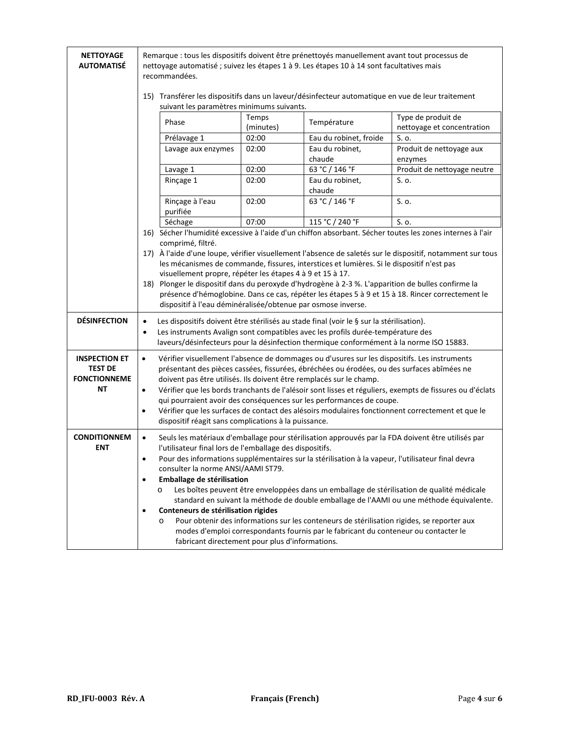| <b>NETTOYAGE</b><br><b>AUTOMATISÉ</b> | Remarque : tous les dispositifs doivent être prénettoyés manuellement avant tout processus de<br>nettoyage automatisé ; suivez les étapes 1 à 9. Les étapes 10 à 14 sont facultatives mais<br>recommandées. |                    |                                                                                                                                                                                   |                                                                                                            |
|---------------------------------------|-------------------------------------------------------------------------------------------------------------------------------------------------------------------------------------------------------------|--------------------|-----------------------------------------------------------------------------------------------------------------------------------------------------------------------------------|------------------------------------------------------------------------------------------------------------|
|                                       | 15) Transférer les dispositifs dans un laveur/désinfecteur automatique en vue de leur traitement<br>suivant les paramètres minimums suivants.                                                               |                    |                                                                                                                                                                                   |                                                                                                            |
|                                       | Phase                                                                                                                                                                                                       | Temps<br>(minutes) | Température                                                                                                                                                                       | Type de produit de<br>nettoyage et concentration                                                           |
|                                       | Prélavage 1                                                                                                                                                                                                 | 02:00              | Eau du robinet, froide                                                                                                                                                            | S. o.                                                                                                      |
|                                       | Lavage aux enzymes                                                                                                                                                                                          | 02:00              | Eau du robinet,<br>chaude                                                                                                                                                         | Produit de nettoyage aux<br>enzymes                                                                        |
|                                       | Lavage 1                                                                                                                                                                                                    | 02:00              | 63 °C / 146 °F                                                                                                                                                                    | Produit de nettoyage neutre                                                                                |
|                                       | Rinçage 1                                                                                                                                                                                                   | 02:00              | Eau du robinet,<br>chaude                                                                                                                                                         | S. o.                                                                                                      |
|                                       | Rinçage à l'eau<br>purifiée                                                                                                                                                                                 | 02:00              | 63 °C / 146 °F                                                                                                                                                                    | S. o.                                                                                                      |
|                                       | Séchage                                                                                                                                                                                                     | 07:00              | 115 °C / 240 °F                                                                                                                                                                   | S. o.                                                                                                      |
|                                       |                                                                                                                                                                                                             |                    |                                                                                                                                                                                   | 16) Sécher l'humidité excessive à l'aide d'un chiffon absorbant. Sécher toutes les zones internes à l'air  |
|                                       | comprimé, filtré.                                                                                                                                                                                           |                    |                                                                                                                                                                                   | 17) À l'aide d'une loupe, vérifier visuellement l'absence de saletés sur le dispositif, notamment sur tous |
|                                       |                                                                                                                                                                                                             |                    | les mécanismes de commande, fissures, interstices et lumières. Si le dispositif n'est pas                                                                                         |                                                                                                            |
|                                       | visuellement propre, répéter les étapes 4 à 9 et 15 à 17.                                                                                                                                                   |                    |                                                                                                                                                                                   |                                                                                                            |
|                                       | 18) Plonger le dispositif dans du peroxyde d'hydrogène à 2-3 %. L'apparition de bulles confirme la                                                                                                          |                    |                                                                                                                                                                                   |                                                                                                            |
|                                       | dispositif à l'eau déminéralisée/obtenue par osmose inverse.                                                                                                                                                |                    |                                                                                                                                                                                   | présence d'hémoglobine. Dans ce cas, répéter les étapes 5 à 9 et 15 à 18. Rincer correctement le           |
| <b>DÉSINFECTION</b>                   | $\bullet$                                                                                                                                                                                                   |                    | Les dispositifs doivent être stérilisés au stade final (voir le § sur la stérilisation).                                                                                          |                                                                                                            |
|                                       | $\bullet$                                                                                                                                                                                                   |                    | Les instruments Avalign sont compatibles avec les profils durée-température des                                                                                                   |                                                                                                            |
|                                       |                                                                                                                                                                                                             |                    | laveurs/désinfecteurs pour la désinfection thermique conformément à la norme ISO 15883.                                                                                           |                                                                                                            |
| <b>INSPECTION ET</b>                  | ٠                                                                                                                                                                                                           |                    | Vérifier visuellement l'absence de dommages ou d'usures sur les dispositifs. Les instruments                                                                                      |                                                                                                            |
| <b>TEST DE</b>                        |                                                                                                                                                                                                             |                    | présentant des pièces cassées, fissurées, ébréchées ou érodées, ou des surfaces abîmées ne                                                                                        |                                                                                                            |
| <b>FONCTIONNEME</b><br>ΝT             | doivent pas être utilisés. Ils doivent être remplacés sur le champ.<br>$\bullet$                                                                                                                            |                    |                                                                                                                                                                                   | Vérifier que les bords tranchants de l'alésoir sont lisses et réguliers, exempts de fissures ou d'éclats   |
|                                       |                                                                                                                                                                                                             |                    | qui pourraient avoir des conséquences sur les performances de coupe.                                                                                                              |                                                                                                            |
|                                       | $\bullet$                                                                                                                                                                                                   |                    |                                                                                                                                                                                   | Vérifier que les surfaces de contact des alésoirs modulaires fonctionnent correctement et que le           |
|                                       | dispositif réagit sans complications à la puissance.                                                                                                                                                        |                    |                                                                                                                                                                                   |                                                                                                            |
| <b>CONDITIONNEM</b>                   | $\bullet$                                                                                                                                                                                                   |                    |                                                                                                                                                                                   | Seuls les matériaux d'emballage pour stérilisation approuvés par la FDA doivent être utilisés par          |
| <b>ENT</b>                            | l'utilisateur final lors de l'emballage des dispositifs.                                                                                                                                                    |                    |                                                                                                                                                                                   |                                                                                                            |
|                                       | consulter la norme ANSI/AAMI ST79.                                                                                                                                                                          |                    | Pour des informations supplémentaires sur la stérilisation à la vapeur, l'utilisateur final devra                                                                                 |                                                                                                            |
|                                       | Emballage de stérilisation<br>$\bullet$                                                                                                                                                                     |                    |                                                                                                                                                                                   |                                                                                                            |
|                                       | $\circ$                                                                                                                                                                                                     |                    |                                                                                                                                                                                   | Les boîtes peuvent être enveloppées dans un emballage de stérilisation de qualité médicale                 |
|                                       |                                                                                                                                                                                                             |                    |                                                                                                                                                                                   | standard en suivant la méthode de double emballage de l'AAMI ou une méthode équivalente.                   |
|                                       | Conteneurs de stérilisation rigides<br>$\bullet$                                                                                                                                                            |                    |                                                                                                                                                                                   |                                                                                                            |
|                                       | $\circ$                                                                                                                                                                                                     |                    | Pour obtenir des informations sur les conteneurs de stérilisation rigides, se reporter aux<br>modes d'emploi correspondants fournis par le fabricant du conteneur ou contacter le |                                                                                                            |
|                                       | fabricant directement pour plus d'informations.                                                                                                                                                             |                    |                                                                                                                                                                                   |                                                                                                            |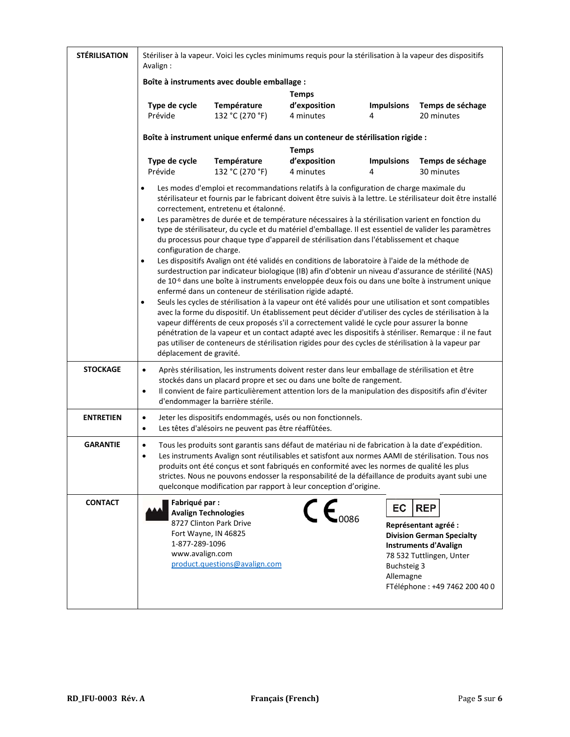| <b>STÉRILISATION</b> | Stériliser à la vapeur. Voici les cycles minimums requis pour la stérilisation à la vapeur des dispositifs<br>Avalign:                                                                                                                                                                                                                                                                           |                                                                                                                 |                                                                                                                                                                                                                                                                                                                                                                                                                                                                                                                                    |                                |                                                                                                                                                                      |
|----------------------|--------------------------------------------------------------------------------------------------------------------------------------------------------------------------------------------------------------------------------------------------------------------------------------------------------------------------------------------------------------------------------------------------|-----------------------------------------------------------------------------------------------------------------|------------------------------------------------------------------------------------------------------------------------------------------------------------------------------------------------------------------------------------------------------------------------------------------------------------------------------------------------------------------------------------------------------------------------------------------------------------------------------------------------------------------------------------|--------------------------------|----------------------------------------------------------------------------------------------------------------------------------------------------------------------|
|                      | Boîte à instruments avec double emballage :                                                                                                                                                                                                                                                                                                                                                      |                                                                                                                 |                                                                                                                                                                                                                                                                                                                                                                                                                                                                                                                                    |                                |                                                                                                                                                                      |
|                      |                                                                                                                                                                                                                                                                                                                                                                                                  |                                                                                                                 | <b>Temps</b>                                                                                                                                                                                                                                                                                                                                                                                                                                                                                                                       |                                |                                                                                                                                                                      |
|                      | Type de cycle<br>Prévide                                                                                                                                                                                                                                                                                                                                                                         | Température<br>132 °C (270 °F)                                                                                  | d'exposition<br>4 minutes                                                                                                                                                                                                                                                                                                                                                                                                                                                                                                          | <b>Impulsions</b><br>4         | Temps de séchage<br>20 minutes                                                                                                                                       |
|                      |                                                                                                                                                                                                                                                                                                                                                                                                  |                                                                                                                 | Boîte à instrument unique enfermé dans un conteneur de stérilisation rigide :                                                                                                                                                                                                                                                                                                                                                                                                                                                      |                                |                                                                                                                                                                      |
|                      | Type de cycle<br>Prévide                                                                                                                                                                                                                                                                                                                                                                         | Température<br>132 °C (270 °F)                                                                                  | <b>Temps</b><br>d'exposition<br>4 minutes                                                                                                                                                                                                                                                                                                                                                                                                                                                                                          | <b>Impulsions</b><br>4         | Temps de séchage<br>30 minutes                                                                                                                                       |
|                      | $\bullet$                                                                                                                                                                                                                                                                                                                                                                                        | correctement, entretenu et étalonné.                                                                            | Les modes d'emploi et recommandations relatifs à la configuration de charge maximale du                                                                                                                                                                                                                                                                                                                                                                                                                                            |                                | stérilisateur et fournis par le fabricant doivent être suivis à la lettre. Le stérilisateur doit être installé                                                       |
|                      | $\bullet$<br>configuration de charge.                                                                                                                                                                                                                                                                                                                                                            |                                                                                                                 | Les paramètres de durée et de température nécessaires à la stérilisation varient en fonction du<br>type de stérilisateur, du cycle et du matériel d'emballage. Il est essentiel de valider les paramètres<br>du processus pour chaque type d'appareil de stérilisation dans l'établissement et chaque                                                                                                                                                                                                                              |                                |                                                                                                                                                                      |
|                      | Les dispositifs Avalign ont été validés en conditions de laboratoire à l'aide de la méthode de<br>$\bullet$<br>surdestruction par indicateur biologique (IB) afin d'obtenir un niveau d'assurance de stérilité (NAS)<br>de 10 <sup>-6</sup> dans une boîte à instruments enveloppée deux fois ou dans une boîte à instrument unique<br>enfermé dans un conteneur de stérilisation rigide adapté. |                                                                                                                 |                                                                                                                                                                                                                                                                                                                                                                                                                                                                                                                                    |                                |                                                                                                                                                                      |
|                      | $\bullet$<br>déplacement de gravité.                                                                                                                                                                                                                                                                                                                                                             |                                                                                                                 | Seuls les cycles de stérilisation à la vapeur ont été validés pour une utilisation et sont compatibles<br>avec la forme du dispositif. Un établissement peut décider d'utiliser des cycles de stérilisation à la<br>vapeur différents de ceux proposés s'il a correctement validé le cycle pour assurer la bonne<br>pénétration de la vapeur et un contact adapté avec les dispositifs à stériliser. Remarque : il ne faut<br>pas utiliser de conteneurs de stérilisation rigides pour des cycles de stérilisation à la vapeur par |                                |                                                                                                                                                                      |
| <b>STOCKAGE</b>      | $\bullet$<br>$\bullet$                                                                                                                                                                                                                                                                                                                                                                           | d'endommager la barrière stérile.                                                                               | Après stérilisation, les instruments doivent rester dans leur emballage de stérilisation et être<br>stockés dans un placard propre et sec ou dans une boîte de rangement.<br>Il convient de faire particulièrement attention lors de la manipulation des dispositifs afin d'éviter                                                                                                                                                                                                                                                 |                                |                                                                                                                                                                      |
| <b>ENTRETIEN</b>     | $\bullet$<br>$\bullet$                                                                                                                                                                                                                                                                                                                                                                           | Les têtes d'alésoirs ne peuvent pas être réaffûtées.                                                            | Jeter les dispositifs endommagés, usés ou non fonctionnels.                                                                                                                                                                                                                                                                                                                                                                                                                                                                        |                                |                                                                                                                                                                      |
| <b>GARANTIE</b>      | $\bullet$<br>$\bullet$                                                                                                                                                                                                                                                                                                                                                                           |                                                                                                                 | Tous les produits sont garantis sans défaut de matériau ni de fabrication à la date d'expédition.<br>Les instruments Avalign sont réutilisables et satisfont aux normes AAMI de stérilisation. Tous nos<br>produits ont été conçus et sont fabriqués en conformité avec les normes de qualité les plus<br>strictes. Nous ne pouvons endosser la responsabilité de la défaillance de produits ayant subi une<br>quelconque modification par rapport à leur conception d'origine.                                                    |                                |                                                                                                                                                                      |
| <b>CONTACT</b>       | Fabriqué par :<br>1-877-289-1096<br>www.avalign.com                                                                                                                                                                                                                                                                                                                                              | <b>Avalign Technologies</b><br>8727 Clinton Park Drive<br>Fort Wayne, IN 46825<br>product.questions@avalign.com | $\mathsf{CE}_{\text{cos}}$                                                                                                                                                                                                                                                                                                                                                                                                                                                                                                         | EC<br>Buchsteig 3<br>Allemagne | <b>REP</b><br>Représentant agréé :<br><b>Division German Specialty</b><br><b>Instruments d'Avalign</b><br>78 532 Tuttlingen, Unter<br>FTéléphone : +49 7462 200 40 0 |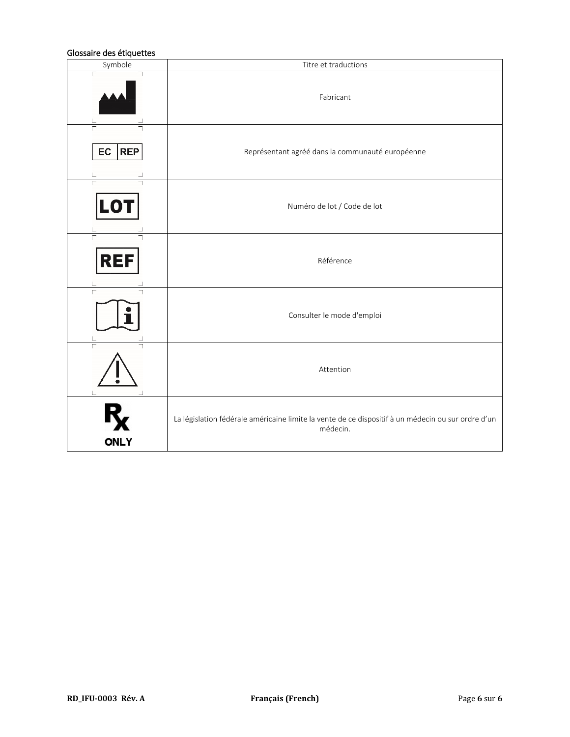### Glossaire des étiquettes

| Symbole          | Titre et traductions                                                                                           |
|------------------|----------------------------------------------------------------------------------------------------------------|
| Г                | Fabricant                                                                                                      |
| EC<br><b>REP</b> | Représentant agréé dans la communauté européenne                                                               |
| LO'              | Numéro de lot / Code de lot                                                                                    |
| REI              | Référence                                                                                                      |
|                  | Consulter le mode d'emploi                                                                                     |
|                  | Attention                                                                                                      |
| <b>ONLY</b>      | La législation fédérale américaine limite la vente de ce dispositif à un médecin ou sur ordre d'un<br>médecin. |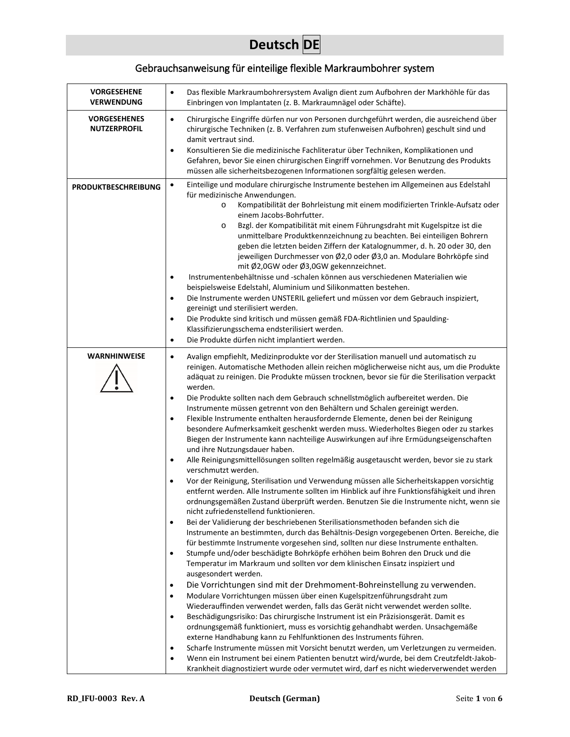# **Deutsch DE**

# Gebrauchsanweisung für einteilige flexible Markraumbohrer system

| Das flexible Markraumbohrersystem Avalign dient zum Aufbohren der Markhöhle für das                                                                                                                                                                                                                                                                                                                                                                                                                                                                                                                                                                                                                                                                                                                                                                                                                                                                                                                                                                                                                                                                                                                                                                                                                                                                                                                                                                                                                                                                                                                                                                                                                                                                                                                                                                                                                                                                                                                                                                                                                                                                                                                                                                                                                                                                    |
|--------------------------------------------------------------------------------------------------------------------------------------------------------------------------------------------------------------------------------------------------------------------------------------------------------------------------------------------------------------------------------------------------------------------------------------------------------------------------------------------------------------------------------------------------------------------------------------------------------------------------------------------------------------------------------------------------------------------------------------------------------------------------------------------------------------------------------------------------------------------------------------------------------------------------------------------------------------------------------------------------------------------------------------------------------------------------------------------------------------------------------------------------------------------------------------------------------------------------------------------------------------------------------------------------------------------------------------------------------------------------------------------------------------------------------------------------------------------------------------------------------------------------------------------------------------------------------------------------------------------------------------------------------------------------------------------------------------------------------------------------------------------------------------------------------------------------------------------------------------------------------------------------------------------------------------------------------------------------------------------------------------------------------------------------------------------------------------------------------------------------------------------------------------------------------------------------------------------------------------------------------------------------------------------------------------------------------------------------------|
| Einbringen von Implantaten (z. B. Markraumnägel oder Schäfte).                                                                                                                                                                                                                                                                                                                                                                                                                                                                                                                                                                                                                                                                                                                                                                                                                                                                                                                                                                                                                                                                                                                                                                                                                                                                                                                                                                                                                                                                                                                                                                                                                                                                                                                                                                                                                                                                                                                                                                                                                                                                                                                                                                                                                                                                                         |
| Chirurgische Eingriffe dürfen nur von Personen durchgeführt werden, die ausreichend über<br>chirurgische Techniken (z. B. Verfahren zum stufenweisen Aufbohren) geschult sind und<br>damit vertraut sind.<br>Konsultieren Sie die medizinische Fachliteratur über Techniken, Komplikationen und<br>Gefahren, bevor Sie einen chirurgischen Eingriff vornehmen. Vor Benutzung des Produkts<br>müssen alle sicherheitsbezogenen Informationen sorgfältig gelesen werden.                                                                                                                                                                                                                                                                                                                                                                                                                                                                                                                                                                                                                                                                                                                                                                                                                                                                                                                                                                                                                                                                                                                                                                                                                                                                                                                                                                                                                                                                                                                                                                                                                                                                                                                                                                                                                                                                                 |
| Einteilige und modulare chirurgische Instrumente bestehen im Allgemeinen aus Edelstahl<br>für medizinische Anwendungen.<br>Kompatibilität der Bohrleistung mit einem modifizierten Trinkle-Aufsatz oder<br>$\circ$<br>einem Jacobs-Bohrfutter.<br>Bzgl. der Kompatibilität mit einem Führungsdraht mit Kugelspitze ist die<br>$\circ$<br>unmittelbare Produktkennzeichnung zu beachten. Bei einteiligen Bohrern<br>geben die letzten beiden Ziffern der Katalognummer, d. h. 20 oder 30, den<br>jeweiligen Durchmesser von Ø2,0 oder Ø3,0 an. Modulare Bohrköpfe sind<br>mit Ø2,0GW oder Ø3,0GW gekennzeichnet.<br>Instrumentenbehältnisse und -schalen können aus verschiedenen Materialien wie<br>beispielsweise Edelstahl, Aluminium und Silikonmatten bestehen.<br>Die Instrumente werden UNSTERIL geliefert und müssen vor dem Gebrauch inspiziert,<br>gereinigt und sterilisiert werden.<br>Die Produkte sind kritisch und müssen gemäß FDA-Richtlinien und Spaulding-<br>Klassifizierungsschema endsterilisiert werden.<br>Die Produkte dürfen nicht implantiert werden.                                                                                                                                                                                                                                                                                                                                                                                                                                                                                                                                                                                                                                                                                                                                                                                                                                                                                                                                                                                                                                                                                                                                                                                                                                                                        |
| Avalign empfiehlt, Medizinprodukte vor der Sterilisation manuell und automatisch zu<br>reinigen. Automatische Methoden allein reichen möglicherweise nicht aus, um die Produkte<br>adäquat zu reinigen. Die Produkte müssen trocknen, bevor sie für die Sterilisation verpackt<br>werden.<br>Die Produkte sollten nach dem Gebrauch schnellstmöglich aufbereitet werden. Die<br>Instrumente müssen getrennt von den Behältern und Schalen gereinigt werden.<br>Flexible Instrumente enthalten herausfordernde Elemente, denen bei der Reinigung<br>besondere Aufmerksamkeit geschenkt werden muss. Wiederholtes Biegen oder zu starkes<br>Biegen der Instrumente kann nachteilige Auswirkungen auf ihre Ermüdungseigenschaften<br>und ihre Nutzungsdauer haben.<br>Alle Reinigungsmittellösungen sollten regelmäßig ausgetauscht werden, bevor sie zu stark<br>verschmutzt werden.<br>Vor der Reinigung, Sterilisation und Verwendung müssen alle Sicherheitskappen vorsichtig<br>entfernt werden. Alle Instrumente sollten im Hinblick auf ihre Funktionsfähigkeit und ihren<br>ordnungsgemäßen Zustand überprüft werden. Benutzen Sie die Instrumente nicht, wenn sie<br>nicht zufriedenstellend funktionieren.<br>Bei der Validierung der beschriebenen Sterilisationsmethoden befanden sich die<br>Instrumente an bestimmten, durch das Behältnis-Design vorgegebenen Orten. Bereiche, die<br>für bestimmte Instrumente vorgesehen sind, sollten nur diese Instrumente enthalten.<br>Stumpfe und/oder beschädigte Bohrköpfe erhöhen beim Bohren den Druck und die<br>Temperatur im Markraum und sollten vor dem klinischen Einsatz inspiziert und<br>ausgesondert werden.<br>Die Vorrichtungen sind mit der Drehmoment-Bohreinstellung zu verwenden.<br>Modulare Vorrichtungen müssen über einen Kugelspitzenführungsdraht zum<br>Wiederauffinden verwendet werden, falls das Gerät nicht verwendet werden sollte.<br>Beschädigungsrisiko: Das chirurgische Instrument ist ein Präzisionsgerät. Damit es<br>ordnungsgemäß funktioniert, muss es vorsichtig gehandhabt werden. Unsachgemäße<br>externe Handhabung kann zu Fehlfunktionen des Instruments führen.<br>Scharfe Instrumente müssen mit Vorsicht benutzt werden, um Verletzungen zu vermeiden.<br>Wenn ein Instrument bei einem Patienten benutzt wird/wurde, bei dem Creutzfeldt-Jakob- |
|                                                                                                                                                                                                                                                                                                                                                                                                                                                                                                                                                                                                                                                                                                                                                                                                                                                                                                                                                                                                                                                                                                                                                                                                                                                                                                                                                                                                                                                                                                                                                                                                                                                                                                                                                                                                                                                                                                                                                                                                                                                                                                                                                                                                                                                                                                                                                        |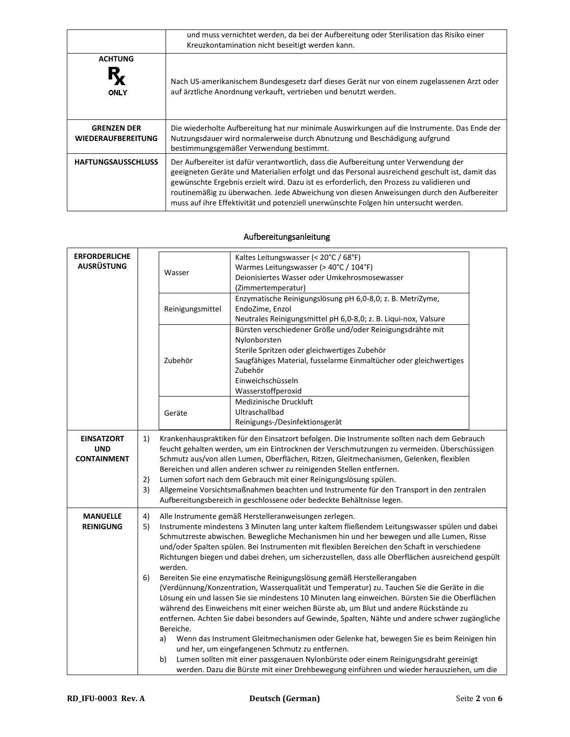|                                          | und muss vernichtet werden, da bei der Aufbereitung oder Sterilisation das Risiko einer<br>Kreuzkontamination nicht beseitigt werden kann.                                                                                                                                                                                                                                                                                                                              |
|------------------------------------------|-------------------------------------------------------------------------------------------------------------------------------------------------------------------------------------------------------------------------------------------------------------------------------------------------------------------------------------------------------------------------------------------------------------------------------------------------------------------------|
| <b>ACHTUNG</b><br><b>ONLY</b>            | Nach US-amerikanischem Bundesgesetz darf dieses Gerät nur von einem zugelassenen Arzt oder<br>auf ärztliche Anordnung verkauft, vertrieben und benutzt werden.                                                                                                                                                                                                                                                                                                          |
| <b>GRENZEN DER</b><br>WIEDERAUFBEREITUNG | Die wiederholte Aufbereitung hat nur minimale Auswirkungen auf die Instrumente. Das Ende der<br>Nutzungsdauer wird normalerweise durch Abnutzung und Beschädigung aufgrund<br>bestimmungsgemäßer Verwendung bestimmt.                                                                                                                                                                                                                                                   |
| <b>HAFTUNGSAUSSCHLUSS</b>                | Der Aufbereiter ist dafür verantwortlich, dass die Aufbereitung unter Verwendung der<br>geeigneten Geräte und Materialien erfolgt und das Personal ausreichend geschult ist, damit das<br>gewünschte Ergebnis erzielt wird. Dazu ist es erforderlich, den Prozess zu validieren und<br>routinemäßig zu überwachen. Jede Abweichung von diesen Anweisungen durch den Aufbereiter<br>muss auf ihre Effektivität und potenziell unerwünschte Folgen hin untersucht werden. |

## Aufbereitungsanleitung

| <b>ERFORDERLICHE</b><br><b>AUSRÜSTUNG</b>             |                | Wasser                                                                                                                                                                                                                                                                                                                                                                                                                                                                                                                                                                                                   | Kaltes Leitungswasser (< 20°C / 68°F)<br>Warmes Leitungswasser (> 40°C / 104°F)<br>Deionisiertes Wasser oder Umkehrosmosewasser<br>(Zimmertemperatur)<br>Enzymatische Reinigungslösung pH 6,0-8,0; z. B. MetriZyme,                                                                                                                                                                                                                                                                                                                                                                                                                                                                                                                                                                                      |  |  |  |
|-------------------------------------------------------|----------------|----------------------------------------------------------------------------------------------------------------------------------------------------------------------------------------------------------------------------------------------------------------------------------------------------------------------------------------------------------------------------------------------------------------------------------------------------------------------------------------------------------------------------------------------------------------------------------------------------------|----------------------------------------------------------------------------------------------------------------------------------------------------------------------------------------------------------------------------------------------------------------------------------------------------------------------------------------------------------------------------------------------------------------------------------------------------------------------------------------------------------------------------------------------------------------------------------------------------------------------------------------------------------------------------------------------------------------------------------------------------------------------------------------------------------|--|--|--|
|                                                       |                | Reinigungsmittel<br>Zubehör                                                                                                                                                                                                                                                                                                                                                                                                                                                                                                                                                                              | EndoZime, Enzol<br>Neutrales Reinigungsmittel pH 6,0-8,0; z. B. Liqui-nox, Valsure<br>Bürsten verschiedener Größe und/oder Reinigungsdrähte mit<br>Nylonborsten<br>Sterile Spritzen oder gleichwertiges Zubehör<br>Saugfähiges Material, fusselarme Einmaltücher oder gleichwertiges<br>Zubehör<br>Einweichschüsseln<br>Wasserstoffperoxid                                                                                                                                                                                                                                                                                                                                                                                                                                                               |  |  |  |
|                                                       |                | Geräte                                                                                                                                                                                                                                                                                                                                                                                                                                                                                                                                                                                                   | Medizinische Druckluft<br>Ultraschallbad<br>Reinigungs-/Desinfektionsgerät                                                                                                                                                                                                                                                                                                                                                                                                                                                                                                                                                                                                                                                                                                                               |  |  |  |
| <b>EINSATZORT</b><br><b>UND</b><br><b>CONTAINMENT</b> | 1)<br>2)<br>3) | Krankenhauspraktiken für den Einsatzort befolgen. Die Instrumente sollten nach dem Gebrauch<br>feucht gehalten werden, um ein Eintrocknen der Verschmutzungen zu vermeiden. Überschüssigen<br>Schmutz aus/von allen Lumen, Oberflächen, Ritzen, Gleitmechanismen, Gelenken, flexiblen<br>Bereichen und allen anderen schwer zu reinigenden Stellen entfernen.<br>Lumen sofort nach dem Gebrauch mit einer Reinigungslösung spülen.<br>Allgemeine Vorsichtsmaßnahmen beachten und Instrumente für den Transport in den zentralen<br>Aufbereitungsbereich in geschlossene oder bedeckte Behältnisse legen. |                                                                                                                                                                                                                                                                                                                                                                                                                                                                                                                                                                                                                                                                                                                                                                                                          |  |  |  |
| <b>MANUELLE</b><br><b>REINIGUNG</b>                   | 4)<br>5)       | Alle Instrumente gemäß Herstelleranweisungen zerlegen.<br>Instrumente mindestens 3 Minuten lang unter kaltem fließendem Leitungswasser spülen und dabei<br>Schmutzreste abwischen. Bewegliche Mechanismen hin und her bewegen und alle Lumen, Risse<br>und/oder Spalten spülen. Bei Instrumenten mit flexiblen Bereichen den Schaft in verschiedene<br>Richtungen biegen und dabei drehen, um sicherzustellen, dass alle Oberflächen ausreichend gespült<br>werden.                                                                                                                                      |                                                                                                                                                                                                                                                                                                                                                                                                                                                                                                                                                                                                                                                                                                                                                                                                          |  |  |  |
|                                                       | 6)             | Bereiche.<br>a)<br>b)                                                                                                                                                                                                                                                                                                                                                                                                                                                                                                                                                                                    | Bereiten Sie eine enzymatische Reinigungslösung gemäß Herstellerangaben<br>(Verdünnung/Konzentration, Wasserqualität und Temperatur) zu. Tauchen Sie die Geräte in die<br>Lösung ein und lassen Sie sie mindestens 10 Minuten lang einweichen. Bürsten Sie die Oberflächen<br>während des Einweichens mit einer weichen Bürste ab, um Blut und andere Rückstände zu<br>entfernen. Achten Sie dabei besonders auf Gewinde, Spalten, Nähte und andere schwer zugängliche<br>Wenn das Instrument Gleitmechanismen oder Gelenke hat, bewegen Sie es beim Reinigen hin<br>und her, um eingefangenen Schmutz zu entfernen.<br>Lumen sollten mit einer passgenauen Nylonbürste oder einem Reinigungsdraht gereinigt<br>werden. Dazu die Bürste mit einer Drehbewegung einführen und wieder herausziehen, um die |  |  |  |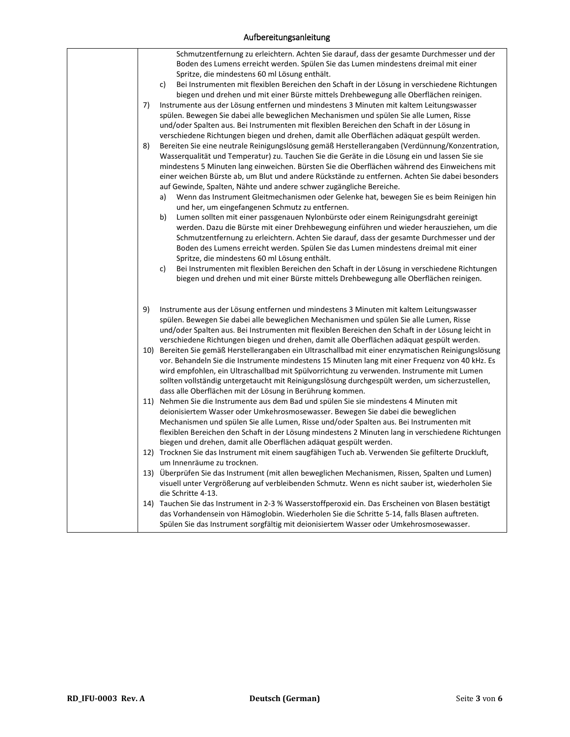## Aufbereitungsanleitung

|    | Schmutzentfernung zu erleichtern. Achten Sie darauf, dass der gesamte Durchmesser und der            |
|----|------------------------------------------------------------------------------------------------------|
|    | Boden des Lumens erreicht werden. Spülen Sie das Lumen mindestens dreimal mit einer                  |
|    | Spritze, die mindestens 60 ml Lösung enthält.                                                        |
|    | Bei Instrumenten mit flexiblen Bereichen den Schaft in der Lösung in verschiedene Richtungen<br>c)   |
|    | biegen und drehen und mit einer Bürste mittels Drehbewegung alle Oberflächen reinigen.               |
| 7) | Instrumente aus der Lösung entfernen und mindestens 3 Minuten mit kaltem Leitungswasser              |
|    | spülen. Bewegen Sie dabei alle beweglichen Mechanismen und spülen Sie alle Lumen, Risse              |
|    |                                                                                                      |
|    | und/oder Spalten aus. Bei Instrumenten mit flexiblen Bereichen den Schaft in der Lösung in           |
|    | verschiedene Richtungen biegen und drehen, damit alle Oberflächen adäquat gespült werden.            |
| 8) | Bereiten Sie eine neutrale Reinigungslösung gemäß Herstellerangaben (Verdünnung/Konzentration,       |
|    | Wasserqualität und Temperatur) zu. Tauchen Sie die Geräte in die Lösung ein und lassen Sie sie       |
|    | mindestens 5 Minuten lang einweichen. Bürsten Sie die Oberflächen während des Einweichens mit        |
|    | einer weichen Bürste ab, um Blut und andere Rückstände zu entfernen. Achten Sie dabei besonders      |
|    | auf Gewinde, Spalten, Nähte und andere schwer zugängliche Bereiche.                                  |
|    | Wenn das Instrument Gleitmechanismen oder Gelenke hat, bewegen Sie es beim Reinigen hin<br>a)        |
|    | und her, um eingefangenen Schmutz zu entfernen.                                                      |
|    | b)<br>Lumen sollten mit einer passgenauen Nylonbürste oder einem Reinigungsdraht gereinigt           |
|    | werden. Dazu die Bürste mit einer Drehbewegung einführen und wieder herausziehen, um die             |
|    | Schmutzentfernung zu erleichtern. Achten Sie darauf, dass der gesamte Durchmesser und der            |
|    | Boden des Lumens erreicht werden. Spülen Sie das Lumen mindestens dreimal mit einer                  |
|    | Spritze, die mindestens 60 ml Lösung enthält.                                                        |
|    | c)<br>Bei Instrumenten mit flexiblen Bereichen den Schaft in der Lösung in verschiedene Richtungen   |
|    | biegen und drehen und mit einer Bürste mittels Drehbewegung alle Oberflächen reinigen.               |
|    |                                                                                                      |
|    |                                                                                                      |
| 9) | Instrumente aus der Lösung entfernen und mindestens 3 Minuten mit kaltem Leitungswasser              |
|    | spülen. Bewegen Sie dabei alle beweglichen Mechanismen und spülen Sie alle Lumen, Risse              |
|    | und/oder Spalten aus. Bei Instrumenten mit flexiblen Bereichen den Schaft in der Lösung leicht in    |
|    | verschiedene Richtungen biegen und drehen, damit alle Oberflächen adäquat gespült werden.            |
|    | 10) Bereiten Sie gemäß Herstellerangaben ein Ultraschallbad mit einer enzymatischen Reinigungslösung |
|    | vor. Behandeln Sie die Instrumente mindestens 15 Minuten lang mit einer Frequenz von 40 kHz. Es      |
|    | wird empfohlen, ein Ultraschallbad mit Spülvorrichtung zu verwenden. Instrumente mit Lumen           |
|    | sollten vollständig untergetaucht mit Reinigungslösung durchgespült werden, um sicherzustellen,      |
|    | dass alle Oberflächen mit der Lösung in Berührung kommen.                                            |
|    | 11) Nehmen Sie die Instrumente aus dem Bad und spülen Sie sie mindestens 4 Minuten mit               |
|    | deionisiertem Wasser oder Umkehrosmosewasser. Bewegen Sie dabei die beweglichen                      |
|    | Mechanismen und spülen Sie alle Lumen, Risse und/oder Spalten aus. Bei Instrumenten mit              |
|    | flexiblen Bereichen den Schaft in der Lösung mindestens 2 Minuten lang in verschiedene Richtungen    |
|    | biegen und drehen, damit alle Oberflächen adäquat gespült werden.                                    |
|    | 12) Trocknen Sie das Instrument mit einem saugfähigen Tuch ab. Verwenden Sie gefilterte Druckluft,   |
|    | um Innenräume zu trocknen.                                                                           |
|    | 13) Überprüfen Sie das Instrument (mit allen beweglichen Mechanismen, Rissen, Spalten und Lumen)     |
|    | visuell unter Vergrößerung auf verbleibenden Schmutz. Wenn es nicht sauber ist, wiederholen Sie      |
|    | die Schritte 4-13.                                                                                   |
|    | 14) Tauchen Sie das Instrument in 2-3 % Wasserstoffperoxid ein. Das Erscheinen von Blasen bestätigt  |
|    | das Vorhandensein von Hämoglobin. Wiederholen Sie die Schritte 5-14, falls Blasen auftreten.         |
|    | Spülen Sie das Instrument sorgfältig mit deionisiertem Wasser oder Umkehrosmosewasser.               |
|    |                                                                                                      |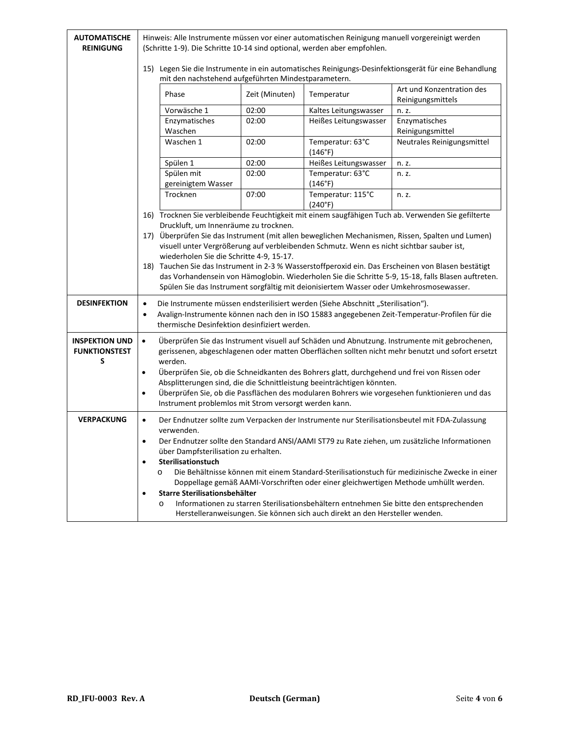| <b>AUTOMATISCHE</b><br><b>REINIGUNG</b>            | Hinweis: Alle Instrumente müssen vor einer automatischen Reinigung manuell vorgereinigt werden<br>(Schritte 1-9). Die Schritte 10-14 sind optional, werden aber empfohlen.                                                                                  |                                                                                                                                                                                                                                                                                                     |                |                                                                              |                                                                                                    |  |
|----------------------------------------------------|-------------------------------------------------------------------------------------------------------------------------------------------------------------------------------------------------------------------------------------------------------------|-----------------------------------------------------------------------------------------------------------------------------------------------------------------------------------------------------------------------------------------------------------------------------------------------------|----------------|------------------------------------------------------------------------------|----------------------------------------------------------------------------------------------------|--|
|                                                    | 15) Legen Sie die Instrumente in ein automatisches Reinigungs-Desinfektionsgerät für eine Behandlung<br>mit den nachstehend aufgeführten Mindestparametern.                                                                                                 |                                                                                                                                                                                                                                                                                                     |                |                                                                              |                                                                                                    |  |
|                                                    |                                                                                                                                                                                                                                                             | Phase                                                                                                                                                                                                                                                                                               | Zeit (Minuten) | Temperatur                                                                   | Art und Konzentration des<br>Reinigungsmittels                                                     |  |
|                                                    |                                                                                                                                                                                                                                                             | Vorwäsche 1                                                                                                                                                                                                                                                                                         | 02:00          | Kaltes Leitungswasser                                                        | n. z.                                                                                              |  |
|                                                    |                                                                                                                                                                                                                                                             | Enzymatisches                                                                                                                                                                                                                                                                                       | 02:00          | Heißes Leitungswasser                                                        | Enzymatisches                                                                                      |  |
|                                                    |                                                                                                                                                                                                                                                             | Waschen                                                                                                                                                                                                                                                                                             |                |                                                                              | Reinigungsmittel                                                                                   |  |
|                                                    |                                                                                                                                                                                                                                                             | Waschen 1                                                                                                                                                                                                                                                                                           | 02:00          | Temperatur: 63°C<br>(146°F)                                                  | Neutrales Reinigungsmittel                                                                         |  |
|                                                    |                                                                                                                                                                                                                                                             | Spülen 1                                                                                                                                                                                                                                                                                            | 02:00          | Heißes Leitungswasser                                                        | n. z.                                                                                              |  |
|                                                    |                                                                                                                                                                                                                                                             | Spülen mit                                                                                                                                                                                                                                                                                          | 02:00          | Temperatur: 63°C                                                             | n. z.                                                                                              |  |
|                                                    |                                                                                                                                                                                                                                                             | gereinigtem Wasser                                                                                                                                                                                                                                                                                  |                | (146°F)                                                                      |                                                                                                    |  |
|                                                    |                                                                                                                                                                                                                                                             | Trocknen                                                                                                                                                                                                                                                                                            | 07:00          | Temperatur: 115°C<br>(240°F)                                                 | n. z.                                                                                              |  |
|                                                    |                                                                                                                                                                                                                                                             |                                                                                                                                                                                                                                                                                                     |                |                                                                              | 16) Trocknen Sie verbleibende Feuchtigkeit mit einem saugfähigen Tuch ab. Verwenden Sie gefilterte |  |
|                                                    |                                                                                                                                                                                                                                                             | Druckluft, um Innenräume zu trocknen.                                                                                                                                                                                                                                                               |                |                                                                              |                                                                                                    |  |
|                                                    |                                                                                                                                                                                                                                                             | 17) Überprüfen Sie das Instrument (mit allen beweglichen Mechanismen, Rissen, Spalten und Lumen)                                                                                                                                                                                                    |                |                                                                              |                                                                                                    |  |
|                                                    |                                                                                                                                                                                                                                                             | visuell unter Vergrößerung auf verbleibenden Schmutz. Wenn es nicht sichtbar sauber ist,                                                                                                                                                                                                            |                |                                                                              |                                                                                                    |  |
|                                                    |                                                                                                                                                                                                                                                             | wiederholen Sie die Schritte 4-9, 15-17.                                                                                                                                                                                                                                                            |                |                                                                              |                                                                                                    |  |
|                                                    |                                                                                                                                                                                                                                                             | 18) Tauchen Sie das Instrument in 2-3 % Wasserstoffperoxid ein. Das Erscheinen von Blasen bestätigt<br>das Vorhandensein von Hämoglobin. Wiederholen Sie die Schritte 5-9, 15-18, falls Blasen auftreten.<br>Spülen Sie das Instrument sorgfältig mit deionisiertem Wasser oder Umkehrosmosewasser. |                |                                                                              |                                                                                                    |  |
|                                                    |                                                                                                                                                                                                                                                             |                                                                                                                                                                                                                                                                                                     |                |                                                                              |                                                                                                    |  |
| <b>DESINFEKTION</b>                                | Die Instrumente müssen endsterilisiert werden (Siehe Abschnitt "Sterilisation").<br>$\bullet$<br>Avalign-Instrumente können nach den in ISO 15883 angegebenen Zeit-Temperatur-Profilen für die<br>$\bullet$<br>thermische Desinfektion desinfiziert werden. |                                                                                                                                                                                                                                                                                                     |                |                                                                              |                                                                                                    |  |
| <b>INSPEKTION UND</b><br><b>FUNKTIONSTEST</b><br>S | Überprüfen Sie das Instrument visuell auf Schäden und Abnutzung. Instrumente mit gebrochenen,<br>$\bullet$<br>gerissenen, abgeschlagenen oder matten Oberflächen sollten nicht mehr benutzt und sofort ersetzt<br>werden.                                   |                                                                                                                                                                                                                                                                                                     |                |                                                                              |                                                                                                    |  |
|                                                    | Überprüfen Sie, ob die Schneidkanten des Bohrers glatt, durchgehend und frei von Rissen oder                                                                                                                                                                |                                                                                                                                                                                                                                                                                                     |                |                                                                              |                                                                                                    |  |
|                                                    |                                                                                                                                                                                                                                                             | Absplitterungen sind, die die Schnittleistung beeinträchtigen könnten.                                                                                                                                                                                                                              |                |                                                                              |                                                                                                    |  |
|                                                    | Überprüfen Sie, ob die Passflächen des modularen Bohrers wie vorgesehen funktionieren und das<br>$\bullet$<br>Instrument problemlos mit Strom versorgt werden kann.                                                                                         |                                                                                                                                                                                                                                                                                                     |                |                                                                              |                                                                                                    |  |
|                                                    |                                                                                                                                                                                                                                                             |                                                                                                                                                                                                                                                                                                     |                |                                                                              |                                                                                                    |  |
| <b>VERPACKUNG</b>                                  | $\bullet$                                                                                                                                                                                                                                                   |                                                                                                                                                                                                                                                                                                     |                |                                                                              | Der Endnutzer sollte zum Verpacken der Instrumente nur Sterilisationsbeutel mit FDA-Zulassung      |  |
|                                                    |                                                                                                                                                                                                                                                             | verwenden.                                                                                                                                                                                                                                                                                          |                |                                                                              |                                                                                                    |  |
|                                                    | ٠                                                                                                                                                                                                                                                           | über Dampfsterilisation zu erhalten.                                                                                                                                                                                                                                                                |                |                                                                              | Der Endnutzer sollte den Standard ANSI/AAMI ST79 zu Rate ziehen, um zusätzliche Informationen      |  |
|                                                    | ٠                                                                                                                                                                                                                                                           | Sterilisationstuch                                                                                                                                                                                                                                                                                  |                |                                                                              |                                                                                                    |  |
|                                                    |                                                                                                                                                                                                                                                             | $\circ$                                                                                                                                                                                                                                                                                             |                |                                                                              | Die Behältnisse können mit einem Standard-Sterilisationstuch für medizinische Zwecke in einer      |  |
|                                                    |                                                                                                                                                                                                                                                             |                                                                                                                                                                                                                                                                                                     |                |                                                                              | Doppellage gemäß AAMI-Vorschriften oder einer gleichwertigen Methode umhüllt werden.               |  |
|                                                    | $\bullet$                                                                                                                                                                                                                                                   | Starre Sterilisationsbehälter<br>$\circ$                                                                                                                                                                                                                                                            |                |                                                                              | Informationen zu starren Sterilisationsbehältern entnehmen Sie bitte den entsprechenden            |  |
|                                                    |                                                                                                                                                                                                                                                             |                                                                                                                                                                                                                                                                                                     |                | Herstelleranweisungen. Sie können sich auch direkt an den Hersteller wenden. |                                                                                                    |  |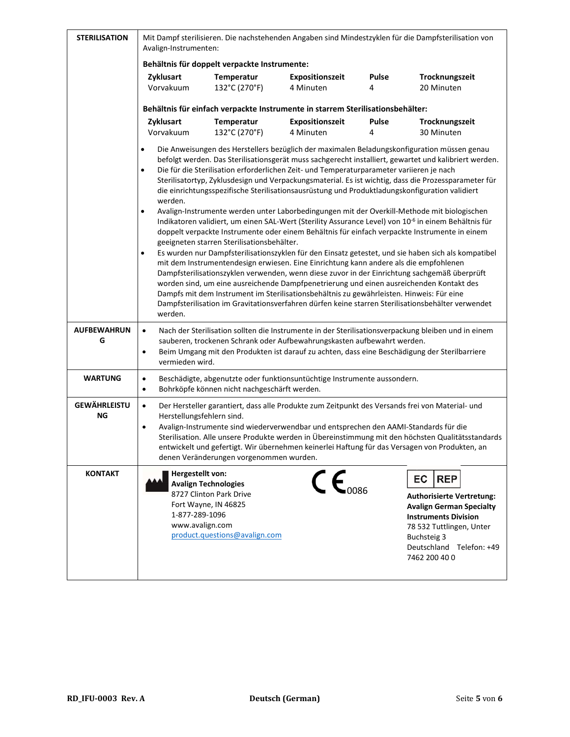| <b>STERILISATION</b>      | Mit Dampf sterilisieren. Die nachstehenden Angaben sind Mindestzyklen für die Dampfsterilisation von<br>Avalign-Instrumenten:                                                                                                                                                                                                                                                                                                                                                                                                                                                                                                                                                                                                                                                                                                                                                                                                                                                                                                                                                                                                                                                                                                                                                                                                                                                                                                                                                                                                           |                                                          |                          |  |                                                                                                                                                                                                                |  |  |  |
|---------------------------|-----------------------------------------------------------------------------------------------------------------------------------------------------------------------------------------------------------------------------------------------------------------------------------------------------------------------------------------------------------------------------------------------------------------------------------------------------------------------------------------------------------------------------------------------------------------------------------------------------------------------------------------------------------------------------------------------------------------------------------------------------------------------------------------------------------------------------------------------------------------------------------------------------------------------------------------------------------------------------------------------------------------------------------------------------------------------------------------------------------------------------------------------------------------------------------------------------------------------------------------------------------------------------------------------------------------------------------------------------------------------------------------------------------------------------------------------------------------------------------------------------------------------------------------|----------------------------------------------------------|--------------------------|--|----------------------------------------------------------------------------------------------------------------------------------------------------------------------------------------------------------------|--|--|--|
|                           | Behältnis für doppelt verpackte Instrumente:                                                                                                                                                                                                                                                                                                                                                                                                                                                                                                                                                                                                                                                                                                                                                                                                                                                                                                                                                                                                                                                                                                                                                                                                                                                                                                                                                                                                                                                                                            |                                                          |                          |  |                                                                                                                                                                                                                |  |  |  |
|                           | Zyklusart<br>Temperatur<br><b>Pulse</b><br>Trocknungszeit<br><b>Expositionszeit</b><br>Vorvakuum<br>132°C (270°F)<br>4 Minuten<br>4<br>20 Minuten                                                                                                                                                                                                                                                                                                                                                                                                                                                                                                                                                                                                                                                                                                                                                                                                                                                                                                                                                                                                                                                                                                                                                                                                                                                                                                                                                                                       |                                                          |                          |  |                                                                                                                                                                                                                |  |  |  |
|                           | Behältnis für einfach verpackte Instrumente in starrem Sterilisationsbehälter:                                                                                                                                                                                                                                                                                                                                                                                                                                                                                                                                                                                                                                                                                                                                                                                                                                                                                                                                                                                                                                                                                                                                                                                                                                                                                                                                                                                                                                                          |                                                          |                          |  |                                                                                                                                                                                                                |  |  |  |
|                           | Trocknungszeit<br>30 Minuten                                                                                                                                                                                                                                                                                                                                                                                                                                                                                                                                                                                                                                                                                                                                                                                                                                                                                                                                                                                                                                                                                                                                                                                                                                                                                                                                                                                                                                                                                                            |                                                          |                          |  |                                                                                                                                                                                                                |  |  |  |
|                           | Die Anweisungen des Herstellers bezüglich der maximalen Beladungskonfiguration müssen genau<br>$\bullet$<br>befolgt werden. Das Sterilisationsgerät muss sachgerecht installiert, gewartet und kalibriert werden.<br>Die für die Sterilisation erforderlichen Zeit- und Temperaturparameter variieren je nach<br>$\bullet$<br>Sterilisatortyp, Zyklusdesign und Verpackungsmaterial. Es ist wichtig, dass die Prozessparameter für<br>die einrichtungsspezifische Sterilisationsausrüstung und Produktladungskonfiguration validiert<br>werden.<br>Avalign-Instrumente werden unter Laborbedingungen mit der Overkill-Methode mit biologischen<br>$\bullet$<br>Indikatoren validiert, um einen SAL-Wert (Sterility Assurance Level) von 10 <sup>-6</sup> in einem Behältnis für<br>doppelt verpackte Instrumente oder einem Behältnis für einfach verpackte Instrumente in einem<br>geeigneten starren Sterilisationsbehälter.<br>Es wurden nur Dampfsterilisationszyklen für den Einsatz getestet, und sie haben sich als kompatibel<br>$\bullet$<br>mit dem Instrumentendesign erwiesen. Eine Einrichtung kann andere als die empfohlenen<br>Dampfsterilisationszyklen verwenden, wenn diese zuvor in der Einrichtung sachgemäß überprüft<br>worden sind, um eine ausreichende Dampfpenetrierung und einen ausreichenden Kontakt des<br>Dampfs mit dem Instrument im Sterilisationsbehältnis zu gewährleisten. Hinweis: Für eine<br>Dampfsterilisation im Gravitationsverfahren dürfen keine starren Sterilisationsbehälter verwendet |                                                          |                          |  |                                                                                                                                                                                                                |  |  |  |
| <b>AUFBEWAHRUN</b><br>G   | Nach der Sterilisation sollten die Instrumente in der Sterilisationsverpackung bleiben und in einem<br>$\bullet$<br>sauberen, trockenen Schrank oder Aufbewahrungskasten aufbewahrt werden.<br>Beim Umgang mit den Produkten ist darauf zu achten, dass eine Beschädigung der Sterilbarriere<br>$\bullet$<br>vermieden wird.                                                                                                                                                                                                                                                                                                                                                                                                                                                                                                                                                                                                                                                                                                                                                                                                                                                                                                                                                                                                                                                                                                                                                                                                            |                                                          |                          |  |                                                                                                                                                                                                                |  |  |  |
| <b>WARTUNG</b>            | Beschädigte, abgenutzte oder funktionsuntüchtige Instrumente aussondern.<br>$\bullet$<br>Bohrköpfe können nicht nachgeschärft werden.<br>$\bullet$                                                                                                                                                                                                                                                                                                                                                                                                                                                                                                                                                                                                                                                                                                                                                                                                                                                                                                                                                                                                                                                                                                                                                                                                                                                                                                                                                                                      |                                                          |                          |  |                                                                                                                                                                                                                |  |  |  |
| <b>GEWÄHRLEISTU</b><br>ΝG | Der Hersteller garantiert, dass alle Produkte zum Zeitpunkt des Versands frei von Material- und<br>$\bullet$<br>Herstellungsfehlern sind.<br>Avalign-Instrumente sind wiederverwendbar und entsprechen den AAMI-Standards für die<br>$\bullet$<br>Sterilisation. Alle unsere Produkte werden in Übereinstimmung mit den höchsten Qualitätsstandards<br>entwickelt und gefertigt. Wir übernehmen keinerlei Haftung für das Versagen von Produkten, an<br>denen Veränderungen vorgenommen wurden.                                                                                                                                                                                                                                                                                                                                                                                                                                                                                                                                                                                                                                                                                                                                                                                                                                                                                                                                                                                                                                         |                                                          |                          |  |                                                                                                                                                                                                                |  |  |  |
| <b>KONTAKT</b>            | Hergestellt von:<br><b>Avalign Technologies</b><br>Fort Wayne, IN 46825<br>1-877-289-1096<br>www.avalign.com                                                                                                                                                                                                                                                                                                                                                                                                                                                                                                                                                                                                                                                                                                                                                                                                                                                                                                                                                                                                                                                                                                                                                                                                                                                                                                                                                                                                                            | 8727 Clinton Park Drive<br>product.questions@avalign.com | $C\epsilon_{\text{obs}}$ |  | <b>REP</b><br>EC<br><b>Authorisierte Vertretung:</b><br><b>Avalign German Specialty</b><br><b>Instruments Division</b><br>78 532 Tuttlingen, Unter<br>Buchsteig 3<br>Deutschland Telefon: +49<br>7462 200 40 0 |  |  |  |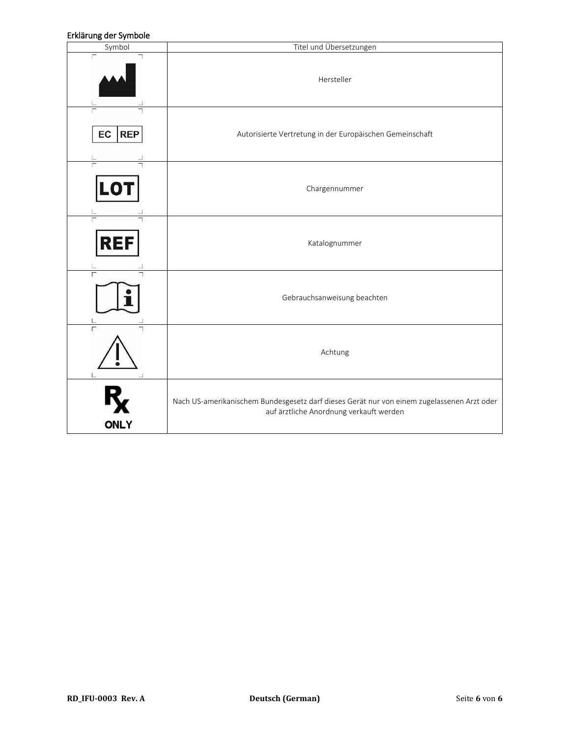### Erklärung der Symbole

| בו גומו עווך עכו טפווווטטוכ<br>Symbol | Titel und Übersetzungen                                                                                                               |
|---------------------------------------|---------------------------------------------------------------------------------------------------------------------------------------|
| $\Gamma$                              | Hersteller                                                                                                                            |
| EC<br><b>REP</b>                      | Autorisierte Vertretung in der Europäischen Gemeinschaft                                                                              |
| $\Gamma$<br>LO                        | Chargennummer                                                                                                                         |
| $\overline{\Gamma}$<br><b>REF</b>     | Katalognummer                                                                                                                         |
|                                       | Gebrauchsanweisung beachten                                                                                                           |
|                                       | Achtung                                                                                                                               |
| <b>ONLY</b>                           | Nach US-amerikanischem Bundesgesetz darf dieses Gerät nur von einem zugelassenen Arzt oder<br>auf ärztliche Anordnung verkauft werden |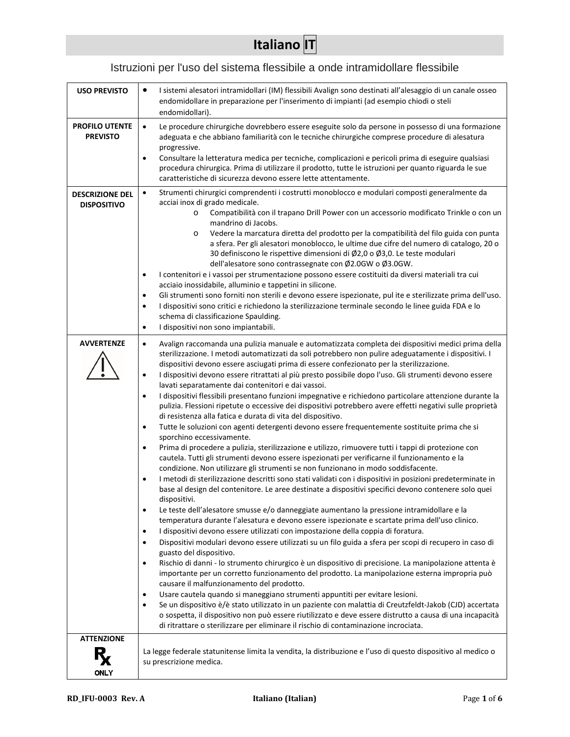# **Italiano IT**

# Istruzioni per l'uso del sistema flessibile a onde intramidollare flessibile

| <b>USO PREVISTO</b>                             | I sistemi alesatori intramidollari (IM) flessibili Avalign sono destinati all'alesaggio di un canale osseo<br>٠<br>endomidollare in preparazione per l'inserimento di impianti (ad esempio chiodi o steli<br>endomidollari).                                                                                                                                                                                                                                                                                                                                                                                                                                                                                                                                                                                                                                                                                                                                                                                                                                                                                                                                                                                                                                                                                                                                                                                                                                                                                                                                                                                                                                                                                                                                                                                                                                                                                                                                                                                                                                                                                                                                                                                                                                                                                                                                                                                                                                                                                                                                                                                                                    |
|-------------------------------------------------|-------------------------------------------------------------------------------------------------------------------------------------------------------------------------------------------------------------------------------------------------------------------------------------------------------------------------------------------------------------------------------------------------------------------------------------------------------------------------------------------------------------------------------------------------------------------------------------------------------------------------------------------------------------------------------------------------------------------------------------------------------------------------------------------------------------------------------------------------------------------------------------------------------------------------------------------------------------------------------------------------------------------------------------------------------------------------------------------------------------------------------------------------------------------------------------------------------------------------------------------------------------------------------------------------------------------------------------------------------------------------------------------------------------------------------------------------------------------------------------------------------------------------------------------------------------------------------------------------------------------------------------------------------------------------------------------------------------------------------------------------------------------------------------------------------------------------------------------------------------------------------------------------------------------------------------------------------------------------------------------------------------------------------------------------------------------------------------------------------------------------------------------------------------------------------------------------------------------------------------------------------------------------------------------------------------------------------------------------------------------------------------------------------------------------------------------------------------------------------------------------------------------------------------------------------------------------------------------------------------------------------------------------|
| <b>PROFILO UTENTE</b><br><b>PREVISTO</b>        | Le procedure chirurgiche dovrebbero essere eseguite solo da persone in possesso di una formazione<br>$\bullet$<br>adeguata e che abbiano familiarità con le tecniche chirurgiche comprese procedure di alesatura<br>progressive.<br>Consultare la letteratura medica per tecniche, complicazioni e pericoli prima di eseguire qualsiasi<br>٠<br>procedura chirurgica. Prima di utilizzare il prodotto, tutte le istruzioni per quanto riguarda le sue<br>caratteristiche di sicurezza devono essere lette attentamente.                                                                                                                                                                                                                                                                                                                                                                                                                                                                                                                                                                                                                                                                                                                                                                                                                                                                                                                                                                                                                                                                                                                                                                                                                                                                                                                                                                                                                                                                                                                                                                                                                                                                                                                                                                                                                                                                                                                                                                                                                                                                                                                         |
| <b>DESCRIZIONE DEL</b><br><b>DISPOSITIVO</b>    | Strumenti chirurgici comprendenti i costrutti monoblocco e modulari composti generalmente da<br>$\bullet$<br>acciai inox di grado medicale.<br>Compatibilità con il trapano Drill Power con un accessorio modificato Trinkle o con un<br>$\circ$<br>mandrino di Jacobs.<br>Vedere la marcatura diretta del prodotto per la compatibilità del filo guida con punta<br>$\circ$<br>a sfera. Per gli alesatori monoblocco, le ultime due cifre del numero di catalogo, 20 o<br>30 definiscono le rispettive dimensioni di Ø2,0 o Ø3,0. Le teste modulari<br>dell'alesatore sono contrassegnate con Ø2.0GW o Ø3.0GW.<br>I contenitori e i vassoi per strumentazione possono essere costituiti da diversi materiali tra cui<br>٠<br>acciaio inossidabile, alluminio e tappetini in silicone.<br>Gli strumenti sono forniti non sterili e devono essere ispezionate, pul ite e sterilizzate prima dell'uso.<br>$\bullet$<br>I dispositivi sono critici e richiedono la sterilizzazione terminale secondo le linee guida FDA e lo<br>$\bullet$<br>schema di classificazione Spaulding.<br>I dispositivi non sono impiantabili.<br>$\bullet$                                                                                                                                                                                                                                                                                                                                                                                                                                                                                                                                                                                                                                                                                                                                                                                                                                                                                                                                                                                                                                                                                                                                                                                                                                                                                                                                                                                                                                                                                                             |
| <b>AVVERTENZE</b>                               | Avalign raccomanda una pulizia manuale e automatizzata completa dei dispositivi medici prima della<br>$\bullet$<br>sterilizzazione. I metodi automatizzati da soli potrebbero non pulire adeguatamente i dispositivi. I<br>dispositivi devono essere asciugati prima di essere confezionato per la sterilizzazione.<br>I dispositivi devono essere ritrattati al più presto possibile dopo l'uso. Gli strumenti devono essere<br>$\bullet$<br>lavati separatamente dai contenitori e dai vassoi.<br>I dispositivi flessibili presentano funzioni impegnative e richiedono particolare attenzione durante la<br>$\bullet$<br>pulizia. Flessioni ripetute o eccessive dei dispositivi potrebbero avere effetti negativi sulle proprietà<br>di resistenza alla fatica e durata di vita del dispositivo.<br>Tutte le soluzioni con agenti detergenti devono essere frequentemente sostituite prima che si<br>$\bullet$<br>sporchino eccessivamente.<br>Prima di procedere a pulizia, sterilizzazione e utilizzo, rimuovere tutti i tappi di protezione con<br>$\bullet$<br>cautela. Tutti gli strumenti devono essere ispezionati per verificarne il funzionamento e la<br>condizione. Non utilizzare gli strumenti se non funzionano in modo soddisfacente.<br>I metodi di sterilizzazione descritti sono stati validati con i dispositivi in posizioni predeterminate in<br>$\bullet$<br>base al design del contenitore. Le aree destinate a dispositivi specifici devono contenere solo quei<br>dispositivi.<br>Le teste dell'alesatore smusse e/o danneggiate aumentano la pressione intramidollare e la<br>$\bullet$<br>temperatura durante l'alesatura e devono essere ispezionate e scartate prima dell'uso clinico.<br>I dispositivi devono essere utilizzati con impostazione della coppia di foratura.<br>٠<br>Dispositivi modulari devono essere utilizzati su un filo guida a sfera per scopi di recupero in caso di<br>$\bullet$<br>guasto del dispositivo.<br>Rischio di danni - lo strumento chirurgico è un dispositivo di precisione. La manipolazione attenta è<br>$\bullet$<br>importante per un corretto funzionamento del prodotto. La manipolazione esterna impropria può<br>causare il malfunzionamento del prodotto.<br>Usare cautela quando si maneggiano strumenti appuntiti per evitare lesioni.<br>٠<br>Se un dispositivo è/è stato utilizzato in un paziente con malattia di Creutzfeldt-Jakob (CJD) accertata<br>٠<br>o sospetta, il dispositivo non può essere riutilizzato e deve essere distrutto a causa di una incapacità<br>di ritrattare o sterilizzare per eliminare il rischio di contaminazione incrociata. |
| <b>ATTENZIONE</b><br>$R_{\rm x}$<br><b>ONLY</b> | La legge federale statunitense limita la vendita, la distribuzione e l'uso di questo dispositivo al medico o<br>su prescrizione medica.                                                                                                                                                                                                                                                                                                                                                                                                                                                                                                                                                                                                                                                                                                                                                                                                                                                                                                                                                                                                                                                                                                                                                                                                                                                                                                                                                                                                                                                                                                                                                                                                                                                                                                                                                                                                                                                                                                                                                                                                                                                                                                                                                                                                                                                                                                                                                                                                                                                                                                         |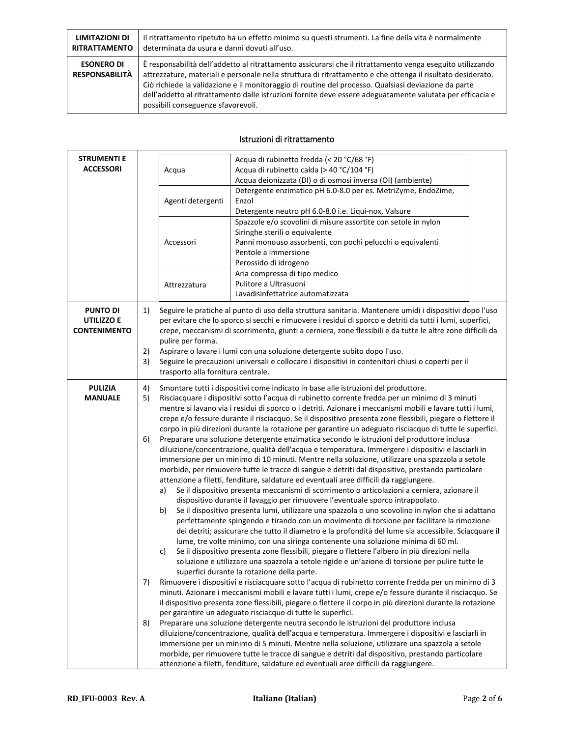| <b>LIMITAZIONI DI</b>                      | Il ritrattamento ripetuto ha un effetto minimo su questi strumenti. La fine della vita è normalmente                                                                                                                                                                                                                                                                                                                                                                                 |
|--------------------------------------------|--------------------------------------------------------------------------------------------------------------------------------------------------------------------------------------------------------------------------------------------------------------------------------------------------------------------------------------------------------------------------------------------------------------------------------------------------------------------------------------|
| <b>RITRATTAMENTO</b>                       | determinata da usura e danni dovuti all'uso.                                                                                                                                                                                                                                                                                                                                                                                                                                         |
| <b>ESONERO DI</b><br><b>RESPONSABILITÀ</b> | È responsabilità dell'addetto al ritrattamento assicurarsi che il ritrattamento venga eseguito utilizzando<br>attrezzature, materiali e personale nella struttura di ritrattamento e che ottenga il risultato desiderato.<br>Ciò richiede la validazione e il monitoraggio di routine del processo. Qualsiasi deviazione da parte<br>dell'addetto al ritrattamento dalle istruzioni fornite deve essere adeguatamente valutata per efficacia e<br>possibili conseguenze sfavorevoli. |

### Istruzioni di ritrattamento

| <b>STRUMENTI E</b>                |    |                                                                                                                                                                                                                       | Acqua di rubinetto fredda (< 20 °C/68 °F)                                                                                                                                                                               |  |  |  |
|-----------------------------------|----|-----------------------------------------------------------------------------------------------------------------------------------------------------------------------------------------------------------------------|-------------------------------------------------------------------------------------------------------------------------------------------------------------------------------------------------------------------------|--|--|--|
| <b>ACCESSORI</b>                  |    | Acqua di rubinetto calda (> 40 °C/104 °F)<br>Acqua                                                                                                                                                                    |                                                                                                                                                                                                                         |  |  |  |
|                                   |    |                                                                                                                                                                                                                       | Acqua deionizzata (DI) o di osmosi inversa (OI) (ambiente)                                                                                                                                                              |  |  |  |
|                                   |    |                                                                                                                                                                                                                       | Detergente enzimatico pH 6.0-8.0 per es. MetriZyme, EndoZime,                                                                                                                                                           |  |  |  |
|                                   |    | Agenti detergenti                                                                                                                                                                                                     | Enzol                                                                                                                                                                                                                   |  |  |  |
|                                   |    |                                                                                                                                                                                                                       | Detergente neutro pH 6.0-8.0 i.e. Liqui-nox, Valsure<br>Spazzole e/o scovolini di misure assortite con setole in nylon                                                                                                  |  |  |  |
|                                   |    |                                                                                                                                                                                                                       | Siringhe sterili o equivalente                                                                                                                                                                                          |  |  |  |
|                                   |    | Accessori                                                                                                                                                                                                             | Panni monouso assorbenti, con pochi pelucchi o equivalenti                                                                                                                                                              |  |  |  |
|                                   |    |                                                                                                                                                                                                                       | Pentole a immersione                                                                                                                                                                                                    |  |  |  |
|                                   |    |                                                                                                                                                                                                                       | Perossido di idrogeno                                                                                                                                                                                                   |  |  |  |
|                                   |    |                                                                                                                                                                                                                       | Aria compressa di tipo medico                                                                                                                                                                                           |  |  |  |
|                                   |    | Attrezzatura                                                                                                                                                                                                          | Pulitore a Ultrasuoni<br>Lavadisinfettatrice automatizzata                                                                                                                                                              |  |  |  |
|                                   |    |                                                                                                                                                                                                                       |                                                                                                                                                                                                                         |  |  |  |
| <b>PUNTO DI</b>                   | 1) |                                                                                                                                                                                                                       | Seguire le pratiche al punto di uso della struttura sanitaria. Mantenere umidi i dispositivi dopo l'uso                                                                                                                 |  |  |  |
| UTILIZZO E<br><b>CONTENIMENTO</b> |    |                                                                                                                                                                                                                       | per evitare che lo sporco si secchi e rimuovere i residui di sporco e detriti da tutti i lumi, superfici,<br>crepe, meccanismi di scorrimento, giunti a cerniera, zone flessibili e da tutte le altre zone difficili da |  |  |  |
|                                   |    | pulire per forma.                                                                                                                                                                                                     |                                                                                                                                                                                                                         |  |  |  |
|                                   | 2) |                                                                                                                                                                                                                       | Aspirare o lavare i lumi con una soluzione detergente subito dopo l'uso.                                                                                                                                                |  |  |  |
|                                   | 3) | Seguire le precauzioni universali e collocare i dispositivi in contenitori chiusi o coperti per il                                                                                                                    |                                                                                                                                                                                                                         |  |  |  |
|                                   |    | trasporto alla fornitura centrale.                                                                                                                                                                                    |                                                                                                                                                                                                                         |  |  |  |
| <b>PULIZIA</b>                    | 4) |                                                                                                                                                                                                                       | Smontare tutti i dispositivi come indicato in base alle istruzioni del produttore.                                                                                                                                      |  |  |  |
| <b>MANUALE</b>                    | 5) | Risciacquare i dispositivi sotto l'acqua di rubinetto corrente fredda per un minimo di 3 minuti<br>mentre si lavano via i residui di sporco o i detriti. Azionare i meccanismi mobili e lavare tutti i lumi,          |                                                                                                                                                                                                                         |  |  |  |
|                                   |    |                                                                                                                                                                                                                       |                                                                                                                                                                                                                         |  |  |  |
|                                   |    | crepe e/o fessure durante il risciacquo. Se il dispositivo presenta zone flessibili, piegare o flettere il<br>corpo in più direzioni durante la rotazione per garantire un adeguato risciacquo di tutte le superfici. |                                                                                                                                                                                                                         |  |  |  |
|                                   | 6) |                                                                                                                                                                                                                       | Preparare una soluzione detergente enzimatica secondo le istruzioni del produttore inclusa                                                                                                                              |  |  |  |
|                                   |    |                                                                                                                                                                                                                       | diluizione/concentrazione, qualità dell'acqua e temperatura. Immergere i dispositivi e lasciarli in                                                                                                                     |  |  |  |
|                                   |    | immersione per un minimo di 10 minuti. Mentre nella soluzione, utilizzare una spazzola a setole                                                                                                                       |                                                                                                                                                                                                                         |  |  |  |
|                                   |    | morbide, per rimuovere tutte le tracce di sangue e detriti dal dispositivo, prestando particolare<br>attenzione a filetti, fenditure, saldature ed eventuali aree difficili da raggiungere.                           |                                                                                                                                                                                                                         |  |  |  |
|                                   |    |                                                                                                                                                                                                                       |                                                                                                                                                                                                                         |  |  |  |
|                                   |    | a)                                                                                                                                                                                                                    | Se il dispositivo presenta meccanismi di scorrimento o articolazioni a cerniera, azionare il                                                                                                                            |  |  |  |
|                                   |    | b)                                                                                                                                                                                                                    | dispositivo durante il lavaggio per rimuovere l'eventuale sporco intrappolato.<br>Se il dispositivo presenta lumi, utilizzare una spazzola o uno scovolino in nylon che si adattano                                     |  |  |  |
|                                   |    |                                                                                                                                                                                                                       | perfettamente spingendo e tirando con un movimento di torsione per facilitare la rimozione                                                                                                                              |  |  |  |
|                                   |    |                                                                                                                                                                                                                       | dei detriti; assicurare che tutto il diametro e la profondità del lume sia accessibile. Sciacquare il                                                                                                                   |  |  |  |
|                                   |    |                                                                                                                                                                                                                       | lume, tre volte minimo, con una siringa contenente una soluzione minima di 60 ml.                                                                                                                                       |  |  |  |
|                                   |    | c)                                                                                                                                                                                                                    | Se il dispositivo presenta zone flessibili, piegare o flettere l'albero in più direzioni nella                                                                                                                          |  |  |  |
|                                   |    |                                                                                                                                                                                                                       | soluzione e utilizzare una spazzola a setole rigide e un'azione di torsione per pulire tutte le                                                                                                                         |  |  |  |
|                                   | 7) |                                                                                                                                                                                                                       | superfici durante la rotazione della parte.<br>Rimuovere i dispositivi e risciacquare sotto l'acqua di rubinetto corrente fredda per un minimo di 3                                                                     |  |  |  |
|                                   |    |                                                                                                                                                                                                                       | minuti. Azionare i meccanismi mobili e lavare tutti i lumi, crepe e/o fessure durante il risciacquo. Se                                                                                                                 |  |  |  |
|                                   |    |                                                                                                                                                                                                                       | il dispositivo presenta zone flessibili, piegare o flettere il corpo in più direzioni durante la rotazione                                                                                                              |  |  |  |
|                                   |    |                                                                                                                                                                                                                       | per garantire un adeguato risciacquo di tutte le superfici.                                                                                                                                                             |  |  |  |
|                                   | 8) |                                                                                                                                                                                                                       | Preparare una soluzione detergente neutra secondo le istruzioni del produttore inclusa                                                                                                                                  |  |  |  |
|                                   |    |                                                                                                                                                                                                                       | diluizione/concentrazione, qualità dell'acqua e temperatura. Immergere i dispositivi e lasciarli in                                                                                                                     |  |  |  |
|                                   |    |                                                                                                                                                                                                                       | immersione per un minimo di 5 minuti. Mentre nella soluzione, utilizzare una spazzola a setole<br>morbide, per rimuovere tutte le tracce di sangue e detriti dal dispositivo, prestando particolare                     |  |  |  |
|                                   |    |                                                                                                                                                                                                                       | attenzione a filetti, fenditure, saldature ed eventuali aree difficili da raggiungere.                                                                                                                                  |  |  |  |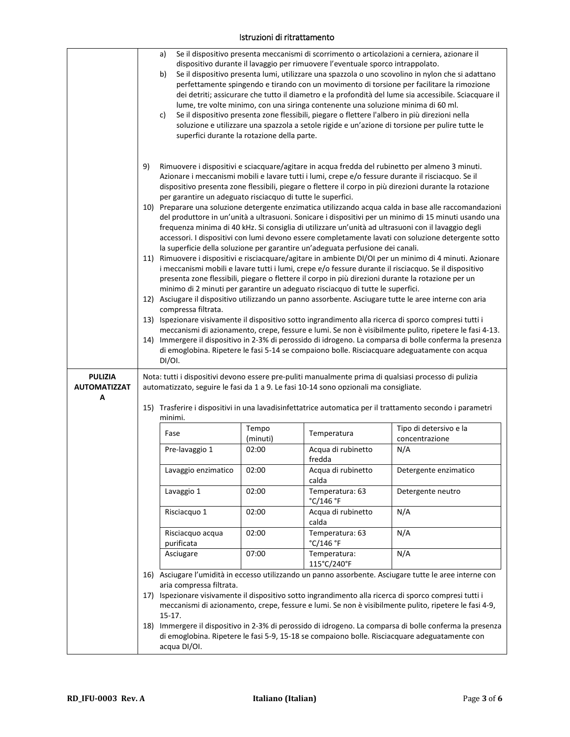### Istruzioni di ritrattamento

|                                            | Se il dispositivo presenta meccanismi di scorrimento o articolazioni a cerniera, azionare il<br>a)<br>dispositivo durante il lavaggio per rimuovere l'eventuale sporco intrappolato.<br>Se il dispositivo presenta lumi, utilizzare una spazzola o uno scovolino in nylon che si adattano<br>b)<br>perfettamente spingendo e tirando con un movimento di torsione per facilitare la rimozione<br>dei detriti; assicurare che tutto il diametro e la profondità del lume sia accessibile. Sciacquare il<br>lume, tre volte minimo, con una siringa contenente una soluzione minima di 60 ml.<br>Se il dispositivo presenta zone flessibili, piegare o flettere l'albero in più direzioni nella<br>c)<br>soluzione e utilizzare una spazzola a setole rigide e un'azione di torsione per pulire tutte le<br>superfici durante la rotazione della parte. |                                                                                                                                                                                                                                                                                                                                                                                                                                                                                                                                                                                |                   |                                                                                |                                                                                                                                                                                                                                                                                                                         |  |  |
|--------------------------------------------|-------------------------------------------------------------------------------------------------------------------------------------------------------------------------------------------------------------------------------------------------------------------------------------------------------------------------------------------------------------------------------------------------------------------------------------------------------------------------------------------------------------------------------------------------------------------------------------------------------------------------------------------------------------------------------------------------------------------------------------------------------------------------------------------------------------------------------------------------------|--------------------------------------------------------------------------------------------------------------------------------------------------------------------------------------------------------------------------------------------------------------------------------------------------------------------------------------------------------------------------------------------------------------------------------------------------------------------------------------------------------------------------------------------------------------------------------|-------------------|--------------------------------------------------------------------------------|-------------------------------------------------------------------------------------------------------------------------------------------------------------------------------------------------------------------------------------------------------------------------------------------------------------------------|--|--|
|                                            | 9)                                                                                                                                                                                                                                                                                                                                                                                                                                                                                                                                                                                                                                                                                                                                                                                                                                                    | Rimuovere i dispositivi e sciacquare/agitare in acqua fredda del rubinetto per almeno 3 minuti.<br>Azionare i meccanismi mobili e lavare tutti i lumi, crepe e/o fessure durante il risciacquo. Se il<br>dispositivo presenta zone flessibili, piegare o flettere il corpo in più direzioni durante la rotazione                                                                                                                                                                                                                                                               |                   |                                                                                |                                                                                                                                                                                                                                                                                                                         |  |  |
|                                            |                                                                                                                                                                                                                                                                                                                                                                                                                                                                                                                                                                                                                                                                                                                                                                                                                                                       | per garantire un adeguato risciacquo di tutte le superfici.<br>10) Preparare una soluzione detergente enzimatica utilizzando acqua calda in base alle raccomandazioni<br>del produttore in un'unità a ultrasuoni. Sonicare i dispositivi per un minimo di 15 minuti usando una<br>frequenza minima di 40 kHz. Si consiglia di utilizzare un'unità ad ultrasuoni con il lavaggio degli<br>accessori. I dispositivi con lumi devono essere completamente lavati con soluzione detergente sotto<br>la superficie della soluzione per garantire un'adeguata perfusione dei canali. |                   |                                                                                |                                                                                                                                                                                                                                                                                                                         |  |  |
|                                            |                                                                                                                                                                                                                                                                                                                                                                                                                                                                                                                                                                                                                                                                                                                                                                                                                                                       |                                                                                                                                                                                                                                                                                                                                                                                                                                                                                                                                                                                |                   | minimo di 2 minuti per garantire un adeguato risciacquo di tutte le superfici. | 11) Rimuovere i dispositivi e risciacquare/agitare in ambiente DI/OI per un minimo di 4 minuti. Azionare<br>i meccanismi mobili e lavare tutti i lumi, crepe e/o fessure durante il risciacquo. Se il dispositivo<br>presenta zone flessibili, piegare o flettere il corpo in più direzioni durante la rotazione per un |  |  |
|                                            |                                                                                                                                                                                                                                                                                                                                                                                                                                                                                                                                                                                                                                                                                                                                                                                                                                                       | compressa filtrata.                                                                                                                                                                                                                                                                                                                                                                                                                                                                                                                                                            |                   |                                                                                | 12) Asciugare il dispositivo utilizzando un panno assorbente. Asciugare tutte le aree interne con aria                                                                                                                                                                                                                  |  |  |
|                                            |                                                                                                                                                                                                                                                                                                                                                                                                                                                                                                                                                                                                                                                                                                                                                                                                                                                       |                                                                                                                                                                                                                                                                                                                                                                                                                                                                                                                                                                                |                   |                                                                                | 13) Ispezionare visivamente il dispositivo sotto ingrandimento alla ricerca di sporco compresi tutti i                                                                                                                                                                                                                  |  |  |
|                                            |                                                                                                                                                                                                                                                                                                                                                                                                                                                                                                                                                                                                                                                                                                                                                                                                                                                       |                                                                                                                                                                                                                                                                                                                                                                                                                                                                                                                                                                                |                   |                                                                                | meccanismi di azionamento, crepe, fessure e lumi. Se non è visibilmente pulito, ripetere le fasi 4-13.<br>14) Immergere il dispositivo in 2-3% di perossido di idrogeno. La comparsa di bolle conferma la presenza                                                                                                      |  |  |
|                                            |                                                                                                                                                                                                                                                                                                                                                                                                                                                                                                                                                                                                                                                                                                                                                                                                                                                       |                                                                                                                                                                                                                                                                                                                                                                                                                                                                                                                                                                                |                   |                                                                                | di emoglobina. Ripetere le fasi 5-14 se compaiono bolle. Risciacquare adeguatamente con acqua                                                                                                                                                                                                                           |  |  |
| <b>PULIZIA</b><br><b>AUTOMATIZZAT</b><br>А |                                                                                                                                                                                                                                                                                                                                                                                                                                                                                                                                                                                                                                                                                                                                                                                                                                                       | DI/OI.<br>Nota: tutti i dispositivi devono essere pre-puliti manualmente prima di qualsiasi processo di pulizia<br>automatizzato, seguire le fasi da 1 a 9. Le fasi 10-14 sono opzionali ma consigliate.<br>15) Trasferire i dispositivi in una lavadisinfettatrice automatica per il trattamento secondo i parametri                                                                                                                                                                                                                                                          |                   |                                                                                |                                                                                                                                                                                                                                                                                                                         |  |  |
|                                            |                                                                                                                                                                                                                                                                                                                                                                                                                                                                                                                                                                                                                                                                                                                                                                                                                                                       | minimi.<br>Fase                                                                                                                                                                                                                                                                                                                                                                                                                                                                                                                                                                | Tempo             | Temperatura                                                                    | Tipo di detersivo e la                                                                                                                                                                                                                                                                                                  |  |  |
|                                            |                                                                                                                                                                                                                                                                                                                                                                                                                                                                                                                                                                                                                                                                                                                                                                                                                                                       | Pre-lavaggio 1                                                                                                                                                                                                                                                                                                                                                                                                                                                                                                                                                                 | (minuti)<br>02:00 | Acqua di rubinetto<br>fredda                                                   | concentrazione<br>N/A                                                                                                                                                                                                                                                                                                   |  |  |
|                                            |                                                                                                                                                                                                                                                                                                                                                                                                                                                                                                                                                                                                                                                                                                                                                                                                                                                       | Lavaggio enzimatico                                                                                                                                                                                                                                                                                                                                                                                                                                                                                                                                                            | 02:00             | Acqua di rubinetto<br>calda                                                    | Detergente enzimatico                                                                                                                                                                                                                                                                                                   |  |  |
|                                            |                                                                                                                                                                                                                                                                                                                                                                                                                                                                                                                                                                                                                                                                                                                                                                                                                                                       | Lavaggio 1                                                                                                                                                                                                                                                                                                                                                                                                                                                                                                                                                                     | 02:00             | Temperatura: 63<br>°C/146 °F                                                   | Detergente neutro                                                                                                                                                                                                                                                                                                       |  |  |
|                                            |                                                                                                                                                                                                                                                                                                                                                                                                                                                                                                                                                                                                                                                                                                                                                                                                                                                       | Risciacquo 1                                                                                                                                                                                                                                                                                                                                                                                                                                                                                                                                                                   | 02:00             | Acqua di rubinetto<br>calda                                                    | N/A                                                                                                                                                                                                                                                                                                                     |  |  |
|                                            |                                                                                                                                                                                                                                                                                                                                                                                                                                                                                                                                                                                                                                                                                                                                                                                                                                                       | Risciacquo acqua<br>purificata                                                                                                                                                                                                                                                                                                                                                                                                                                                                                                                                                 | 02:00             | Temperatura: 63<br>°C/146 °F                                                   | N/A                                                                                                                                                                                                                                                                                                                     |  |  |
|                                            |                                                                                                                                                                                                                                                                                                                                                                                                                                                                                                                                                                                                                                                                                                                                                                                                                                                       | Asciugare                                                                                                                                                                                                                                                                                                                                                                                                                                                                                                                                                                      | 07:00             | Temperatura:<br>115°C/240°F                                                    | N/A                                                                                                                                                                                                                                                                                                                     |  |  |
|                                            |                                                                                                                                                                                                                                                                                                                                                                                                                                                                                                                                                                                                                                                                                                                                                                                                                                                       | aria compressa filtrata.                                                                                                                                                                                                                                                                                                                                                                                                                                                                                                                                                       |                   |                                                                                | 16) Asciugare l'umidità in eccesso utilizzando un panno assorbente. Asciugare tutte le aree interne con                                                                                                                                                                                                                 |  |  |
|                                            | 17)                                                                                                                                                                                                                                                                                                                                                                                                                                                                                                                                                                                                                                                                                                                                                                                                                                                   | $15-17.$                                                                                                                                                                                                                                                                                                                                                                                                                                                                                                                                                                       |                   |                                                                                | Ispezionare visivamente il dispositivo sotto ingrandimento alla ricerca di sporco compresi tutti i<br>meccanismi di azionamento, crepe, fessure e lumi. Se non è visibilmente pulito, ripetere le fasi 4-9,                                                                                                             |  |  |
|                                            |                                                                                                                                                                                                                                                                                                                                                                                                                                                                                                                                                                                                                                                                                                                                                                                                                                                       | acqua DI/OI.                                                                                                                                                                                                                                                                                                                                                                                                                                                                                                                                                                   |                   |                                                                                | 18) Immergere il dispositivo in 2-3% di perossido di idrogeno. La comparsa di bolle conferma la presenza<br>di emoglobina. Ripetere le fasi 5-9, 15-18 se compaiono bolle. Risciacquare adeguatamente con                                                                                                               |  |  |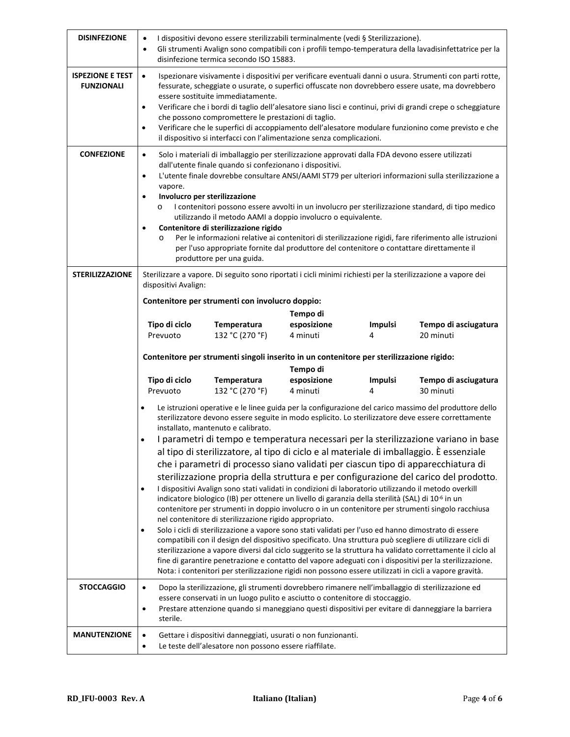| <b>DISINFEZIONE</b>                          | I dispositivi devono essere sterilizzabili terminalmente (vedi § Sterilizzazione).<br>$\bullet$<br>Gli strumenti Avalign sono compatibili con i profili tempo-temperatura della lavadisinfettatrice per la<br>$\bullet$<br>disinfezione termica secondo ISO 15883.                                                                                                                                                                                                                                                                                                                                                                                                                                                                                                                                                                                                                                                                                                                                                                                                                                                                                                                                                                                                                                                                                                                                                                                                                                                                                                                                                        |                                                                                          |                         |                     |                                                                                                               |  |
|----------------------------------------------|---------------------------------------------------------------------------------------------------------------------------------------------------------------------------------------------------------------------------------------------------------------------------------------------------------------------------------------------------------------------------------------------------------------------------------------------------------------------------------------------------------------------------------------------------------------------------------------------------------------------------------------------------------------------------------------------------------------------------------------------------------------------------------------------------------------------------------------------------------------------------------------------------------------------------------------------------------------------------------------------------------------------------------------------------------------------------------------------------------------------------------------------------------------------------------------------------------------------------------------------------------------------------------------------------------------------------------------------------------------------------------------------------------------------------------------------------------------------------------------------------------------------------------------------------------------------------------------------------------------------------|------------------------------------------------------------------------------------------|-------------------------|---------------------|---------------------------------------------------------------------------------------------------------------|--|
| <b>ISPEZIONE E TEST</b><br><b>FUNZIONALI</b> | $\bullet$<br>Ispezionare visivamente i dispositivi per verificare eventuali danni o usura. Strumenti con parti rotte,<br>fessurate, scheggiate o usurate, o superfici offuscate non dovrebbero essere usate, ma dovrebbero<br>essere sostituite immediatamente.<br>Verificare che i bordi di taglio dell'alesatore siano lisci e continui, privi di grandi crepe o scheggiature<br>$\bullet$<br>che possono compromettere le prestazioni di taglio.<br>Verificare che le superfici di accoppiamento dell'alesatore modulare funzionino come previsto e che<br>$\bullet$<br>il dispositivo si interfacci con l'alimentazione senza complicazioni.                                                                                                                                                                                                                                                                                                                                                                                                                                                                                                                                                                                                                                                                                                                                                                                                                                                                                                                                                                          |                                                                                          |                         |                     |                                                                                                               |  |
| <b>CONFEZIONE</b>                            | Solo i materiali di imballaggio per sterilizzazione approvati dalla FDA devono essere utilizzati<br>$\bullet$<br>dall'utente finale quando si confezionano i dispositivi.<br>L'utente finale dovrebbe consultare ANSI/AAMI ST79 per ulteriori informazioni sulla sterilizzazione a<br>$\bullet$<br>vapore.<br>Involucro per sterilizzazione<br>$\bullet$<br>I contenitori possono essere avvolti in un involucro per sterilizzazione standard, di tipo medico<br>$\circ$<br>utilizzando il metodo AAMI a doppio involucro o equivalente.<br>Contenitore di sterilizzazione rigido<br>$\bullet$<br>Per le informazioni relative ai contenitori di sterilizzazione rigidi, fare riferimento alle istruzioni<br>$\circ$<br>per l'uso appropriate fornite dal produttore del contenitore o contattare direttamente il<br>produttore per una guida.                                                                                                                                                                                                                                                                                                                                                                                                                                                                                                                                                                                                                                                                                                                                                                            |                                                                                          |                         |                     |                                                                                                               |  |
| <b>STERILIZZAZIONE</b>                       | dispositivi Avalign:                                                                                                                                                                                                                                                                                                                                                                                                                                                                                                                                                                                                                                                                                                                                                                                                                                                                                                                                                                                                                                                                                                                                                                                                                                                                                                                                                                                                                                                                                                                                                                                                      | Contenitore per strumenti con involucro doppio:                                          |                         |                     | Sterilizzare a vapore. Di seguito sono riportati i cicli minimi richiesti per la sterilizzazione a vapore dei |  |
|                                              |                                                                                                                                                                                                                                                                                                                                                                                                                                                                                                                                                                                                                                                                                                                                                                                                                                                                                                                                                                                                                                                                                                                                                                                                                                                                                                                                                                                                                                                                                                                                                                                                                           |                                                                                          | Tempo di                |                     |                                                                                                               |  |
|                                              | Tipo di ciclo                                                                                                                                                                                                                                                                                                                                                                                                                                                                                                                                                                                                                                                                                                                                                                                                                                                                                                                                                                                                                                                                                                                                                                                                                                                                                                                                                                                                                                                                                                                                                                                                             | Temperatura                                                                              | esposizione             | <b>Impulsi</b>      | Tempo di asciugatura                                                                                          |  |
|                                              | Prevuoto                                                                                                                                                                                                                                                                                                                                                                                                                                                                                                                                                                                                                                                                                                                                                                                                                                                                                                                                                                                                                                                                                                                                                                                                                                                                                                                                                                                                                                                                                                                                                                                                                  | 132 °C (270 °F)                                                                          | 4 minuti                | 4                   | 20 minuti                                                                                                     |  |
|                                              |                                                                                                                                                                                                                                                                                                                                                                                                                                                                                                                                                                                                                                                                                                                                                                                                                                                                                                                                                                                                                                                                                                                                                                                                                                                                                                                                                                                                                                                                                                                                                                                                                           | Contenitore per strumenti singoli inserito in un contenitore per sterilizzazione rigido: | Tempo di                |                     |                                                                                                               |  |
|                                              | Tipo di ciclo<br>Prevuoto                                                                                                                                                                                                                                                                                                                                                                                                                                                                                                                                                                                                                                                                                                                                                                                                                                                                                                                                                                                                                                                                                                                                                                                                                                                                                                                                                                                                                                                                                                                                                                                                 | <b>Temperatura</b><br>132 °C (270 °F)                                                    | esposizione<br>4 minuti | <b>Impulsi</b><br>4 | Tempo di asciugatura<br>30 minuti                                                                             |  |
| <b>STOCCAGGIO</b>                            | Le istruzioni operative e le linee guida per la configurazione del carico massimo del produttore dello<br>$\bullet$<br>sterilizzatore devono essere seguite in modo esplicito. Lo sterilizzatore deve essere correttamente<br>installato, mantenuto e calibrato.<br>I parametri di tempo e temperatura necessari per la sterilizzazione variano in base<br>$\bullet$<br>al tipo di sterilizzatore, al tipo di ciclo e al materiale di imballaggio. È essenziale<br>che i parametri di processo siano validati per ciascun tipo di apparecchiatura di<br>sterilizzazione propria della struttura e per configurazione del carico del prodotto.<br>I dispositivi Avalign sono stati validati in condizioni di laboratorio utilizzando il metodo overkill<br>$\bullet$<br>indicatore biologico (IB) per ottenere un livello di garanzia della sterilità (SAL) di 10 <sup>-6</sup> in un<br>contenitore per strumenti in doppio involucro o in un contenitore per strumenti singolo racchiusa<br>nel contenitore di sterilizzazione rigido appropriato.<br>Solo i cicli di sterilizzazione a vapore sono stati validati per l'uso ed hanno dimostrato di essere<br>$\bullet$<br>compatibili con il design del dispositivo specificato. Una struttura può scegliere di utilizzare cicli di<br>sterilizzazione a vapore diversi dal ciclo suggerito se la struttura ha validato correttamente il ciclo al<br>fine di garantire penetrazione e contatto del vapore adeguati con i dispositivi per la sterilizzazione.<br>Nota: i contenitori per sterilizzazione rigidi non possono essere utilizzati in cicli a vapore gravità. |                                                                                          |                         |                     |                                                                                                               |  |
|                                              | Dopo la sterilizzazione, gli strumenti dovrebbero rimanere nell'imballaggio di sterilizzazione ed<br>$\bullet$<br>essere conservati in un luogo pulito e asciutto o contenitore di stoccaggio.<br>Prestare attenzione quando si maneggiano questi dispositivi per evitare di danneggiare la barriera<br>$\bullet$                                                                                                                                                                                                                                                                                                                                                                                                                                                                                                                                                                                                                                                                                                                                                                                                                                                                                                                                                                                                                                                                                                                                                                                                                                                                                                         |                                                                                          |                         |                     |                                                                                                               |  |
|                                              | sterile.                                                                                                                                                                                                                                                                                                                                                                                                                                                                                                                                                                                                                                                                                                                                                                                                                                                                                                                                                                                                                                                                                                                                                                                                                                                                                                                                                                                                                                                                                                                                                                                                                  |                                                                                          |                         |                     |                                                                                                               |  |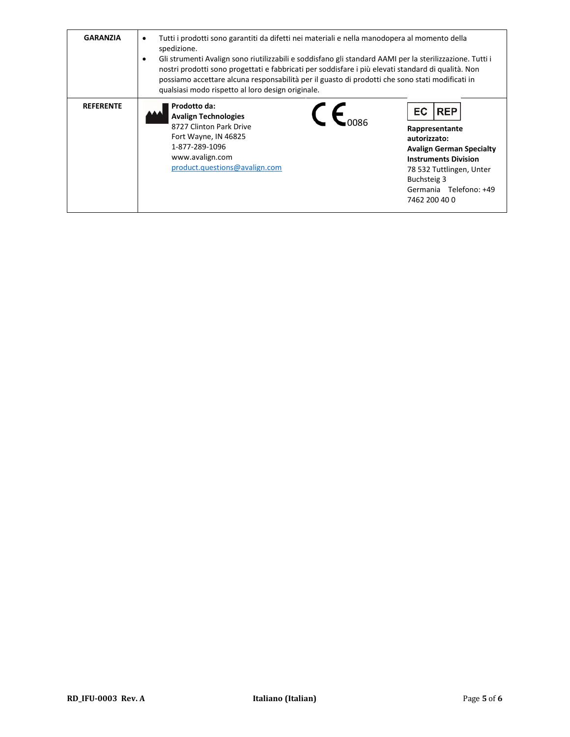| <b>GARANZIA</b>  | Tutti i prodotti sono garantiti da difetti nei materiali e nella manodopera al momento della<br>spedizione.<br>Gli strumenti Avalign sono riutilizzabili e soddisfano gli standard AAMI per la sterilizzazione. Tutti i<br>٠<br>nostri prodotti sono progettati e fabbricati per soddisfare i più elevati standard di qualità. Non<br>possiamo accettare alcuna responsabilità per il guasto di prodotti che sono stati modificati in<br>qualsiasi modo rispetto al loro design originale. |                                                                                                                                                                                                            |  |
|------------------|--------------------------------------------------------------------------------------------------------------------------------------------------------------------------------------------------------------------------------------------------------------------------------------------------------------------------------------------------------------------------------------------------------------------------------------------------------------------------------------------|------------------------------------------------------------------------------------------------------------------------------------------------------------------------------------------------------------|--|
| <b>REFERENTE</b> | Prodotto da:<br><b>Avalign Technologies</b><br>8727 Clinton Park Drive<br>Fort Wayne, IN 46825<br>1-877-289-1096<br>www.avalign.com<br>product.questions@avalign.com                                                                                                                                                                                                                                                                                                                       | EC<br><b>REP</b><br>Rappresentante<br>autorizzato:<br><b>Avalign German Specialty</b><br><b>Instruments Division</b><br>78 532 Tuttlingen, Unter<br>Buchsteig 3<br>Germania Telefono: +49<br>7462 200 40 0 |  |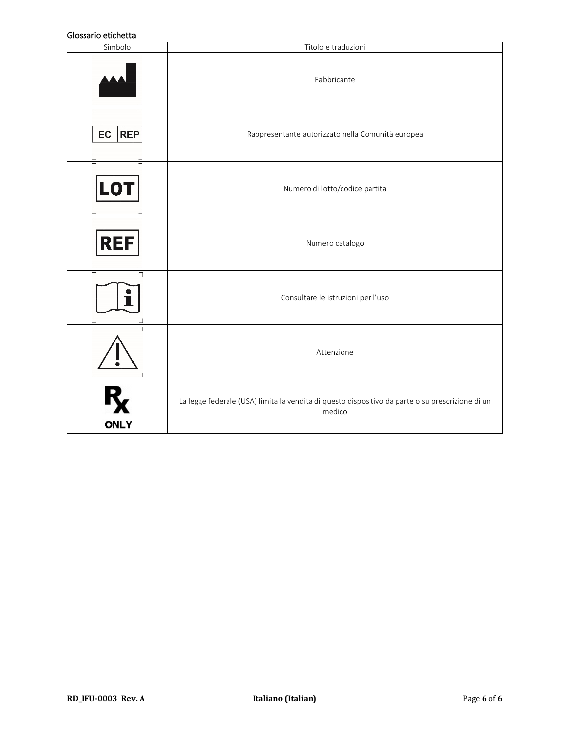### Glossario etichetta

| טוטטטעווט כנוטווכננע<br>Simbolo      | Titolo e traduzioni                                                                                        |  |  |  |  |  |
|--------------------------------------|------------------------------------------------------------------------------------------------------------|--|--|--|--|--|
|                                      | Fabbricante                                                                                                |  |  |  |  |  |
| <b>REP</b><br>EC                     | Rappresentante autorizzato nella Comunità europea                                                          |  |  |  |  |  |
| LO<br>Numero di lotto/codice partita |                                                                                                            |  |  |  |  |  |
| REF                                  | Numero catalogo                                                                                            |  |  |  |  |  |
| $\Gamma$                             | Consultare le istruzioni per l'uso                                                                         |  |  |  |  |  |
|                                      | Attenzione                                                                                                 |  |  |  |  |  |
| <b>ONLY</b>                          | La legge federale (USA) limita la vendita di questo dispositivo da parte o su prescrizione di un<br>medico |  |  |  |  |  |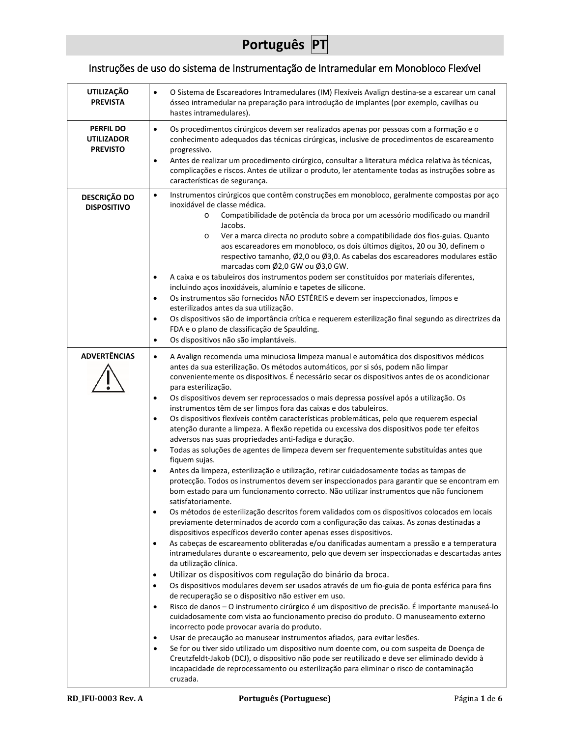# **Português PT**

# Instruções de uso do sistema de Instrumentação de Intramedular em Monobloco Flexível

| <b>UTILIZAÇÃO</b><br><b>PREVISTA</b>                     | O Sistema de Escareadores Intramedulares (IM) Flexíveis Avalign destina-se a escarear um canal<br>ósseo intramedular na preparação para introdução de implantes (por exemplo, cavilhas ou<br>hastes intramedulares).                                                                                                                                                                                                                                                                                                                                                                                                                                                                                                                                                                                                                                                                                                                                                                                                                                                                                                                                                                                                                                                                                                                                                                                                                                                                                                                                                                                                                                                                                                                                                                                                                                                                                                                                                                                                                                                                                                                                                                                                                                                                                                                                                                                                                                                                                                                                                                                                                               |  |  |  |  |
|----------------------------------------------------------|----------------------------------------------------------------------------------------------------------------------------------------------------------------------------------------------------------------------------------------------------------------------------------------------------------------------------------------------------------------------------------------------------------------------------------------------------------------------------------------------------------------------------------------------------------------------------------------------------------------------------------------------------------------------------------------------------------------------------------------------------------------------------------------------------------------------------------------------------------------------------------------------------------------------------------------------------------------------------------------------------------------------------------------------------------------------------------------------------------------------------------------------------------------------------------------------------------------------------------------------------------------------------------------------------------------------------------------------------------------------------------------------------------------------------------------------------------------------------------------------------------------------------------------------------------------------------------------------------------------------------------------------------------------------------------------------------------------------------------------------------------------------------------------------------------------------------------------------------------------------------------------------------------------------------------------------------------------------------------------------------------------------------------------------------------------------------------------------------------------------------------------------------------------------------------------------------------------------------------------------------------------------------------------------------------------------------------------------------------------------------------------------------------------------------------------------------------------------------------------------------------------------------------------------------------------------------------------------------------------------------------------------------|--|--|--|--|
| <b>PERFIL DO</b><br><b>UTILIZADOR</b><br><b>PREVISTO</b> | Os procedimentos cirúrgicos devem ser realizados apenas por pessoas com a formação e o<br>$\bullet$<br>conhecimento adequados das técnicas cirúrgicas, inclusive de procedimentos de escareamento<br>progressivo.<br>Antes de realizar um procedimento cirúrgico, consultar a literatura médica relativa às técnicas,<br>$\bullet$<br>complicações e riscos. Antes de utilizar o produto, ler atentamente todas as instruções sobre as<br>características de segurança.                                                                                                                                                                                                                                                                                                                                                                                                                                                                                                                                                                                                                                                                                                                                                                                                                                                                                                                                                                                                                                                                                                                                                                                                                                                                                                                                                                                                                                                                                                                                                                                                                                                                                                                                                                                                                                                                                                                                                                                                                                                                                                                                                                            |  |  |  |  |
| DESCRIÇÃO DO<br><b>DISPOSITIVO</b>                       | Instrumentos cirúrgicos que contêm construções em monobloco, geralmente compostas por aço<br>$\bullet$<br>inoxidável de classe médica.<br>Compatibilidade de potência da broca por um acessório modificado ou mandril<br>$\circ$<br>Jacobs.<br>Ver a marca directa no produto sobre a compatibilidade dos fios-guias. Quanto<br>$\circ$<br>aos escareadores em monobloco, os dois últimos dígitos, 20 ou 30, definem o<br>respectivo tamanho, Ø2,0 ou Ø3,0. As cabelas dos escareadores modulares estão<br>marcadas com Ø2,0 GW ou Ø3,0 GW.<br>A caixa e os tabuleiros dos instrumentos podem ser constituídos por materiais diferentes,<br>$\bullet$<br>incluindo aços inoxidáveis, alumínio e tapetes de silicone.<br>Os instrumentos são fornecidos NÃO ESTÉREIS e devem ser inspeccionados, limpos e<br>$\bullet$<br>esterilizados antes da sua utilização.<br>Os dispositivos são de importância crítica e requerem esterilização final segundo as directrizes da<br>$\bullet$<br>FDA e o plano de classificação de Spaulding.<br>Os dispositivos não são implantáveis.<br>$\bullet$                                                                                                                                                                                                                                                                                                                                                                                                                                                                                                                                                                                                                                                                                                                                                                                                                                                                                                                                                                                                                                                                                                                                                                                                                                                                                                                                                                                                                                                                                                                                                          |  |  |  |  |
| <b>ADVERTÊNCIAS</b>                                      | A Avalign recomenda uma minuciosa limpeza manual e automática dos dispositivos médicos<br>$\bullet$<br>antes da sua esterilização. Os métodos automáticos, por si sós, podem não limpar<br>convenientemente os dispositivos. É necessário secar os dispositivos antes de os acondicionar<br>para esterilização.<br>Os dispositivos devem ser reprocessados o mais depressa possível após a utilização. Os<br>$\bullet$<br>instrumentos têm de ser limpos fora das caixas e dos tabuleiros.<br>Os dispositivos flexíveis contêm características problemáticas, pelo que requerem especial<br>$\bullet$<br>atenção durante a limpeza. A flexão repetida ou excessiva dos dispositivos pode ter efeitos<br>adversos nas suas propriedades anti-fadiga e duração.<br>Todas as soluções de agentes de limpeza devem ser frequentemente substituídas antes que<br>$\bullet$<br>fiquem sujas.<br>Antes da limpeza, esterilização e utilização, retirar cuidadosamente todas as tampas de<br>$\bullet$<br>protecção. Todos os instrumentos devem ser inspeccionados para garantir que se encontram em<br>bom estado para um funcionamento correcto. Não utilizar instrumentos que não funcionem<br>satisfatoriamente.<br>Os métodos de esterilização descritos forem validados com os dispositivos colocados em locais<br>$\bullet$<br>previamente determinados de acordo com a configuração das caixas. As zonas destinadas a<br>dispositivos específicos deverão conter apenas esses dispositivos.<br>As cabeças de escareamento obliteradas e/ou danificadas aumentam a pressão e a temperatura<br>$\bullet$<br>intramedulares durante o escareamento, pelo que devem ser inspeccionadas e descartadas antes<br>da utilização clínica.<br>Utilizar os dispositivos com regulação do binário da broca.<br>$\bullet$<br>Os dispositivos modulares devem ser usados através de um fio-guia de ponta esférica para fins<br>$\bullet$<br>de recuperação se o dispositivo não estiver em uso.<br>Risco de danos - O instrumento cirúrgico é um dispositivo de precisão. É importante manuseá-lo<br>$\bullet$<br>cuidadosamente com vista ao funcionamento preciso do produto. O manuseamento externo<br>incorrecto pode provocar avaria do produto.<br>Usar de precaução ao manusear instrumentos afiados, para evitar lesões.<br>$\bullet$<br>Se for ou tiver sido utilizado um dispositivo num doente com, ou com suspeita de Doença de<br>$\bullet$<br>Creutzfeldt-Jakob (DCJ), o dispositivo não pode ser reutilizado e deve ser eliminado devido à<br>incapacidade de reprocessamento ou esterilização para eliminar o risco de contaminação<br>cruzada. |  |  |  |  |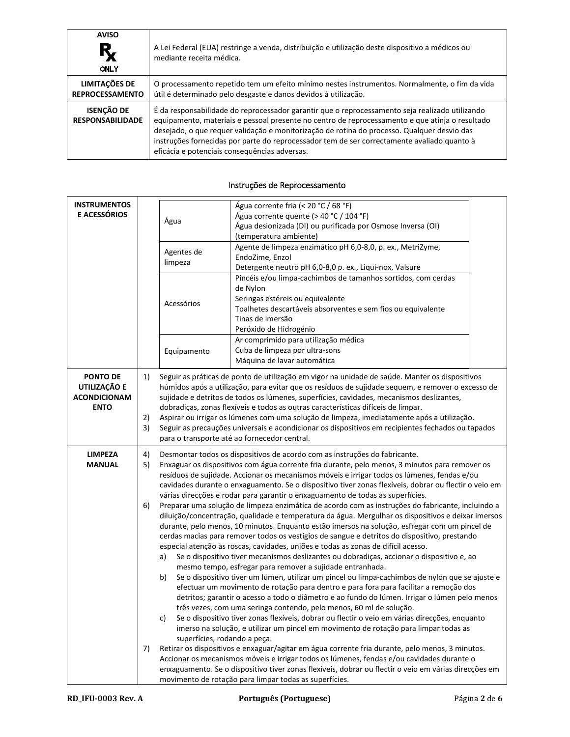| <b>AVISO</b><br>Ŗ<br><b>ONLY</b>             | A Lei Federal (EUA) restringe a venda, distribuição e utilização deste dispositivo a médicos ou<br>mediante receita médica.                                                                                                                                                                                                                                                                                                                       |
|----------------------------------------------|---------------------------------------------------------------------------------------------------------------------------------------------------------------------------------------------------------------------------------------------------------------------------------------------------------------------------------------------------------------------------------------------------------------------------------------------------|
| LIMITAÇÕES DE<br><b>REPROCESSAMENTO</b>      | O processamento repetido tem um efeito mínimo nestes instrumentos. Normalmente, o fim da vida<br>útil é determinado pelo desgaste e danos devidos à utilização.                                                                                                                                                                                                                                                                                   |
| <b>ISENÇÃO DE</b><br><b>RESPONSABILIDADE</b> | É da responsabilidade do reprocessador garantir que o reprocessamento seja realizado utilizando<br>equipamento, materiais e pessoal presente no centro de reprocessamento e que atinja o resultado<br>desejado, o que requer validação e monitorização de rotina do processo. Qualquer desvio das<br>instruções fornecidas por parte do reprocessador tem de ser correctamente avaliado quanto à<br>eficácia e potenciais consequências adversas. |

#### **INSTRUMENTOS E ACESSÓRIOS Agua** Água corrente fria (< 20 °C / 68 °F) Água corrente quente (> 40 °C / 104 °F) Água desionizada (DI) ou purificada por Osmose Inversa (OI) (temperatura ambiente) Agentes de limpeza Agente de limpeza enzimático pH 6,0-8,0, p. ex., MetriZyme, EndoZime, Enzol Detergente neutro pH 6,0-8,0 p. ex., Liqui-nox, Valsure Acessórios Pincéis e/ou limpa-cachimbos de tamanhos sortidos, com cerdas de Nylon Seringas estéreis ou equivalente Toalhetes descartáveis absorventes e sem fios ou equivalente Tinas de imersão Peróxido de Hidrogénio Equipamento Ar comprimido para utilização médica Cuba de limpeza por ultra-sons Máquina de lavar automática **PONTO DE UTILIZAÇÃO E ACONDICIONAM ENTO** 1) Seguir as práticas de ponto de utilização em vigor na unidade de saúde. Manter os dispositivos húmidos após a utilização, para evitar que os resíduos de sujidade sequem, e remover o excesso de sujidade e detritos de todos os lúmenes, superfícies, cavidades, mecanismos deslizantes, dobradiças, zonas flexíveis e todos as outras características difíceis de limpar. 2) Aspirar ou irrigar os lúmenes com uma solução de limpeza, imediatamente após a utilização. 3) Seguir as precauções universais e acondicionar os dispositivos em recipientes fechados ou tapados para o transporte até ao fornecedor central. **LIMPEZA MANUAL** 4) Desmontar todos os dispositivos de acordo com as instruções do fabricante. 5) Enxaguar os dispositivos com água corrente fria durante, pelo menos, 3 minutos para remover os resíduos de sujidade. Accionar os mecanismos móveis e irrigar todos os lúmenes, fendas e/ou cavidades durante o enxaguamento. Se o dispositivo tiver zonas flexíveis, dobrar ou flectir o veio em várias direcções e rodar para garantir o enxaguamento de todas as superfícies. 6) Preparar uma solução de limpeza enzimática de acordo com as instruções do fabricante, incluindo a diluição/concentração, qualidade e temperatura da água. Mergulhar os dispositivos e deixar imersos durante, pelo menos, 10 minutos. Enquanto estão imersos na solução, esfregar com um pincel de cerdas macias para remover todos os vestígios de sangue e detritos do dispositivo, prestando especial atenção às roscas, cavidades, uniões e todas as zonas de difícil acesso. a) Se o dispositivo tiver mecanismos deslizantes ou dobradiças, accionar o dispositivo e, ao mesmo tempo, esfregar para remover a sujidade entranhada. b) Se o dispositivo tiver um lúmen, utilizar um pincel ou limpa-cachimbos de nylon que se ajuste e efectuar um movimento de rotação para dentro e para fora para facilitar a remoção dos detritos; garantir o acesso a todo o diâmetro e ao fundo do lúmen. Irrigar o lúmen pelo menos três vezes, com uma seringa contendo, pelo menos, 60 ml de solução. c) Se o dispositivo tiver zonas flexíveis, dobrar ou flectir o veio em várias direcções, enquanto imerso na solução, e utilizar um pincel em movimento de rotação para limpar todas as superfícies, rodando a peça. 7) Retirar os dispositivos e enxaguar/agitar em água corrente fria durante, pelo menos, 3 minutos. Accionar os mecanismos móveis e irrigar todos os lúmenes, fendas e/ou cavidades durante o enxaguamento. Se o dispositivo tiver zonas flexíveis, dobrar ou flectir o veio em várias direcções em movimento de rotação para limpar todas as superfícies.

#### Instruções de Reprocessamento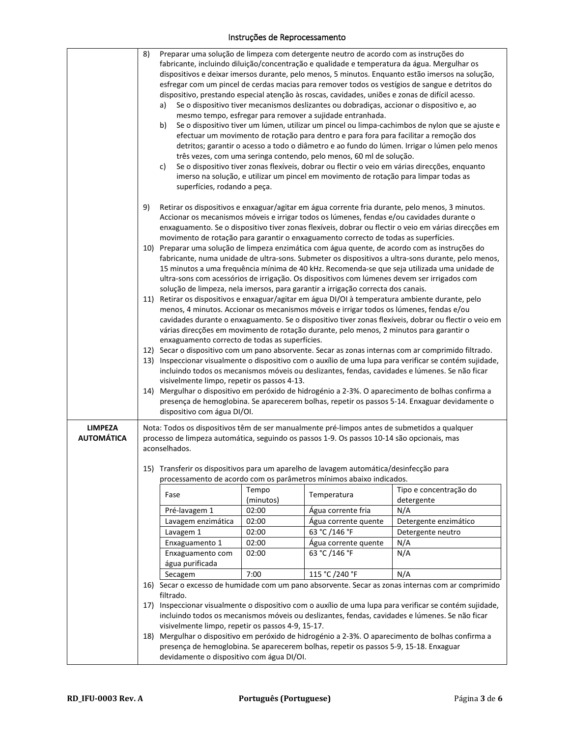## Instruções de Reprocessamento

|                                     | 8)<br>a)<br>b)<br>c)                                                                                                                                                                                                                    | Preparar uma solução de limpeza com detergente neutro de acordo com as instruções do<br>fabricante, incluindo diluição/concentração e qualidade e temperatura da água. Mergulhar os<br>dispositivos e deixar imersos durante, pelo menos, 5 minutos. Enquanto estão imersos na solução,<br>esfregar com um pincel de cerdas macias para remover todos os vestígios de sangue e detritos do<br>dispositivo, prestando especial atenção às roscas, cavidades, uniões e zonas de difícil acesso.<br>Se o dispositivo tiver mecanismos deslizantes ou dobradiças, accionar o dispositivo e, ao<br>mesmo tempo, esfregar para remover a sujidade entranhada.<br>Se o dispositivo tiver um lúmen, utilizar um pincel ou limpa-cachimbos de nylon que se ajuste e<br>efectuar um movimento de rotação para dentro e para fora para facilitar a remoção dos<br>detritos; garantir o acesso a todo o diâmetro e ao fundo do lúmen. Irrigar o lúmen pelo menos<br>três vezes, com uma seringa contendo, pelo menos, 60 ml de solução.<br>Se o dispositivo tiver zonas flexíveis, dobrar ou flectir o veio em várias direcções, enquanto<br>imerso na solução, e utilizar um pincel em movimento de rotação para limpar todas as<br>superfícies, rodando a peça. |                                                                                                                                                                                    |                                                                                                                                                                                                          |  |  |  |
|-------------------------------------|-----------------------------------------------------------------------------------------------------------------------------------------------------------------------------------------------------------------------------------------|-------------------------------------------------------------------------------------------------------------------------------------------------------------------------------------------------------------------------------------------------------------------------------------------------------------------------------------------------------------------------------------------------------------------------------------------------------------------------------------------------------------------------------------------------------------------------------------------------------------------------------------------------------------------------------------------------------------------------------------------------------------------------------------------------------------------------------------------------------------------------------------------------------------------------------------------------------------------------------------------------------------------------------------------------------------------------------------------------------------------------------------------------------------------------------------------------------------------------------------------------------|------------------------------------------------------------------------------------------------------------------------------------------------------------------------------------|----------------------------------------------------------------------------------------------------------------------------------------------------------------------------------------------------------|--|--|--|
|                                     | 9)                                                                                                                                                                                                                                      |                                                                                                                                                                                                                                                                                                                                                                                                                                                                                                                                                                                                                                                                                                                                                                                                                                                                                                                                                                                                                                                                                                                                                                                                                                                       | Accionar os mecanismos móveis e irrigar todos os lúmenes, fendas e/ou cavidades durante o                                                                                          | Retirar os dispositivos e enxaguar/agitar em água corrente fria durante, pelo menos, 3 minutos.<br>enxaguamento. Se o dispositivo tiver zonas flexíveis, dobrar ou flectir o veio em várias direcções em |  |  |  |
|                                     | 10) Preparar uma solução de limpeza enzimática com água quente, de acordo com as instruções do                                                                                                                                          |                                                                                                                                                                                                                                                                                                                                                                                                                                                                                                                                                                                                                                                                                                                                                                                                                                                                                                                                                                                                                                                                                                                                                                                                                                                       | movimento de rotação para garantir o enxaguamento correcto de todas as superfícies.<br>ultra-sons com acessórios de irrigação. Os dispositivos com lúmenes devem ser irrigados com | fabricante, numa unidade de ultra-sons. Submeter os dispositivos a ultra-sons durante, pelo menos,<br>15 minutos a uma frequência mínima de 40 kHz. Recomenda-se que seja utilizada uma unidade de       |  |  |  |
|                                     | 11)                                                                                                                                                                                                                                     | solução de limpeza, nela imersos, para garantir a irrigação correcta dos canais.<br>Retirar os dispositivos e enxaguar/agitar em água DI/OI à temperatura ambiente durante, pelo<br>menos, 4 minutos. Accionar os mecanismos móveis e irrigar todos os lúmenes, fendas e/ou<br>cavidades durante o enxaguamento. Se o dispositivo tiver zonas flexíveis, dobrar ou flectir o veio em<br>várias direcções em movimento de rotação durante, pelo menos, 2 minutos para garantir o                                                                                                                                                                                                                                                                                                                                                                                                                                                                                                                                                                                                                                                                                                                                                                       |                                                                                                                                                                                    |                                                                                                                                                                                                          |  |  |  |
|                                     |                                                                                                                                                                                                                                         | enxaguamento correcto de todas as superfícies.<br>12) Secar o dispositivo com um pano absorvente. Secar as zonas internas com ar comprimido filtrado.<br>13) Inspeccionar visualmente o dispositivo com o auxílio de uma lupa para verificar se contém sujidade,<br>incluindo todos os mecanismos móveis ou deslizantes, fendas, cavidades e lúmenes. Se não ficar<br>visivelmente limpo, repetir os passos 4-13.                                                                                                                                                                                                                                                                                                                                                                                                                                                                                                                                                                                                                                                                                                                                                                                                                                     |                                                                                                                                                                                    |                                                                                                                                                                                                          |  |  |  |
|                                     |                                                                                                                                                                                                                                         | 14) Mergulhar o dispositivo em peróxido de hidrogénio a 2-3%. O aparecimento de bolhas confirma a<br>presença de hemoglobina. Se aparecerem bolhas, repetir os passos 5-14. Enxaguar devidamente o<br>dispositivo com água DI/OI.                                                                                                                                                                                                                                                                                                                                                                                                                                                                                                                                                                                                                                                                                                                                                                                                                                                                                                                                                                                                                     |                                                                                                                                                                                    |                                                                                                                                                                                                          |  |  |  |
| <b>LIMPEZA</b><br><b>AUTOMÁTICA</b> | aconselhados.                                                                                                                                                                                                                           | Nota: Todos os dispositivos têm de ser manualmente pré-limpos antes de submetidos a qualquer<br>processo de limpeza automática, seguindo os passos 1-9. Os passos 10-14 são opcionais, mas                                                                                                                                                                                                                                                                                                                                                                                                                                                                                                                                                                                                                                                                                                                                                                                                                                                                                                                                                                                                                                                            |                                                                                                                                                                                    |                                                                                                                                                                                                          |  |  |  |
|                                     | 15) Transferir os dispositivos para um aparelho de lavagem automática/desinfecção para                                                                                                                                                  |                                                                                                                                                                                                                                                                                                                                                                                                                                                                                                                                                                                                                                                                                                                                                                                                                                                                                                                                                                                                                                                                                                                                                                                                                                                       | processamento de acordo com os parâmetros mínimos abaixo indicados.                                                                                                                |                                                                                                                                                                                                          |  |  |  |
|                                     |                                                                                                                                                                                                                                         | Tempo                                                                                                                                                                                                                                                                                                                                                                                                                                                                                                                                                                                                                                                                                                                                                                                                                                                                                                                                                                                                                                                                                                                                                                                                                                                 |                                                                                                                                                                                    | Tipo e concentração do                                                                                                                                                                                   |  |  |  |
|                                     | Fase                                                                                                                                                                                                                                    | (minutos)                                                                                                                                                                                                                                                                                                                                                                                                                                                                                                                                                                                                                                                                                                                                                                                                                                                                                                                                                                                                                                                                                                                                                                                                                                             | Temperatura                                                                                                                                                                        | detergente                                                                                                                                                                                               |  |  |  |
|                                     | Pré-lavagem 1                                                                                                                                                                                                                           | 02:00                                                                                                                                                                                                                                                                                                                                                                                                                                                                                                                                                                                                                                                                                                                                                                                                                                                                                                                                                                                                                                                                                                                                                                                                                                                 | Água corrente fria                                                                                                                                                                 | N/A                                                                                                                                                                                                      |  |  |  |
|                                     | Lavagem enzimática<br>Lavagem 1                                                                                                                                                                                                         | 02:00<br>02:00                                                                                                                                                                                                                                                                                                                                                                                                                                                                                                                                                                                                                                                                                                                                                                                                                                                                                                                                                                                                                                                                                                                                                                                                                                        | Água corrente quente<br>63 °C /146 °F                                                                                                                                              | Detergente enzimático<br>Detergente neutro                                                                                                                                                               |  |  |  |
|                                     | Enxaguamento 1                                                                                                                                                                                                                          | 02:00                                                                                                                                                                                                                                                                                                                                                                                                                                                                                                                                                                                                                                                                                                                                                                                                                                                                                                                                                                                                                                                                                                                                                                                                                                                 | Água corrente quente                                                                                                                                                               | N/A                                                                                                                                                                                                      |  |  |  |
|                                     | Enxaguamento com                                                                                                                                                                                                                        | 02:00                                                                                                                                                                                                                                                                                                                                                                                                                                                                                                                                                                                                                                                                                                                                                                                                                                                                                                                                                                                                                                                                                                                                                                                                                                                 | 63 °C /146 °F                                                                                                                                                                      | N/A                                                                                                                                                                                                      |  |  |  |
|                                     | água purificada                                                                                                                                                                                                                         |                                                                                                                                                                                                                                                                                                                                                                                                                                                                                                                                                                                                                                                                                                                                                                                                                                                                                                                                                                                                                                                                                                                                                                                                                                                       |                                                                                                                                                                                    |                                                                                                                                                                                                          |  |  |  |
|                                     | Secagem                                                                                                                                                                                                                                 | 7:00                                                                                                                                                                                                                                                                                                                                                                                                                                                                                                                                                                                                                                                                                                                                                                                                                                                                                                                                                                                                                                                                                                                                                                                                                                                  | 115 °C /240 °F                                                                                                                                                                     | N/A                                                                                                                                                                                                      |  |  |  |
|                                     | filtrado.                                                                                                                                                                                                                               |                                                                                                                                                                                                                                                                                                                                                                                                                                                                                                                                                                                                                                                                                                                                                                                                                                                                                                                                                                                                                                                                                                                                                                                                                                                       |                                                                                                                                                                                    | 16) Secar o excesso de humidade com um pano absorvente. Secar as zonas internas com ar comprimido                                                                                                        |  |  |  |
|                                     |                                                                                                                                                                                                                                         | 17) Inspeccionar visualmente o dispositivo com o auxílio de uma lupa para verificar se contém sujidade,<br>incluindo todos os mecanismos móveis ou deslizantes, fendas, cavidades e lúmenes. Se não ficar<br>visivelmente limpo, repetir os passos 4-9, 15-17.                                                                                                                                                                                                                                                                                                                                                                                                                                                                                                                                                                                                                                                                                                                                                                                                                                                                                                                                                                                        |                                                                                                                                                                                    |                                                                                                                                                                                                          |  |  |  |
|                                     | 18) Mergulhar o dispositivo em peróxido de hidrogénio a 2-3%. O aparecimento de bolhas confirma a<br>presença de hemoglobina. Se aparecerem bolhas, repetir os passos 5-9, 15-18. Enxaguar<br>devidamente o dispositivo com água DI/OI. |                                                                                                                                                                                                                                                                                                                                                                                                                                                                                                                                                                                                                                                                                                                                                                                                                                                                                                                                                                                                                                                                                                                                                                                                                                                       |                                                                                                                                                                                    |                                                                                                                                                                                                          |  |  |  |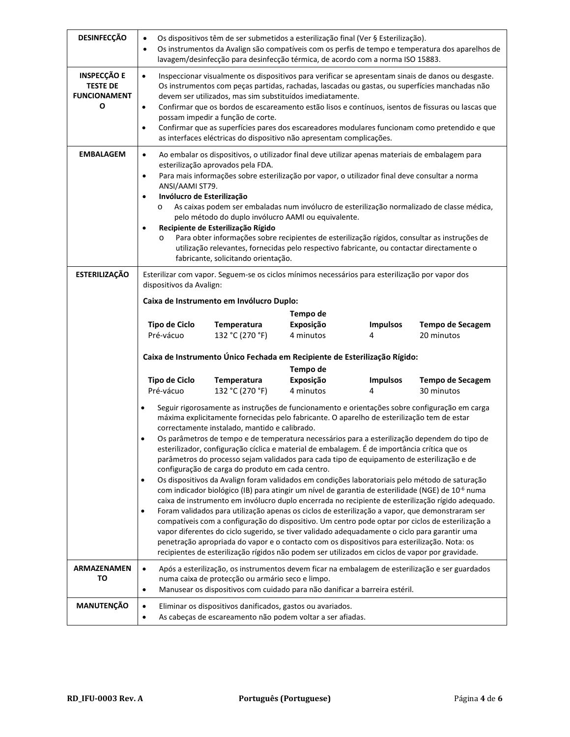| <b>DESINFECÇÃO</b>                                                | Os dispositivos têm de ser submetidos a esterilização final (Ver § Esterilização).<br>$\bullet$<br>Os instrumentos da Avalign são compatíveis com os perfis de tempo e temperatura dos aparelhos de<br>$\bullet$<br>lavagem/desinfecção para desinfecção térmica, de acordo com a norma ISO 15883.                                                                                                                                                                                                                                                                                                                                                                                                                                                                                                                                                                                                                                                                                                |                                                  |                                                                             |  |                                                                                                 |  |  |
|-------------------------------------------------------------------|---------------------------------------------------------------------------------------------------------------------------------------------------------------------------------------------------------------------------------------------------------------------------------------------------------------------------------------------------------------------------------------------------------------------------------------------------------------------------------------------------------------------------------------------------------------------------------------------------------------------------------------------------------------------------------------------------------------------------------------------------------------------------------------------------------------------------------------------------------------------------------------------------------------------------------------------------------------------------------------------------|--------------------------------------------------|-----------------------------------------------------------------------------|--|-------------------------------------------------------------------------------------------------|--|--|
| <b>INSPECÇÃO E</b><br><b>TESTE DE</b><br><b>FUNCIONAMENT</b><br>О | Inspeccionar visualmente os dispositivos para verificar se apresentam sinais de danos ou desgaste.<br>$\bullet$<br>Os instrumentos com peças partidas, rachadas, lascadas ou gastas, ou superfícies manchadas não<br>devem ser utilizados, mas sim substituídos imediatamente.<br>Confirmar que os bordos de escareamento estão lisos e contínuos, isentos de fissuras ou lascas que<br>$\bullet$<br>possam impedir a função de corte.<br>Confirmar que as superfícies pares dos escareadores modulares funcionam como pretendido e que<br>$\bullet$<br>as interfaces eléctricas do dispositivo não apresentam complicações.                                                                                                                                                                                                                                                                                                                                                                      |                                                  |                                                                             |  |                                                                                                 |  |  |
| <b>EMBALAGEM</b>                                                  | Ao embalar os dispositivos, o utilizador final deve utilizar apenas materiais de embalagem para<br>$\bullet$<br>esterilização aprovados pela FDA.<br>Para mais informações sobre esterilização por vapor, o utilizador final deve consultar a norma<br>$\bullet$<br>ANSI/AAMI ST79.<br>Invólucro de Esterilização<br>٠<br>As caixas podem ser embaladas num invólucro de esterilização normalizado de classe médica,<br>$\circ$<br>pelo método do duplo invólucro AAMI ou equivalente.<br>Recipiente de Esterilização Rígido<br>٠<br>Para obter informações sobre recipientes de esterilização rígidos, consultar as instruções de<br>$\circ$<br>utilização relevantes, fornecidas pelo respectivo fabricante, ou contactar directamente o<br>fabricante, solicitando orientação.                                                                                                                                                                                                                 |                                                  |                                                                             |  |                                                                                                 |  |  |
| <b>ESTERILIZAÇÃO</b>                                              | Esterilizar com vapor. Seguem-se os ciclos mínimos necessários para esterilização por vapor dos<br>dispositivos da Avalign:<br>Caixa de Instrumento em Invólucro Duplo:<br>Tempo de<br><b>Tipo de Ciclo</b><br>Exposição<br><b>Temperatura</b><br><b>Impulsos</b><br><b>Tempo de Secagem</b><br>Pré-vácuo<br>132 °C (270 °F)<br>4 minutos<br>20 minutos<br>4<br>Caixa de Instrumento Único Fechada em Recipiente de Esterilização Rígido:<br>Tempo de<br><b>Tipo de Ciclo</b><br>Temperatura<br>Exposição<br><b>Impulsos</b><br><b>Tempo de Secagem</b><br>Pré-vácuo<br>132 °C (270 °F)<br>4 minutos<br>30 minutos<br>4<br>Seguir rigorosamente as instruções de funcionamento e orientações sobre configuração em carga<br>$\bullet$<br>máxima explicitamente fornecidas pelo fabricante. O aparelho de esterilização tem de estar<br>correctamente instalado, mantido e calibrado.<br>Os parâmetros de tempo e de temperatura necessários para a esterilização dependem do tipo de<br>$\bullet$ |                                                  |                                                                             |  |                                                                                                 |  |  |
|                                                                   | parâmetros do processo sejam validados para cada tipo de equipamento de esterilização e de<br>configuração de carga do produto em cada centro.<br>Os dispositivos da Avalign foram validados em condições laboratoriais pelo método de saturação<br>$\bullet$<br>com indicador biológico (IB) para atingir um nível de garantia de esterilidade (NGE) de 10-6 numa<br>caixa de instrumento em invólucro duplo encerrada no recipiente de esterilização rígido adequado.<br>Foram validados para utilização apenas os ciclos de esterilização a vapor, que demonstraram ser<br>$\bullet$<br>compatíveis com a configuração do dispositivo. Um centro pode optar por ciclos de esterilização a<br>vapor diferentes do ciclo sugerido, se tiver validado adequadamente o ciclo para garantir uma<br>penetração apropriada do vapor e o contacto com os dispositivos para esterilização. Nota: os<br>recipientes de esterilização rígidos não podem ser utilizados em ciclos de vapor por gravidade.  |                                                  |                                                                             |  |                                                                                                 |  |  |
| <b>ARMAZENAMEN</b><br>то                                          | $\bullet$<br>$\bullet$                                                                                                                                                                                                                                                                                                                                                                                                                                                                                                                                                                                                                                                                                                                                                                                                                                                                                                                                                                            | numa caixa de protecção ou armário seco e limpo. | Manusear os dispositivos com cuidado para não danificar a barreira estéril. |  | Após a esterilização, os instrumentos devem ficar na embalagem de esterilização e ser guardados |  |  |
| MANUTENÇÃO                                                        | Eliminar os dispositivos danificados, gastos ou avariados.<br>$\bullet$<br>As cabeças de escareamento não podem voltar a ser afiadas.<br>$\bullet$                                                                                                                                                                                                                                                                                                                                                                                                                                                                                                                                                                                                                                                                                                                                                                                                                                                |                                                  |                                                                             |  |                                                                                                 |  |  |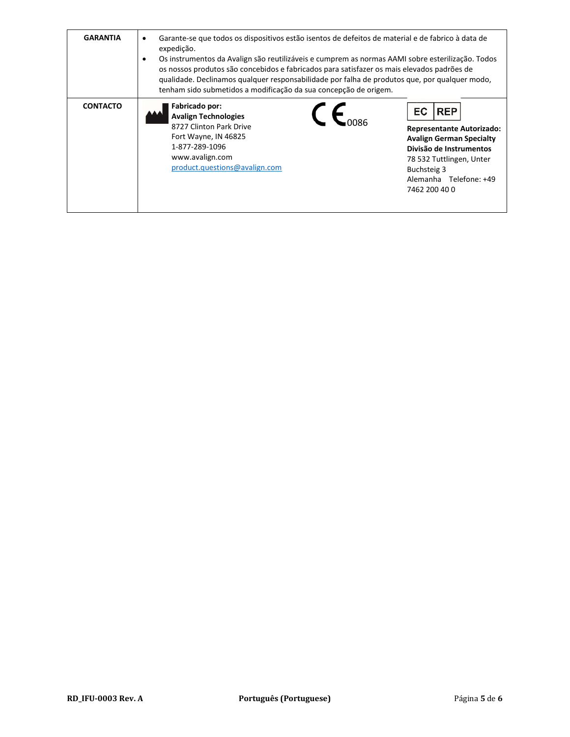| <b>GARANTIA</b> | Garante-se que todos os dispositivos estão isentos de defeitos de material e de fabrico à data de<br>٠<br>expedição.<br>Os instrumentos da Avalign são reutilizáveis e cumprem as normas AAMI sobre esterilização. Todos<br>٠<br>os nossos produtos são concebidos e fabricados para satisfazer os mais elevados padrões de<br>gualidade. Declinamos qualquer responsabilidade por falha de produtos que, por qualquer modo,<br>tenham sido submetidos a modificação da sua concepção de origem. |                                                                                                                                                                                                          |  |  |  |
|-----------------|--------------------------------------------------------------------------------------------------------------------------------------------------------------------------------------------------------------------------------------------------------------------------------------------------------------------------------------------------------------------------------------------------------------------------------------------------------------------------------------------------|----------------------------------------------------------------------------------------------------------------------------------------------------------------------------------------------------------|--|--|--|
| <b>CONTACTO</b> | Fabricado por:<br><b>Avalign Technologies</b><br>8727 Clinton Park Drive<br>Fort Wayne, IN 46825<br>1-877-289-1096<br>www.avalign.com<br>product.questions@avalign.com                                                                                                                                                                                                                                                                                                                           | <b>REP</b><br>EC<br><b>Representante Autorizado:</b><br><b>Avalign German Specialty</b><br>Divisão de Instrumentos<br>78 532 Tuttlingen, Unter<br>Buchsteig 3<br>Alemanha Telefone: +49<br>7462 200 40 0 |  |  |  |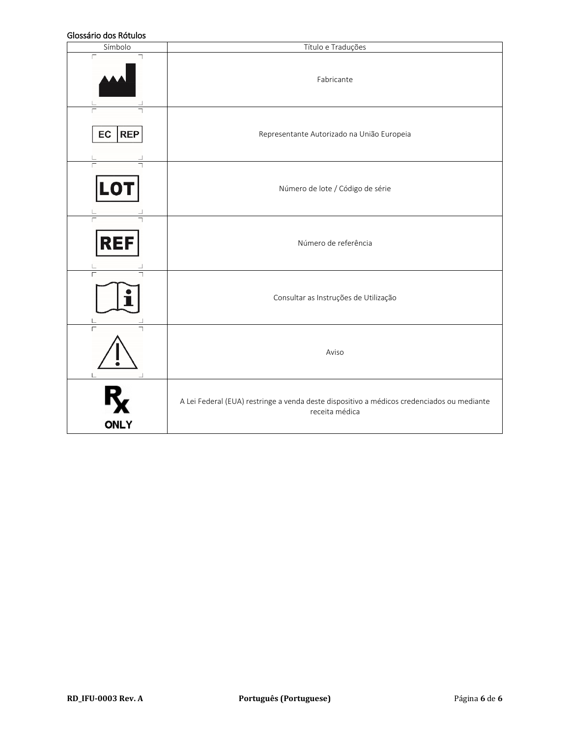### Glossário dos Rótulos

| טושטטו נטט טווסנכטוט<br>Símbolo        | Título e Traduções                                                                                           |  |  |  |  |  |
|----------------------------------------|--------------------------------------------------------------------------------------------------------------|--|--|--|--|--|
| $\Box$<br>┑                            | Fabricante                                                                                                   |  |  |  |  |  |
| <b>REP</b><br>EC                       | Representante Autorizado na União Europeia                                                                   |  |  |  |  |  |
| Número de lote / Código de série<br>LO |                                                                                                              |  |  |  |  |  |
| $\Gamma$<br>REF                        | Número de referência                                                                                         |  |  |  |  |  |
|                                        | Consultar as Instruções de Utilização                                                                        |  |  |  |  |  |
|                                        | Aviso                                                                                                        |  |  |  |  |  |
| <b>ONLY</b>                            | A Lei Federal (EUA) restringe a venda deste dispositivo a médicos credenciados ou mediante<br>receita médica |  |  |  |  |  |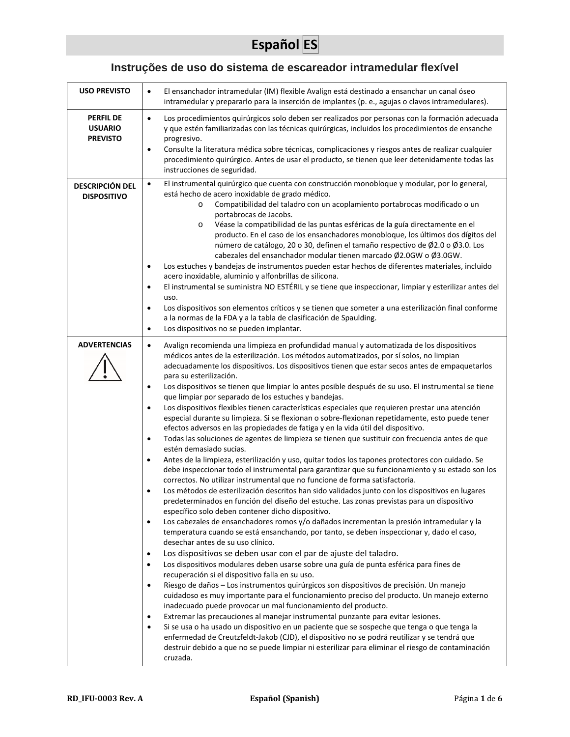# **Español ES**

# **Instruções de uso do sistema de escareador intramedular flexível**

| <b>USO PREVISTO</b>                                   | El ensanchador intramedular (IM) flexible Avalign está destinado a ensanchar un canal óseo<br>$\bullet$<br>intramedular y prepararlo para la inserción de implantes (p. e., agujas o clavos intramedulares).                                                                                                                                                                                                                                                                                                                                                                                                                                                                                                                                                                                                                                                                                                                                                                                                                                                                                                                                                                                                                                                                                                                                                                                                                                                                                                                                                                                                                                                                                                                                                                                                                                                                                                                                                                                                                                                                                                                                                                                                                                                                                                                                                                                                                                                                                                                                                                                                                                                                                                                    |
|-------------------------------------------------------|---------------------------------------------------------------------------------------------------------------------------------------------------------------------------------------------------------------------------------------------------------------------------------------------------------------------------------------------------------------------------------------------------------------------------------------------------------------------------------------------------------------------------------------------------------------------------------------------------------------------------------------------------------------------------------------------------------------------------------------------------------------------------------------------------------------------------------------------------------------------------------------------------------------------------------------------------------------------------------------------------------------------------------------------------------------------------------------------------------------------------------------------------------------------------------------------------------------------------------------------------------------------------------------------------------------------------------------------------------------------------------------------------------------------------------------------------------------------------------------------------------------------------------------------------------------------------------------------------------------------------------------------------------------------------------------------------------------------------------------------------------------------------------------------------------------------------------------------------------------------------------------------------------------------------------------------------------------------------------------------------------------------------------------------------------------------------------------------------------------------------------------------------------------------------------------------------------------------------------------------------------------------------------------------------------------------------------------------------------------------------------------------------------------------------------------------------------------------------------------------------------------------------------------------------------------------------------------------------------------------------------------------------------------------------------------------------------------------------------|
| <b>PERFIL DE</b><br><b>USUARIO</b><br><b>PREVISTO</b> | Los procedimientos quirúrgicos solo deben ser realizados por personas con la formación adecuada<br>$\bullet$<br>y que estén familiarizadas con las técnicas quirúrgicas, incluidos los procedimientos de ensanche<br>progresivo.<br>Consulte la literatura médica sobre técnicas, complicaciones y riesgos antes de realizar cualquier<br>$\bullet$<br>procedimiento quirúrgico. Antes de usar el producto, se tienen que leer detenidamente todas las<br>instrucciones de seguridad.                                                                                                                                                                                                                                                                                                                                                                                                                                                                                                                                                                                                                                                                                                                                                                                                                                                                                                                                                                                                                                                                                                                                                                                                                                                                                                                                                                                                                                                                                                                                                                                                                                                                                                                                                                                                                                                                                                                                                                                                                                                                                                                                                                                                                                           |
| <b>DESCRIPCIÓN DEL</b><br><b>DISPOSITIVO</b>          | El instrumental quirúrgico que cuenta con construcción monobloque y modular, por lo general,<br>$\bullet$<br>está hecho de acero inoxidable de grado médico.<br>Compatibilidad del taladro con un acoplamiento portabrocas modificado o un<br>$\circ$<br>portabrocas de Jacobs.<br>Véase la compatibilidad de las puntas esféricas de la guía directamente en el<br>$\circ$<br>producto. En el caso de los ensanchadores monobloque, los últimos dos dígitos del<br>número de catálogo, 20 o 30, definen el tamaño respectivo de Ø2.0 o Ø3.0. Los<br>cabezales del ensanchador modular tienen marcado Ø2.0GW o Ø3.0GW.<br>Los estuches y bandejas de instrumentos pueden estar hechos de diferentes materiales, incluido<br>$\bullet$<br>acero inoxidable, aluminio y alfonbrillas de silicona.<br>El instrumental se suministra NO ESTÉRIL y se tiene que inspeccionar, limpiar y esterilizar antes del<br>$\bullet$<br>uso.<br>Los dispositivos son elementos críticos y se tienen que someter a una esterilización final conforme<br>$\bullet$<br>a la normas de la FDA y a la tabla de clasificación de Spaulding.<br>Los dispositivos no se pueden implantar.<br>$\bullet$                                                                                                                                                                                                                                                                                                                                                                                                                                                                                                                                                                                                                                                                                                                                                                                                                                                                                                                                                                                                                                                                                                                                                                                                                                                                                                                                                                                                                                                                                                                                                 |
| <b>ADVERTENCIAS</b>                                   | Avalign recomienda una limpieza en profundidad manual y automatizada de los dispositivos<br>$\bullet$<br>médicos antes de la esterilización. Los métodos automatizados, por sí solos, no limpian<br>adecuadamente los dispositivos. Los dispositivos tienen que estar secos antes de empaquetarlos<br>para su esterilización.<br>Los dispositivos se tienen que limpiar lo antes posible después de su uso. El instrumental se tiene<br>$\bullet$<br>que limpiar por separado de los estuches y bandejas.<br>Los dispositivos flexibles tienen características especiales que requieren prestar una atención<br>$\bullet$<br>especial durante su limpieza. Si se flexionan o sobre-flexionan repetidamente, esto puede tener<br>efectos adversos en las propiedades de fatiga y en la vida útil del dispositivo.<br>Todas las soluciones de agentes de limpieza se tienen que sustituir con frecuencia antes de que<br>$\bullet$<br>estén demasiado sucias.<br>Antes de la limpieza, esterilización y uso, quitar todos los tapones protectores con cuidado. Se<br>$\bullet$<br>debe inspeccionar todo el instrumental para garantizar que su funcionamiento y su estado son los<br>correctos. No utilizar instrumental que no funcione de forma satisfactoria.<br>Los métodos de esterilización descritos han sido validados junto con los dispositivos en lugares<br>$\bullet$<br>predeterminados en función del diseño del estuche. Las zonas previstas para un dispositivo<br>específico solo deben contener dicho dispositivo.<br>Los cabezales de ensanchadores romos y/o dañados incrementan la presión intramedular y la<br>$\bullet$<br>temperatura cuando se está ensanchando, por tanto, se deben inspeccionar y, dado el caso,<br>desechar antes de su uso clínico.<br>Los dispositivos se deben usar con el par de ajuste del taladro.<br>$\bullet$<br>Los dispositivos modulares deben usarse sobre una guía de punta esférica para fines de<br>$\bullet$<br>recuperación si el dispositivo falla en su uso.<br>Riesgo de daños - Los instrumentos quirúrgicos son dispositivos de precisión. Un manejo<br>$\bullet$<br>cuidadoso es muy importante para el funcionamiento preciso del producto. Un manejo externo<br>inadecuado puede provocar un mal funcionamiento del producto.<br>Extremar las precauciones al manejar instrumental punzante para evitar lesiones.<br>$\bullet$<br>Si se usa o ha usado un dispositivo en un paciente que se sospeche que tenga o que tenga la<br>$\bullet$<br>enfermedad de Creutzfeldt-Jakob (CJD), el dispositivo no se podrá reutilizar y se tendrá que<br>destruir debido a que no se puede limpiar ni esterilizar para eliminar el riesgo de contaminación<br>cruzada. |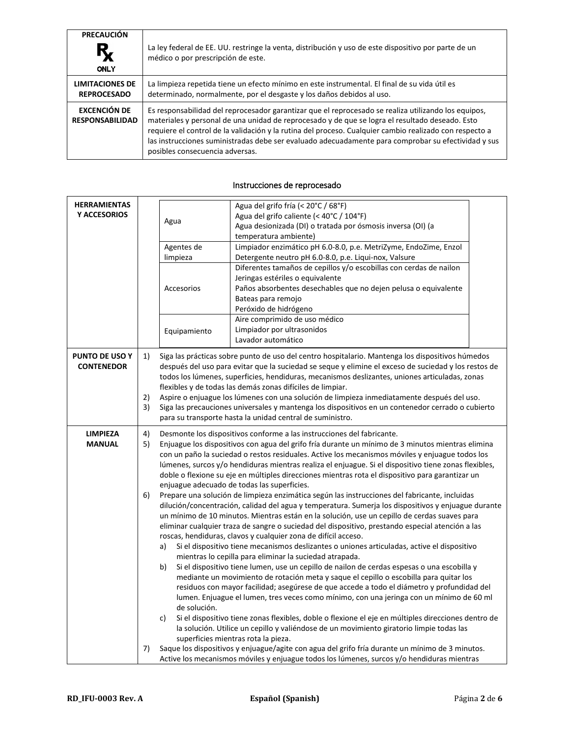| <b>PRECAUCIÓN</b><br>$R_{\chi}$<br><b>ONLY</b> | La ley federal de EE. UU. restringe la venta, distribución y uso de este dispositivo por parte de un<br>médico o por prescripción de este.                                                                                                                                                                                                                                                                                                                   |
|------------------------------------------------|--------------------------------------------------------------------------------------------------------------------------------------------------------------------------------------------------------------------------------------------------------------------------------------------------------------------------------------------------------------------------------------------------------------------------------------------------------------|
| <b>LIMITACIONES DE</b><br><b>REPROCESADO</b>   | La limpieza repetida tiene un efecto mínimo en este instrumental. El final de su vida útil es<br>determinado, normalmente, por el desgaste y los daños debidos al uso.                                                                                                                                                                                                                                                                                       |
| <b>EXCENCIÓN DE</b><br><b>RESPONSABILIDAD</b>  | Es responsabilidad del reprocesador garantizar que el reprocesado se realiza utilizando los equipos,<br>materiales y personal de una unidad de reprocesado y de que se logra el resultado deseado. Esto<br>requiere el control de la validación y la rutina del proceso. Cualquier cambio realizado con respecto a<br>las instrucciones suministradas debe ser evaluado adecuadamente para comprobar su efectividad y sus<br>posibles consecuencia adversas. |

| <b>HERRAMIENTAS</b><br>Y ACCESORIOS        |                      | Agua<br>Agentes de<br>limpieza<br>Accesorios                                                                                                                                                                                                                                                                                                                                                                                                                                                                                                                                                                                             | Agua del grifo fría (< 20°C / 68°F)<br>Agua del grifo caliente (< 40°C / 104°F)<br>Agua desionizada (DI) o tratada por ósmosis inversa (OI) (a<br>temperatura ambiente)<br>Limpiador enzimático pH 6.0-8.0, p.e. MetriZyme, EndoZime, Enzol<br>Detergente neutro pH 6.0-8.0, p.e. Liqui-nox, Valsure<br>Diferentes tamaños de cepillos y/o escobillas con cerdas de nailon<br>Jeringas estériles o equivalente<br>Paños absorbentes desechables que no dejen pelusa o equivalente<br>Bateas para remojo<br>Peróxido de hidrógeno<br>Aire comprimido de uso médico<br>Limpiador por ultrasonidos                                                                                                                                                                                                                                                                                                                                                                                                                                                                                                                                                                                                                                                                                                                                                                                                                                                                                                                                                                                                                                                                                                                                                                                                                                                                                                                                                                                                                  |  |  |  |
|--------------------------------------------|----------------------|------------------------------------------------------------------------------------------------------------------------------------------------------------------------------------------------------------------------------------------------------------------------------------------------------------------------------------------------------------------------------------------------------------------------------------------------------------------------------------------------------------------------------------------------------------------------------------------------------------------------------------------|------------------------------------------------------------------------------------------------------------------------------------------------------------------------------------------------------------------------------------------------------------------------------------------------------------------------------------------------------------------------------------------------------------------------------------------------------------------------------------------------------------------------------------------------------------------------------------------------------------------------------------------------------------------------------------------------------------------------------------------------------------------------------------------------------------------------------------------------------------------------------------------------------------------------------------------------------------------------------------------------------------------------------------------------------------------------------------------------------------------------------------------------------------------------------------------------------------------------------------------------------------------------------------------------------------------------------------------------------------------------------------------------------------------------------------------------------------------------------------------------------------------------------------------------------------------------------------------------------------------------------------------------------------------------------------------------------------------------------------------------------------------------------------------------------------------------------------------------------------------------------------------------------------------------------------------------------------------------------------------------------------------|--|--|--|
|                                            |                      | Equipamiento                                                                                                                                                                                                                                                                                                                                                                                                                                                                                                                                                                                                                             | Lavador automático                                                                                                                                                                                                                                                                                                                                                                                                                                                                                                                                                                                                                                                                                                                                                                                                                                                                                                                                                                                                                                                                                                                                                                                                                                                                                                                                                                                                                                                                                                                                                                                                                                                                                                                                                                                                                                                                                                                                                                                               |  |  |  |
| <b>PUNTO DE USO Y</b><br><b>CONTENEDOR</b> | 1)<br>2)<br>3)       | Siga las prácticas sobre punto de uso del centro hospitalario. Mantenga los dispositivos húmedos<br>después del uso para evitar que la suciedad se seque y elimine el exceso de suciedad y los restos de<br>todos los lúmenes, superficies, hendiduras, mecanismos deslizantes, uniones articuladas, zonas<br>flexibles y de todas las demás zonas difíciles de limpiar.<br>Aspire o enjuague los lúmenes con una solución de limpieza inmediatamente después del uso.<br>Siga las precauciones universales y mantenga los dispositivos en un contenedor cerrado o cubierto<br>para su transporte hasta la unidad central de suministro. |                                                                                                                                                                                                                                                                                                                                                                                                                                                                                                                                                                                                                                                                                                                                                                                                                                                                                                                                                                                                                                                                                                                                                                                                                                                                                                                                                                                                                                                                                                                                                                                                                                                                                                                                                                                                                                                                                                                                                                                                                  |  |  |  |
| <b>LIMPIEZA</b><br><b>MANUAL</b>           | 4)<br>5)<br>6)<br>7) | a)<br>b)<br>de solución.<br>c)                                                                                                                                                                                                                                                                                                                                                                                                                                                                                                                                                                                                           | Desmonte los dispositivos conforme a las instrucciones del fabricante.<br>Enjuague los dispositivos con agua del grifo fría durante un mínimo de 3 minutos mientras elimina<br>con un paño la suciedad o restos residuales. Active los mecanismos móviles y enjuague todos los<br>lúmenes, surcos y/o hendiduras mientras realiza el enjuague. Si el dispositivo tiene zonas flexibles,<br>doble o flexione su eje en múltiples direcciones mientras rota el dispositivo para garantizar un<br>enjuague adecuado de todas las superficies.<br>Prepare una solución de limpieza enzimática según las instrucciones del fabricante, incluidas<br>dilución/concentración, calidad del agua y temperatura. Sumerja los dispositivos y enjuague durante<br>un mínimo de 10 minutos. Mientras están en la solución, use un cepillo de cerdas suaves para<br>eliminar cualquier traza de sangre o suciedad del dispositivo, prestando especial atención a las<br>roscas, hendiduras, clavos y cualquier zona de difícil acceso.<br>Si el dispositivo tiene mecanismos deslizantes o uniones articuladas, active el dispositivo<br>mientras lo cepilla para eliminar la suciedad atrapada.<br>Si el dispositivo tiene lumen, use un cepillo de nailon de cerdas espesas o una escobilla y<br>mediante un movimiento de rotación meta y saque el cepillo o escobilla para quitar los<br>residuos con mayor facilidad; asegúrese de que accede a todo el diámetro y profundidad del<br>lumen. Enjuague el lumen, tres veces como mínimo, con una jeringa con un mínimo de 60 ml<br>Si el dispositivo tiene zonas flexibles, doble o flexione el eje en múltiples direcciones dentro de<br>la solución. Utilice un cepillo y valiéndose de un movimiento giratorio limpie todas las<br>superficies mientras rota la pieza.<br>Saque los dispositivos y enjuague/agite con agua del grifo fría durante un mínimo de 3 minutos.<br>Active los mecanismos móviles y enjuague todos los lúmenes, surcos y/o hendiduras mientras |  |  |  |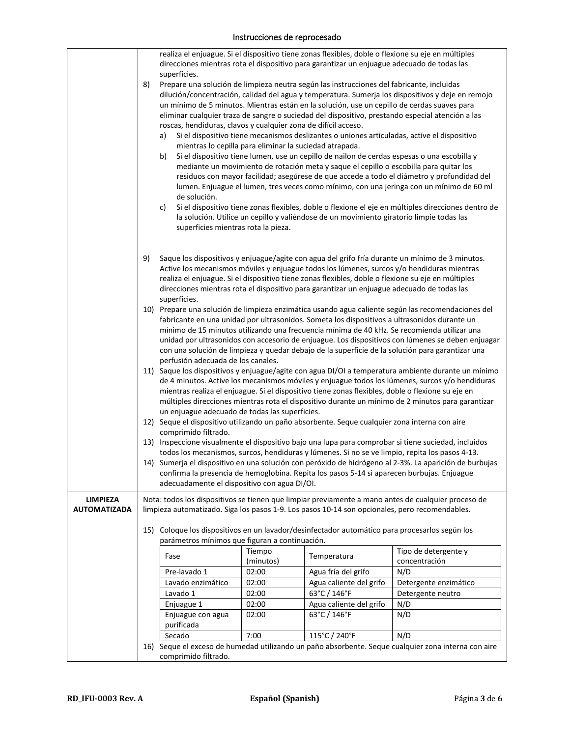|                     |                                                | realiza el enjuague. Si el dispositivo tiene zonas flexibles, doble o flexione su eje en múltiples<br>direcciones mientras rota el dispositivo para garantizar un enjuague adecuado de todas las      |                                                                                                                                                                                      |                                                                                                    |                                                                                                      |  |  |  |  |
|---------------------|------------------------------------------------|-------------------------------------------------------------------------------------------------------------------------------------------------------------------------------------------------------|--------------------------------------------------------------------------------------------------------------------------------------------------------------------------------------|----------------------------------------------------------------------------------------------------|------------------------------------------------------------------------------------------------------|--|--|--|--|
|                     |                                                |                                                                                                                                                                                                       |                                                                                                                                                                                      |                                                                                                    |                                                                                                      |  |  |  |  |
|                     |                                                | superficies.                                                                                                                                                                                          |                                                                                                                                                                                      |                                                                                                    |                                                                                                      |  |  |  |  |
|                     | 8)                                             |                                                                                                                                                                                                       |                                                                                                                                                                                      | Prepare una solución de limpieza neutra según las instrucciones del fabricante, incluidas          |                                                                                                      |  |  |  |  |
|                     |                                                |                                                                                                                                                                                                       |                                                                                                                                                                                      |                                                                                                    | dilución/concentración, calidad del agua y temperatura. Sumerja los dispositivos y deje en remojo    |  |  |  |  |
|                     |                                                |                                                                                                                                                                                                       |                                                                                                                                                                                      | un mínimo de 5 minutos. Mientras están en la solución, use un cepillo de cerdas suaves para        |                                                                                                      |  |  |  |  |
|                     |                                                |                                                                                                                                                                                                       |                                                                                                                                                                                      |                                                                                                    | eliminar cualquier traza de sangre o suciedad del dispositivo, prestando especial atención a las     |  |  |  |  |
|                     |                                                | roscas, hendiduras, clavos y cualquier zona de difícil acceso.<br>a)                                                                                                                                  |                                                                                                                                                                                      |                                                                                                    |                                                                                                      |  |  |  |  |
|                     |                                                |                                                                                                                                                                                                       | Si el dispositivo tiene mecanismos deslizantes o uniones articuladas, active el dispositivo<br>mientras lo cepilla para eliminar la suciedad atrapada.                               |                                                                                                    |                                                                                                      |  |  |  |  |
|                     |                                                | b)                                                                                                                                                                                                    | Si el dispositivo tiene lumen, use un cepillo de nailon de cerdas espesas o una escobilla y                                                                                          |                                                                                                    |                                                                                                      |  |  |  |  |
|                     |                                                |                                                                                                                                                                                                       |                                                                                                                                                                                      |                                                                                                    |                                                                                                      |  |  |  |  |
|                     |                                                |                                                                                                                                                                                                       | mediante un movimiento de rotación meta y saque el cepillo o escobilla para quitar los<br>residuos con mayor facilidad; asegúrese de que accede a todo el diámetro y profundidad del |                                                                                                    |                                                                                                      |  |  |  |  |
|                     |                                                |                                                                                                                                                                                                       |                                                                                                                                                                                      |                                                                                                    | lumen. Enjuague el lumen, tres veces como mínimo, con una jeringa con un mínimo de 60 ml             |  |  |  |  |
|                     |                                                | de solución.                                                                                                                                                                                          |                                                                                                                                                                                      |                                                                                                    |                                                                                                      |  |  |  |  |
|                     |                                                | c)                                                                                                                                                                                                    |                                                                                                                                                                                      |                                                                                                    | Si el dispositivo tiene zonas flexibles, doble o flexione el eje en múltiples direcciones dentro de  |  |  |  |  |
|                     |                                                |                                                                                                                                                                                                       |                                                                                                                                                                                      | la solución. Utilice un cepillo y valiéndose de un movimiento giratorio limpie todas las           |                                                                                                      |  |  |  |  |
|                     |                                                | superficies mientras rota la pieza.                                                                                                                                                                   |                                                                                                                                                                                      |                                                                                                    |                                                                                                      |  |  |  |  |
|                     |                                                |                                                                                                                                                                                                       |                                                                                                                                                                                      |                                                                                                    |                                                                                                      |  |  |  |  |
|                     |                                                |                                                                                                                                                                                                       |                                                                                                                                                                                      |                                                                                                    |                                                                                                      |  |  |  |  |
|                     | 9)                                             |                                                                                                                                                                                                       |                                                                                                                                                                                      |                                                                                                    | Saque los dispositivos y enjuague/agite con agua del grifo fría durante un mínimo de 3 minutos.      |  |  |  |  |
|                     |                                                |                                                                                                                                                                                                       |                                                                                                                                                                                      | Active los mecanismos móviles y enjuague todos los lúmenes, surcos y/o hendiduras mientras         |                                                                                                      |  |  |  |  |
|                     |                                                |                                                                                                                                                                                                       |                                                                                                                                                                                      | realiza el enjuague. Si el dispositivo tiene zonas flexibles, doble o flexione su eje en múltiples |                                                                                                      |  |  |  |  |
|                     |                                                |                                                                                                                                                                                                       |                                                                                                                                                                                      | direcciones mientras rota el dispositivo para garantizar un enjuague adecuado de todas las         |                                                                                                      |  |  |  |  |
|                     |                                                | superficies.                                                                                                                                                                                          |                                                                                                                                                                                      |                                                                                                    | 10) Prepare una solución de limpieza enzimática usando agua caliente según las recomendaciones del   |  |  |  |  |
|                     |                                                |                                                                                                                                                                                                       |                                                                                                                                                                                      | fabricante en una unidad por ultrasonidos. Someta los dispositivos a ultrasonidos durante un       |                                                                                                      |  |  |  |  |
|                     |                                                |                                                                                                                                                                                                       |                                                                                                                                                                                      |                                                                                                    | mínimo de 15 minutos utilizando una frecuencia mínima de 40 kHz. Se recomienda utilizar una          |  |  |  |  |
|                     |                                                |                                                                                                                                                                                                       |                                                                                                                                                                                      |                                                                                                    | unidad por ultrasonidos con accesorio de enjuague. Los dispositivos con lúmenes se deben enjuagar    |  |  |  |  |
|                     |                                                |                                                                                                                                                                                                       |                                                                                                                                                                                      |                                                                                                    |                                                                                                      |  |  |  |  |
|                     |                                                |                                                                                                                                                                                                       | con una solución de limpieza y quedar debajo de la superficie de la solución para garantizar una<br>perfusión adecuada de los canales.                                               |                                                                                                    |                                                                                                      |  |  |  |  |
|                     |                                                | 11) Saque los dispositivos y enjuague/agite con agua DI/OI a temperatura ambiente durante un mínimo                                                                                                   |                                                                                                                                                                                      |                                                                                                    |                                                                                                      |  |  |  |  |
|                     |                                                | de 4 minutos. Active los mecanismos móviles y enjuague todos los lúmenes, surcos y/o hendiduras                                                                                                       |                                                                                                                                                                                      |                                                                                                    |                                                                                                      |  |  |  |  |
|                     |                                                |                                                                                                                                                                                                       |                                                                                                                                                                                      | mientras realiza el enjuague. Si el dispositivo tiene zonas flexibles, doble o flexione su eje en  |                                                                                                      |  |  |  |  |
|                     |                                                |                                                                                                                                                                                                       |                                                                                                                                                                                      |                                                                                                    | múltiples direcciones mientras rota el dispositivo durante un mínimo de 2 minutos para garantizar    |  |  |  |  |
|                     |                                                | un enjuague adecuado de todas las superficies.                                                                                                                                                        |                                                                                                                                                                                      |                                                                                                    |                                                                                                      |  |  |  |  |
|                     |                                                | comprimido filtrado.                                                                                                                                                                                  |                                                                                                                                                                                      | 12) Seque el dispositivo utilizando un paño absorbente. Seque cualquier zona interna con aire      |                                                                                                      |  |  |  |  |
|                     |                                                |                                                                                                                                                                                                       |                                                                                                                                                                                      |                                                                                                    | 13) Inspeccione visualmente el dispositivo bajo una lupa para comprobar si tiene suciedad, incluidos |  |  |  |  |
|                     |                                                |                                                                                                                                                                                                       |                                                                                                                                                                                      | todos los mecanismos, surcos, hendiduras y lúmenes. Si no se ve limpio, repita los pasos 4-13.     |                                                                                                      |  |  |  |  |
|                     |                                                |                                                                                                                                                                                                       |                                                                                                                                                                                      |                                                                                                    |                                                                                                      |  |  |  |  |
|                     |                                                | 14) Sumerja el dispositivo en una solución con peróxido de hidrógeno al 2-3%. La aparición de burbujas<br>confirma la presencia de hemoglobina. Repita los pasos 5-14 si aparecen burbujas. Enjuague  |                                                                                                                                                                                      |                                                                                                    |                                                                                                      |  |  |  |  |
|                     |                                                | adecuadamente el dispositivo con agua DI/OI.                                                                                                                                                          |                                                                                                                                                                                      |                                                                                                    |                                                                                                      |  |  |  |  |
| <b>LIMPIEZA</b>     |                                                |                                                                                                                                                                                                       |                                                                                                                                                                                      |                                                                                                    |                                                                                                      |  |  |  |  |
| <b>AUTOMATIZADA</b> |                                                | Nota: todos los dispositivos se tienen que limpiar previamente a mano antes de cualquier proceso de<br>limpieza automatizado. Siga los pasos 1-9. Los pasos 10-14 son opcionales, pero recomendables. |                                                                                                                                                                                      |                                                                                                    |                                                                                                      |  |  |  |  |
|                     |                                                |                                                                                                                                                                                                       |                                                                                                                                                                                      |                                                                                                    |                                                                                                      |  |  |  |  |
|                     |                                                | 15) Coloque los dispositivos en un lavador/desinfectador automático para procesarlos según los                                                                                                        |                                                                                                                                                                                      |                                                                                                    |                                                                                                      |  |  |  |  |
|                     | parámetros mínimos que figuran a continuación. |                                                                                                                                                                                                       |                                                                                                                                                                                      |                                                                                                    |                                                                                                      |  |  |  |  |
|                     |                                                |                                                                                                                                                                                                       | Tiempo                                                                                                                                                                               |                                                                                                    | Tipo de detergente y                                                                                 |  |  |  |  |
|                     |                                                | Fase                                                                                                                                                                                                  | (minutos)                                                                                                                                                                            | Temperatura                                                                                        | concentración                                                                                        |  |  |  |  |
|                     |                                                | Pre-lavado 1                                                                                                                                                                                          | 02:00                                                                                                                                                                                | Agua fría del grifo                                                                                | N/D                                                                                                  |  |  |  |  |
|                     |                                                | Lavado enzimático                                                                                                                                                                                     | 02:00                                                                                                                                                                                | Agua caliente del grifo                                                                            | Detergente enzimático                                                                                |  |  |  |  |
|                     |                                                | Lavado 1                                                                                                                                                                                              | 02:00                                                                                                                                                                                | 63°C / 146°F                                                                                       | Detergente neutro                                                                                    |  |  |  |  |
|                     |                                                | Enjuague 1                                                                                                                                                                                            | 02:00                                                                                                                                                                                | Agua caliente del grifo                                                                            | N/D                                                                                                  |  |  |  |  |
|                     |                                                | 63°C / 146°F<br>N/D<br>Enjuague con agua<br>02:00                                                                                                                                                     |                                                                                                                                                                                      |                                                                                                    |                                                                                                      |  |  |  |  |
|                     |                                                | purificada                                                                                                                                                                                            |                                                                                                                                                                                      |                                                                                                    |                                                                                                      |  |  |  |  |
|                     |                                                | Secado                                                                                                                                                                                                | 7:00                                                                                                                                                                                 | 115°C / 240°F                                                                                      | N/D                                                                                                  |  |  |  |  |
|                     |                                                |                                                                                                                                                                                                       |                                                                                                                                                                                      |                                                                                                    | 16) Seque el exceso de humedad utilizando un paño absorbente. Seque cualquier zona interna con aire  |  |  |  |  |
|                     | comprimido filtrado.                           |                                                                                                                                                                                                       |                                                                                                                                                                                      |                                                                                                    |                                                                                                      |  |  |  |  |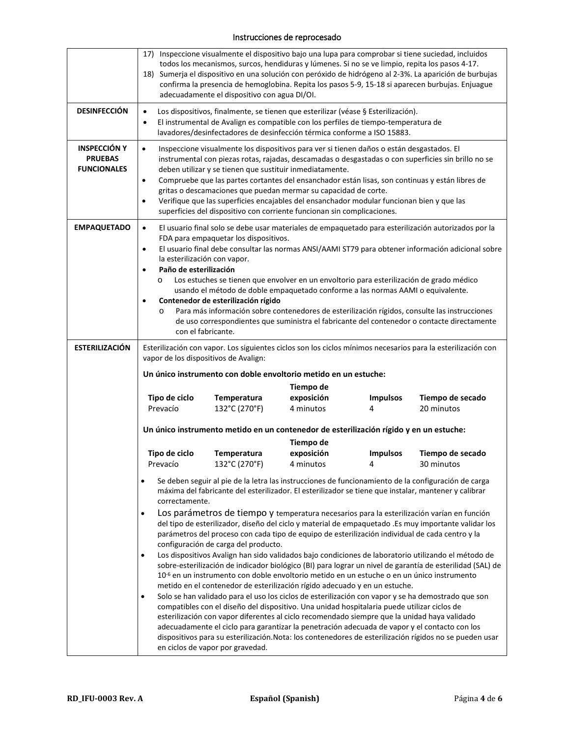|                                                             | 17) Inspeccione visualmente el dispositivo bajo una lupa para comprobar si tiene suciedad, incluidos<br>todos los mecanismos, surcos, hendiduras y lúmenes. Si no se ve limpio, repita los pasos 4-17.<br>18) Sumerja el dispositivo en una solución con peróxido de hidrógeno al 2-3%. La aparición de burbujas<br>confirma la presencia de hemoglobina. Repita los pasos 5-9, 15-18 si aparecen burbujas. Enjuague<br>adecuadamente el dispositivo con agua DI/OI.                                                                                                                                                                                                                                                                                                                                                                                                                                                                                                                                                                                                                                                                                                                                                                                                                                                                                                                                                                                                                                                                                                                   |                                                                                                                                                                                                                                                    |                                      |                      |                                                                                                              |
|-------------------------------------------------------------|----------------------------------------------------------------------------------------------------------------------------------------------------------------------------------------------------------------------------------------------------------------------------------------------------------------------------------------------------------------------------------------------------------------------------------------------------------------------------------------------------------------------------------------------------------------------------------------------------------------------------------------------------------------------------------------------------------------------------------------------------------------------------------------------------------------------------------------------------------------------------------------------------------------------------------------------------------------------------------------------------------------------------------------------------------------------------------------------------------------------------------------------------------------------------------------------------------------------------------------------------------------------------------------------------------------------------------------------------------------------------------------------------------------------------------------------------------------------------------------------------------------------------------------------------------------------------------------|----------------------------------------------------------------------------------------------------------------------------------------------------------------------------------------------------------------------------------------------------|--------------------------------------|----------------------|--------------------------------------------------------------------------------------------------------------|
| <b>DESINFECCIÓN</b>                                         | $\bullet$<br>$\bullet$                                                                                                                                                                                                                                                                                                                                                                                                                                                                                                                                                                                                                                                                                                                                                                                                                                                                                                                                                                                                                                                                                                                                                                                                                                                                                                                                                                                                                                                                                                                                                                 | Los dispositivos, finalmente, se tienen que esterilizar (véase § Esterilización).<br>El instrumental de Avalign es compatible con los perfiles de tiempo-temperatura de<br>lavadores/desinfectadores de desinfección térmica conforme a ISO 15883. |                                      |                      |                                                                                                              |
| <b>INSPECCIÓN Y</b><br><b>PRUEBAS</b><br><b>FUNCIONALES</b> | Inspeccione visualmente los dispositivos para ver si tienen daños o están desgastados. El<br>$\bullet$<br>instrumental con piezas rotas, rajadas, descamadas o desgastadas o con superficies sin brillo no se<br>deben utilizar y se tienen que sustituir inmediatamente.<br>Compruebe que las partes cortantes del ensanchador están lisas, son continuas y están libres de<br>$\bullet$<br>gritas o descamaciones que puedan mermar su capacidad de corte.<br>Verifique que las superficies encajables del ensanchador modular funcionan bien y que las<br>$\bullet$<br>superficies del dispositivo con corriente funcionan sin complicaciones.                                                                                                                                                                                                                                                                                                                                                                                                                                                                                                                                                                                                                                                                                                                                                                                                                                                                                                                                      |                                                                                                                                                                                                                                                    |                                      |                      |                                                                                                              |
| <b>EMPAQUETADO</b>                                          | El usuario final solo se debe usar materiales de empaquetado para esterilización autorizados por la<br>$\bullet$<br>FDA para empaquetar los dispositivos.<br>El usuario final debe consultar las normas ANSI/AAMI ST79 para obtener información adicional sobre<br>$\bullet$<br>la esterilización con vapor.<br>Paño de esterilización<br>$\bullet$<br>Los estuches se tienen que envolver en un envoltorio para esterilización de grado médico<br>$\circ$<br>usando el método de doble empaquetado conforme a las normas AAMI o equivalente.<br>Contenedor de esterilización rígido<br>$\bullet$<br>Para más información sobre contenedores de esterilización rígidos, consulte las instrucciones<br>O<br>de uso correspondientes que suministra el fabricante del contenedor o contacte directamente<br>con el fabricante.                                                                                                                                                                                                                                                                                                                                                                                                                                                                                                                                                                                                                                                                                                                                                           |                                                                                                                                                                                                                                                    |                                      |                      |                                                                                                              |
| <b>ESTERILIZACIÓN</b>                                       | vapor de los dispositivos de Avalign:                                                                                                                                                                                                                                                                                                                                                                                                                                                                                                                                                                                                                                                                                                                                                                                                                                                                                                                                                                                                                                                                                                                                                                                                                                                                                                                                                                                                                                                                                                                                                  |                                                                                                                                                                                                                                                    |                                      |                      | Esterilización con vapor. Los siguientes ciclos son los ciclos mínimos necesarios para la esterilización con |
|                                                             |                                                                                                                                                                                                                                                                                                                                                                                                                                                                                                                                                                                                                                                                                                                                                                                                                                                                                                                                                                                                                                                                                                                                                                                                                                                                                                                                                                                                                                                                                                                                                                                        | Un único instrumento con doble envoltorio metido en un estuche:                                                                                                                                                                                    |                                      |                      |                                                                                                              |
|                                                             |                                                                                                                                                                                                                                                                                                                                                                                                                                                                                                                                                                                                                                                                                                                                                                                                                                                                                                                                                                                                                                                                                                                                                                                                                                                                                                                                                                                                                                                                                                                                                                                        |                                                                                                                                                                                                                                                    | Tiempo de                            |                      |                                                                                                              |
|                                                             | Tipo de ciclo<br>Prevacío                                                                                                                                                                                                                                                                                                                                                                                                                                                                                                                                                                                                                                                                                                                                                                                                                                                                                                                                                                                                                                                                                                                                                                                                                                                                                                                                                                                                                                                                                                                                                              | <b>Temperatura</b><br>132°C (270°F)                                                                                                                                                                                                                | exposición<br>4 minutos              | <b>Impulsos</b><br>4 | Tiempo de secado<br>20 minutos                                                                               |
|                                                             |                                                                                                                                                                                                                                                                                                                                                                                                                                                                                                                                                                                                                                                                                                                                                                                                                                                                                                                                                                                                                                                                                                                                                                                                                                                                                                                                                                                                                                                                                                                                                                                        | Un único instrumento metido en un contenedor de esterilización rígido y en un estuche:                                                                                                                                                             |                                      |                      |                                                                                                              |
|                                                             | Tipo de ciclo<br>Prevacío                                                                                                                                                                                                                                                                                                                                                                                                                                                                                                                                                                                                                                                                                                                                                                                                                                                                                                                                                                                                                                                                                                                                                                                                                                                                                                                                                                                                                                                                                                                                                              | <b>Temperatura</b><br>132°C (270°F)                                                                                                                                                                                                                | Tiempo de<br>exposición<br>4 minutos | <b>Impulsos</b><br>Δ | Tiempo de secado<br>30 minutos                                                                               |
|                                                             | Se deben seguir al pie de la letra las instrucciones de funcionamiento de la configuración de carga<br>$\bullet$<br>máxima del fabricante del esterilizador. El esterilizador se tiene que instalar, mantener y calibrar<br>correctamente.<br>Los parámetros de tiempo y temperatura necesarios para la esterilización varían en función<br>$\bullet$<br>del tipo de esterilizador, diseño del ciclo y material de empaquetado .Es muy importante validar los<br>parámetros del proceso con cada tipo de equipo de esterilización individual de cada centro y la<br>configuración de carga del producto.<br>Los dispositivos Avalign han sido validados bajo condiciones de laboratorio utilizando el método de<br>sobre-esterilización de indicador biológico (BI) para lograr un nivel de garantía de esterilidad (SAL) de<br>10 <sup>-6</sup> en un instrumento con doble envoltorio metido en un estuche o en un único instrumento<br>metido en el contenedor de esterilización rígido adecuado y en un estuche.<br>Solo se han validado para el uso los ciclos de esterilización con vapor y se ha demostrado que son<br>$\bullet$<br>compatibles con el diseño del dispositivo. Una unidad hospitalaria puede utilizar ciclos de<br>esterilización con vapor diferentes al ciclo recomendado siempre que la unidad haya validado<br>adecuadamente el ciclo para garantizar la penetración adecuada de vapor y el contacto con los<br>dispositivos para su esterilización. Nota: los contenedores de esterilización rígidos no se pueden usar<br>en ciclos de vapor por gravedad. |                                                                                                                                                                                                                                                    |                                      |                      |                                                                                                              |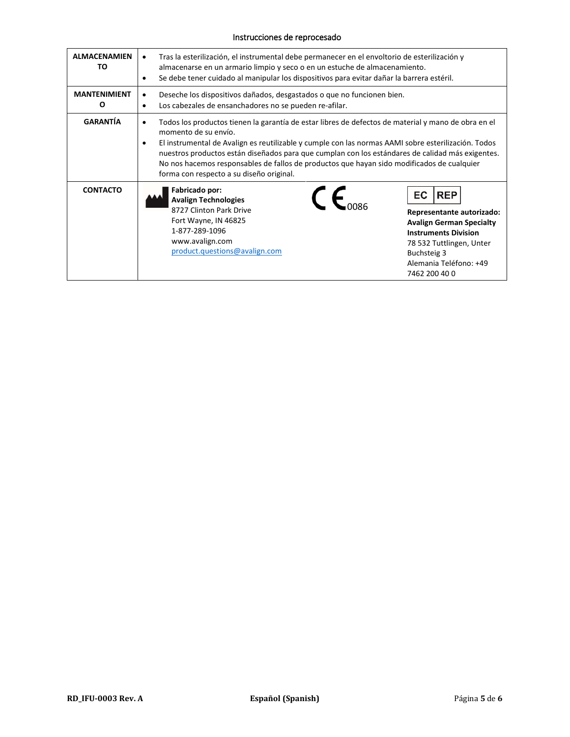| <b>ALMACENAMIEN</b><br>TO | Tras la esterilización, el instrumental debe permanecer en el envoltorio de esterilización y<br>$\bullet$<br>almacenarse en un armario limpio y seco o en un estuche de almacenamiento.<br>Se debe tener cuidado al manipular los dispositivos para evitar dañar la barrera estéril.<br>٠                                                                                                                                                                                             |                                                                                                                                                                                                       |
|---------------------------|---------------------------------------------------------------------------------------------------------------------------------------------------------------------------------------------------------------------------------------------------------------------------------------------------------------------------------------------------------------------------------------------------------------------------------------------------------------------------------------|-------------------------------------------------------------------------------------------------------------------------------------------------------------------------------------------------------|
| <b>MANTENIMIENT</b><br>O  | Deseche los dispositivos dañados, desgastados o que no funcionen bien.<br>$\bullet$<br>Los cabezales de ensanchadores no se pueden re-afilar.<br>٠                                                                                                                                                                                                                                                                                                                                    |                                                                                                                                                                                                       |
| <b>GARANTÍA</b>           | Todos los productos tienen la garantía de estar libres de defectos de material y mano de obra en el<br>momento de su envío.<br>El instrumental de Avalign es reutilizable y cumple con las normas AAMI sobre esterilización. Todos<br>٠<br>nuestros productos están diseñados para que cumplan con los estándares de calidad más exigentes.<br>No nos hacemos responsables de fallos de productos que hayan sido modificados de cualquier<br>forma con respecto a su diseño original. |                                                                                                                                                                                                       |
| <b>CONTACTO</b>           | Fabricado por:<br>$\epsilon$<br><b>Avalign Technologies</b><br>8727 Clinton Park Drive<br>Fort Wayne, IN 46825<br>1-877-289-1096<br>www.avalign.com<br>product.questions@avalign.com                                                                                                                                                                                                                                                                                                  | <b>REP</b><br>EC<br>Representante autorizado:<br><b>Avalign German Specialty</b><br><b>Instruments Division</b><br>78 532 Tuttlingen, Unter<br>Buchsteig 3<br>Alemania Teléfono: +49<br>7462 200 40 0 |